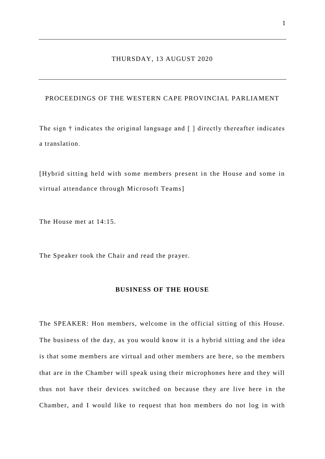## THURSDAY, 13 AUGUST 2020

# PROCEEDINGS OF THE WESTERN CAPE PROVINCIAL PARLIAMENT

The sign † indicates the original language and [ ] directly thereafter indicates a translation.

[Hybrid sitting held with some members present in the House and some in virtual attendance through Microsoft Teams]

The House met at 14:15.

The Speaker took the Chair and read the prayer.

### **BUSINESS OF THE HOUSE**

The SPEAKER: Hon members, welcome in the official sitting of this House. The business of the day, as you would know it is a hybrid sitting and the idea is that some members are virtual and other members are here, so the members that are in the Chamber will speak using their microphones here and they will thus not have their devices switched on because they are live here in the Chamber, and I would like to request that hon members do not log in with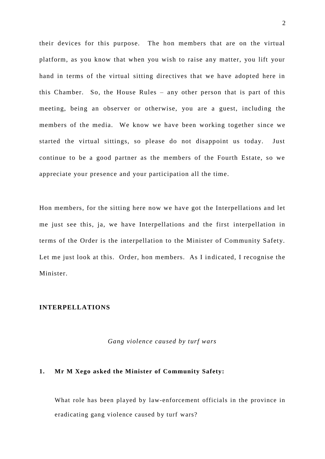their devices for this purpose. The hon members that are on the virtual platform, as you know that when you wish to raise any matter, you lift your hand in terms of the virtual sitting directives that we have adopted here in this Chamber. So, the House Rules – any other person that is part of this meeting, being an observer or otherwise, you are a guest, including the members of the media. We know we have been working together since we started the virtual sittings, so please do not disappoint us today. Just continue to be a good partner as the members of the Fourth Estate, so we appreciate your presence and your participation all the time.

Hon members, for the sitting here now we have got the Interpellations and let me just see this, ja, we have Interpellations and the first interpellation in terms of the Order is the interpellation to the Minister of Community Safety. Let me just look at this. Order, hon members. As I in dicated, I recognise the Minister.

# **INTERPELLATIONS**

#### *Gang violence caused by turf wars*

### **1. Mr M Xego asked the Minister of Community Safety:**

What role has been played by law-enforcement officials in the province in eradicating gang violence caused by turf wars?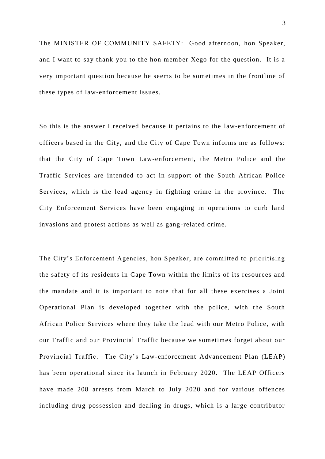The MINISTER OF COMMUNITY SAFETY: Good afternoon, hon Speaker, and I want to say thank you to the hon member Xego for the question. It is a very important question because he seems to be sometimes in the frontline of these types of law-enforcement issues.

So this is the answer I received because it pertains to the law-enforcement of officers based in the City, and the City of Cape Town informs me as follows: that the City of Cape Town Law-enforcement, the Metro Police and the Traffic Services are intended to act in support of the South African Police Services, which is the lead agency in fighting crime in the province. The City Enforcement Services have been engaging in operations to curb land invasions and protest actions as well as gang -related crime.

The City's Enforcement Agencies, hon Speaker, are committed to prioritising the safety of its residents in Cape Town within the limits of its resources and the mandate and it is important to note that for all these exercises a Joint Operational Plan is developed together with the police, with the South African Police Services where they take the lead with our Metro Police, with our Traffic and our Provincial Traffic because we sometimes forget about our Provincial Traffic. The City's Law-enforcement Advancement Plan (LEAP) has been operational since its launch in February 2020. The LEAP Officers have made 208 arrests from March to July 2020 and for various offences including drug possession and dealing in drugs, which is a large contributor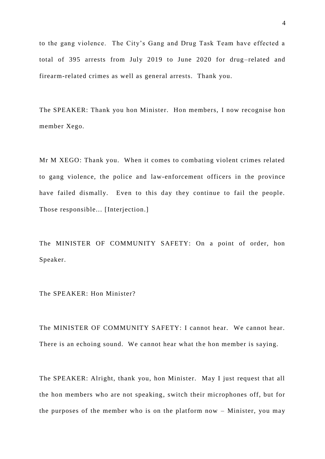to the gang violence. The City's Gang and Drug Task Team have effected a total of 395 arrests from July 2019 to June 2020 for drug-related and firearm-related crimes as well as general arrests. Thank you.

The SPEAKER: Thank you hon Minister. Hon members, I now recognise hon member Xego.

Mr M XEGO: Thank you. When it comes to combating violent crimes related to gang violence, the police and law-enforcement officers in the province have failed dismally. Even to this day they continue to fail the people. Those responsible... [Interjection.]

The MINISTER OF COMMUNITY SAFETY: On a point of order, hon Speaker.

The SPEAKER: Hon Minister?

The MINISTER OF COMMUNITY SAFETY: I cannot hear. We cannot hear. There is an echoing sound. We cannot hear what the hon member is saying.

The SPEAKER: Alright, thank you, hon Minister. May I just request that all the hon members who are not speaking, switch their microphones off, but for the purposes of the member who is on the platform now – Minister, you may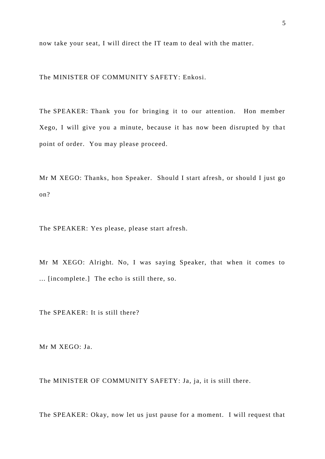now take your seat, I will direct the IT team to deal with the matter.

The MINISTER OF COMMUNITY SAFETY: Enkosi.

The SPEAKER: Thank you for bringing it to our attention. Hon member Xego, I will give you a minute, because it has now been disrupted by that point of order. You may please proceed.

Mr M XEGO: Thanks, hon Speaker. Should I start afresh, or should I just go on?

The SPEAKER: Yes please, please start afresh.

Mr M XEGO: Alright. No, I was saying Speaker, that when it comes to ... [incomplete.] The echo is still there, so.

The SPEAKER: It is still there?

Mr M XEGO: Ja.

The MINISTER OF COMMUNITY SAFETY: Ja, ja, it is still there.

The SPEAKER: Okay, now let us just pause for a moment. I will request that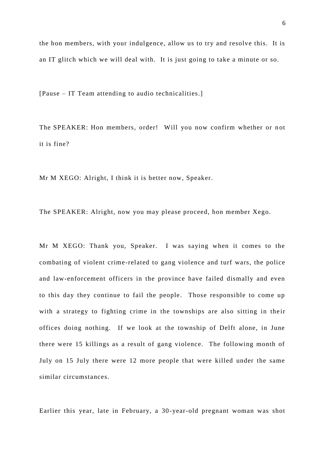6

the hon members, with your indulgence, allow us to try and resolve this. It is an IT glitch which we will deal with. It is just going to take a minute or so.

[Pause – IT Team attending to audio technicalities.]

The SPEAKER: Hon members, order! Will you now confirm whether or not it is fine?

Mr M XEGO: Alright, I think it is better now, Speaker.

The SPEAKER: Alright, now you may please proceed, hon member Xego.

Mr M XEGO: Thank you, Speaker. I was saying when it comes to the combating of violent crime-related to gang violence and turf wars, the police and law-enforcement officers in the province have failed dismally and even to this day they continue to fail the people. Those responsible to come up with a strategy to fighting crime in the townships are also sitting in their offices doing nothing. If we look at the township of Delft alone, in June there were 15 killings as a result of gang violence. The following month of July on 15 July there were 12 more people that were killed under the same similar circumstances.

Earlier this year, late in February, a 30 -year-old pregnant woman was shot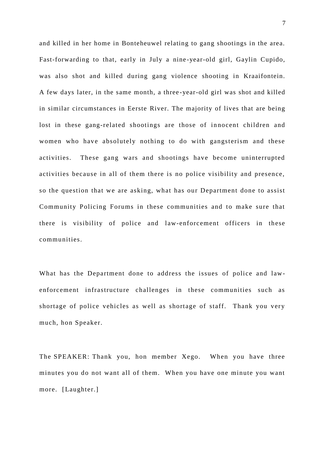and killed in her home in Bonteheuwel relating to gang shootings in the area. Fast-forwarding to that, early in July a nine -year-old girl, Gaylin Cupido, was also shot and killed during gang violence shooting in Kraaifontein. A few days later, in the same month, a three -year-old girl was shot and killed in similar circumstances in Eerste River. The majority of lives that are being lost in these gang-related shootings are those of innocent children and women who have absolutely nothing to do with gangsterism and these activities. These gang wars and shootings have become uninterrupted activities because in all of them there is no police visibility and presence, so the question that we are asking, what has our Department done to assist Community Policing Forums in these communities and to make sure that there is visibility of police and law-enforcement officers in these communities.

What has the Department done to address the issues of police and lawenforcement infrastructure challenges in these communities such as shortage of police vehicles as well as shortage of staff. Thank you very much, hon Speaker.

The SPEAKER: Thank you, hon member Xego. When you have three minutes you do not want all of them. When you have one minute you want more. [Laughter.]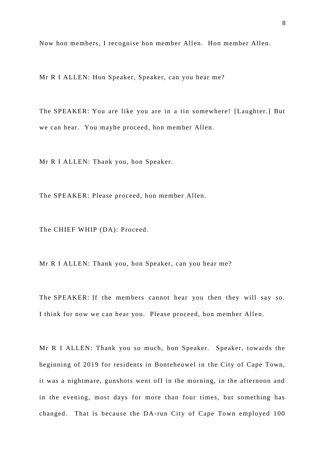Now hon members, I recognise hon member Allen. Hon member Allen.

Mr R I ALLEN: Hon Speaker, Speaker, can you hear me?

The SPEAKER: You are like you are in a tin somewhere! [Laughter.] But we can hear. You maybe proceed, hon member Allen.

Mr R I ALLEN: Thank you, hon Speaker.

The SPEAKER: Please proceed, hon member Allen.

The CHIEF WHIP (DA): Proceed.

Mr R I ALLEN: Thank you, hon Speaker, can you hear me?

The SPEAKER: If the members cannot hear you then they will say so. I think for now we can hear you. Please proceed, hon member Allen.

Mr R I ALLEN: Thank you so much, hon Speaker. Speaker, towards the beginning of 2019 for residents in Bonteheuwel in the City of Cape Town, it was a nightmare, gunshots went off in the morning, in the afternoon and in the evening, most days for more than four times, but something has changed. That is because the DA-run City of Cape Town employed 100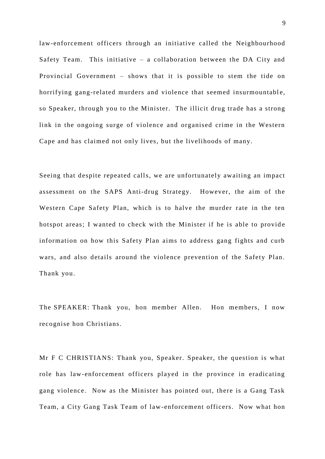law-enforcement officers through an initiative called the Neighbourhood Safety Team. This initiative – a collaboration between the DA City and Provincial Government – shows that it is possible to stem the tide on horrifying gang-related murders and violence that seemed insurmountable, so Speaker, through you to the Minister. The illicit drug trade has a strong link in the ongoing surge of violence and organised crime in the Western Cape and has claimed not only lives, but the livelihoods of many.

Seeing that despite repeated calls, we are unfortunately awaiting an impact assessment on the SAPS Anti-drug Strategy. However, the aim of the Western Cape Safety Plan, which is to halve the murder rate in the ten hotspot areas; I wanted to check with the Minister if he is able to provide information on how this Safety Plan aims to address gang fights and curb wars, and also details around the violence prevention of the Safety Plan. Thank you.

The SPEAKER: Thank you, hon member Allen. Hon members, I now recognise hon Christians.

Mr F C CHRISTIANS: Thank you, Speaker. Speaker, the question is what role has law-enforcement officers played in the province in eradicating gang violence. Now as the Minister has pointed out, there is a Gang Task Team, a City Gang Task Team of law-enforcement officers. Now what hon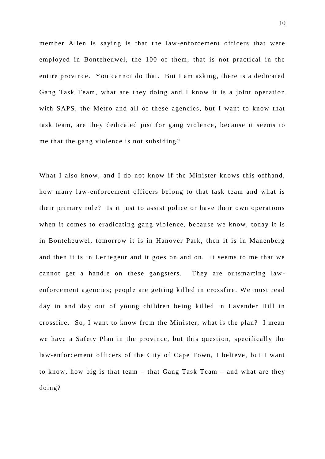member Allen is saying is that the law-enforcement officers that were employed in Bonteheuwel, the 100 of them, that is not practical in the entire province. You cannot do that. But I am asking, there is a dedicated Gang Task Team, what are they doing and I know it is a joint operation with SAPS, the Metro and all of these agencies, but I want to know that task team, are they dedicated just for gang violence , because it seems to me that the gang violence is not subsiding ?

What I also know, and I do not know if the Minister knows this offhand, how many law-enforcement officers belong to that task team and what is their primary role? Is it just to assist police or have their own operations when it comes to eradicating gang violence, because we know, today it is in Bonteheuwel, tomorrow it is in Hanover Park, then it is in Manenberg and then it is in Lentegeur and it goes on and on. It seems to me that we cannot get a handle on these gangsters. They are outsmarting law enforcement agencies; people are getting killed in crossfire. We must read day in and day out of young children being killed in Lavender Hill in crossfire. So, I want to know from the Minister, what is the plan? I mean we have a Safety Plan in the province, but this question, specifically the law-enforcement officers of the City of Cape Town, I believe, but I want to know, how big is that team – that Gang Task Team – and what are they doing?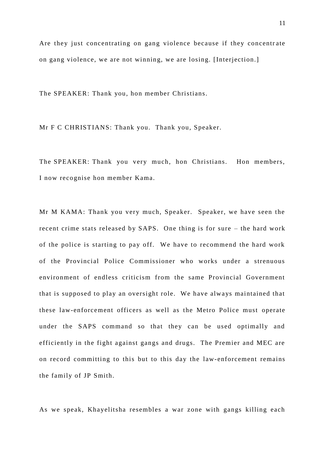Are they just concentrating on gang violence because if they concentrate on gang violence, we are not winning, we are losing. [Interjection.]

The SPEAKER: Thank you, hon member Christians.

Mr F C CHRISTIANS: Thank you. Thank you, Speaker.

The SPEAKER: Thank you very much, hon Christians. Hon members, I now recognise hon member Kama.

Mr M KAMA: Thank you very much, Speaker. Speaker, we have seen the recent crime stats released by SAPS. One thing is for sure – the hard work of the police is starting to pay off. We have to recommend the hard work of the Provincial Police Commissioner who works under a strenuous environment of endless criticism from the same Provincial Government that is supposed to play an oversight role. We have always maintained that these law-enforcement officers as well as the Metro Police must operate under the SAPS command so that they can be used optimally and efficiently in the fight against gangs and drugs. The Premier and MEC are on record committing to this but to this day the law-enforcement remains the family of JP Smith.

As we speak, Khayelitsha resembles a war zone with gangs killing each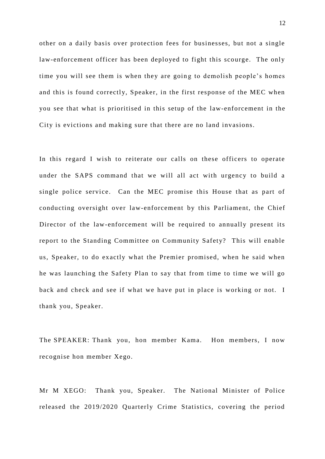other on a daily basis over protection fees for businesses, but not a single law-enforcement officer has been deployed to fight this scourge. The only time you will see them is when they are going to demolish people's homes and this is found correctly, Speaker, in the first response of the MEC when you see that what is prioritised in this setup of the law-enforcement in the City is evictions and making sure that there are no land invasions.

In this regard I wish to reiterate our calls on these officers to operate under the SAPS command that we will all act with urgency to build a single police service. Can the MEC promise this House that as part of conducting oversight over law-enforcement by this Parliament, the Chief Director of the law-enforcement will be required to annually present its report to the Standing Committee on Community Safety? This will enable us, Speaker, to do exactly what the Premier promised, when he said when he was launching the Safety Plan to say that from time to time we will go back and check and see if what we have put in place is working or not. I thank you, Speaker.

The SPEAKER: Thank you, hon member Kama. Hon members, I now recognise hon member Xego.

Mr M XEGO: Thank you, Speaker. The National Minister of Police released the 2019/2020 Quarterly Crime Statistics, covering the period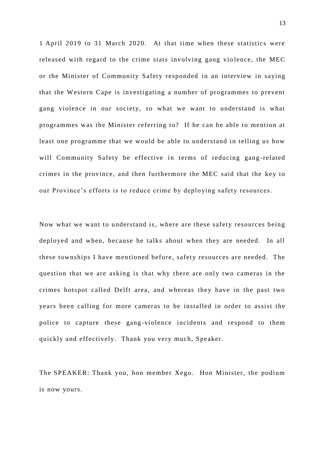1 April 2019 to 31 March 2020. At that time when these statistics were released with regard to the crime stats involving gang violence, the MEC or the Minister of Community Safety responded in an interview in saying that the Western Cape is investigating a number of programmes to prevent gang violence in our society, so what we want to understand is what programmes was the Minister referring to? If he can be able to mention at least one programme that we would be able to understand in telling us how will Community Safety be effective in terms of reducing gang-related crimes in the province, and then furthermore the MEC said that the key to our Province's efforts is to reduce crime by deploying safety resources.

Now what we want to understand is, where are these safety resources being deployed and when, because he talks about when they are needed. In all these townships I have men tioned before, safety resources are needed. The question that we are asking is that why there are only two cameras in the crimes hotspot called Delft area, and whereas they have in the past two years been calling for more cameras to be installed in order to assist the police to capture these gang-violence incidents and respond to them quickly and effectively. Thank you very much, Speaker.

The SPEAKER: Thank you, hon member Xego. Hon Minister, the podium is now yours.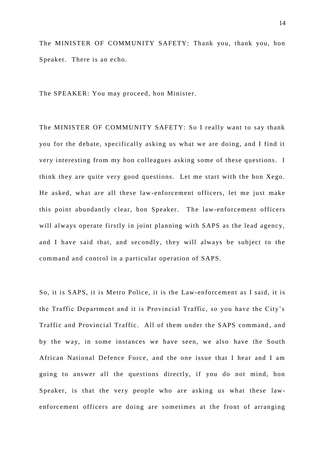The MINISTER OF COMMUNITY SAFETY: Thank you, thank you, hon Speaker. There is an echo.

The SPEAKER: You may proceed, hon Minister.

The MINISTER OF COMMUNITY SAFETY: So I really want to say thank you for the debate, specifically asking us what we are doing, and I find it very interesting from my hon colleagues asking some of these questions. I think they are quite very good questions. Let me start with the hon Xego. He asked, what are all these law-enforcement officers, let me just make this point abundantly clear, hon Speaker. The law-enforcement officers will always operate firstly in joint planning with SAPS as the lead agency, and I have said that, and secondly, they will always be subject to the command and control in a particular operation of SAPS.

So, it is SAPS, it is Metro Police, it is the Law-enforcement as I said, it is the Traffic Department and it is Provincial Traffic, so you have the City's Traffic and Provincial Traffic. All of them under the SAPS command , and by the way, in some instances we have seen, we also have the South African National Defence Force , and the one issue that I hear and I am going to answer all the questions directly, if you do not mind, hon Speaker, is that the very people who are asking us what these lawenforcement officers are doing are sometimes at the front of arranging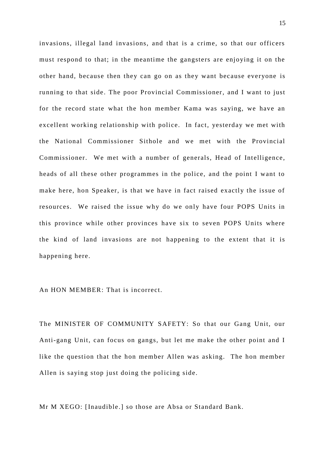invasions, illegal land invasions, and that is a crime, so that our officers must respond to that; in the meantime the gangsters are enjoying it on the other hand, because then they can go on as they want because everyone is running to that side. The poor Provincial Commissioner, and I want to just for the record state what the hon member Kama was saying, we have an excellent working relationship with police. In fact, yesterday we met with the National Commissioner Sithole and we met with the Provincial Commissioner. We met with a number of generals, Head of Intelligence, heads of all these other programmes in the police, and the point I want to make here, hon Speaker, is that we have in fact raised exactly the issue of resources. We raised the issue why do we only have four POPS Units in this province while other provinces have six to seven POPS Units where the kind of land invasions are not happening to the extent that it is happening here.

An HON MEMBER: That is incorrect.

The MINISTER OF COMMUNITY SAFETY: So that our Gang Unit, our Anti-gang Unit, can focus on gangs, but let me make the other point and I like the question that the hon member Allen was asking. The hon member Allen is saying stop just doing the policing side.

Mr M XEGO: [Inaudible .] so those are Absa or Standard Bank.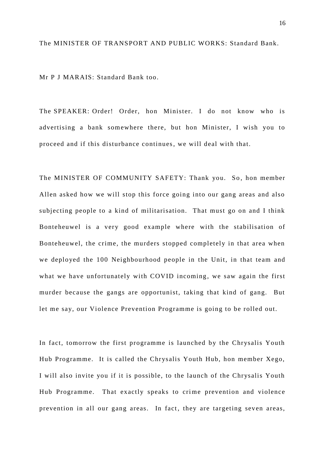The MINISTER OF TRANSPORT AND PUBLIC WORKS: Standard Bank.

Mr P J MARAIS: Standard Bank too.

The SPEAKER: Order! Order, hon Minister. I do not know who is advertising a bank somewhere there, but hon Minister, I wish you to proceed and if this disturbance continues, we will deal with that.

The MINISTER OF COMMUNITY SAFETY: Thank you. So, hon member Allen asked how we will stop this force going into our gang areas and also subjecting people to a kind of militarisation. That must go on and I think Bonteheuwel is a very good example where with the stabilisation of Bonteheuwel, the crime, the murders stopped completely in that area when we deployed the 100 Neighbourhood people in the Unit, in that team and what we have unfortunately with COVID incoming, we saw again the first murder because the gangs are opportunist, taking that kind of gang. But let me say, our Violence Prevention Programme is going to be rolled out.

In fact, tomorrow the first programme is launched by the Chrysalis Youth Hub Programme. It is called the Chrysalis Youth Hub, hon member Xego, I will also invite you if it is possible, to the launch of the Chrysalis Youth Hub Programme. That exactly speaks to crime prevention and violence prevention in all our gang areas. In fact, they are targeting seven areas,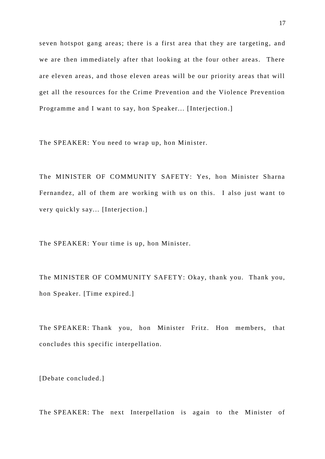seven hotspot gang areas; there is a first area that they are targeting, and we are then immediately after that looking at the four other areas. There are eleven areas, and those eleven areas will be our priority areas that will get all the resources for the Crime Prevention and the Violence Prevention Programme and I want to say, hon Speaker... [Interjection.]

The SPEAKER: You need to wrap up, hon Minister.

The MINISTER OF COMMUNITY SAFETY: Yes, hon Minister Sharna Fernandez, all of them are working with us on this. I also just want to very quickly say... [Interjection.]

The SPEAKER: Your time is up, hon Minister.

The MINISTER OF COMMUNITY SAFETY: Okay, thank you. Thank you, hon Speaker. [Time expired.]

The SPEAKER: Thank you, hon Minister Fritz. Hon members, that concludes this specific interpellation.

[Debate concluded.]

The SPEAKER: The next Interpellation is again to the Minister of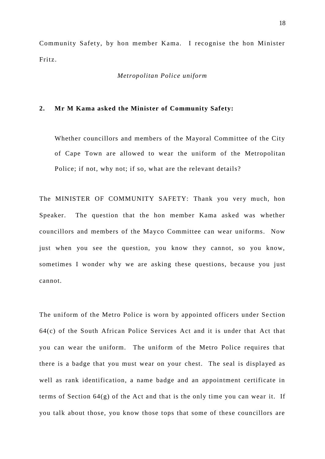Community Safety, by hon member Kama. I recognise the hon Minister Fritz.

*Metropolitan Police uniform*

### **2. Mr M Kama asked the Minister of Community Safety:**

Whether councillors and members of the Mayoral Committee of the City of Cape Town are allowed to wear the uniform of the Metropolitan Police; if not, why not; if so, what are the relevant details?

The MINISTER OF COMMUNITY SAFETY: Thank you very much, hon Speaker. The question that the hon member Kama asked was whether councillors and members of the Mayco Committee can wear uniforms. Now just when you see the question, you know they cannot, so you know, sometimes I wonder why we are asking these questions, because you just cannot.

The uniform of the Metro Police is worn by appointed officers under Se ction 64(c) of the South African Police Services Act and it is under that Act that you can wear the uniform. The uniform of the Metro Police requires that there is a badge that you must wear on your chest. The seal is displayed as well as rank identification, a name badge and an appointment certificate in terms of Section 64(g) of the Act and that is the only time you can wear it. If you talk about those, you know those tops that some of these councillors are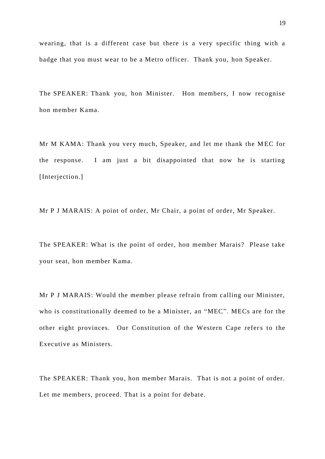wearing, that is a different case but there is a very specific thing with a badge that you must wear to be a Metro officer. Thank you, hon Speaker.

The SPEAKER: Thank you, hon Minister. Hon members, I now recognise hon member Kama.

Mr M KAMA: Thank you very much, Speaker, and let me thank the M EC for the response. I am just a bit disappointed that now he is starting [Interjection.]

Mr P J MARAIS: A point of order, Mr Chair, a point of order, Mr Speaker.

The SPEAKER: What is the point of order, hon member Marais? Please take your seat, hon member Kama.

Mr P J MARAIS: Would the member please refrain from calling our Minister, who is constitutionally deemed to be a Minister, an "MEC". MECs are for the other eight provinces. Our Constitution of the Western Cape refers to the Executive as Ministers.

The SPEAKER: Thank you, hon member Marais. That is not a point of order. Let me members, proceed. That is a point for debate.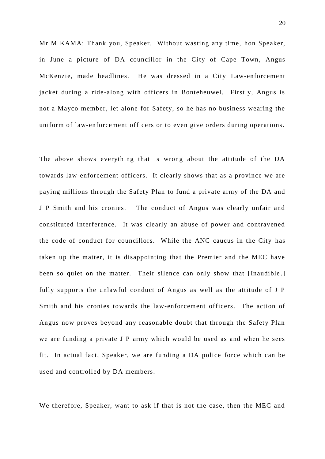Mr M KAMA: Thank you, Speaker. Without wasting any time, hon Speaker, in June a picture of DA councillor in the City of Cape Town, Angus McKenzie, made headlines. He was dressed in a City Law-enforcement jacket during a ride-along with officers in Bonteheuwel. Firstly, Angus is not a Mayco member, let alone for Safety, so he has no business wearing the uniform of law-enforcement officers or to even give orders during operations.

The above shows everything that is wrong about the attitude of the DA towards law-enforcement officers. It clearly shows that as a province we are paying millions through the Safety Plan to fund a private army of the DA and J P Smith and his cronies. The conduct of Angus was clearly unfair and constituted interference. It was clearly an abuse of power and contravened the code of conduct for councillors. While the ANC caucus in the City has taken up the matter, it is disappointing that the Premier and the MEC have been so quiet on the matter. Their silence can only show that [Inaudible.] fully supports the unlawful conduct of Angus as well as the attitude of J P Smith and his cronies towards the law-enforcement officers. The action of Angus now proves beyond any reasonable doubt that through the Safety Plan we are funding a private J P army which would be used as and when he sees fit. In actual fact, Speaker, we are funding a DA police force which can be used and controlled by DA members.

We therefore, Speaker, want to ask if that is not the case, then the MEC and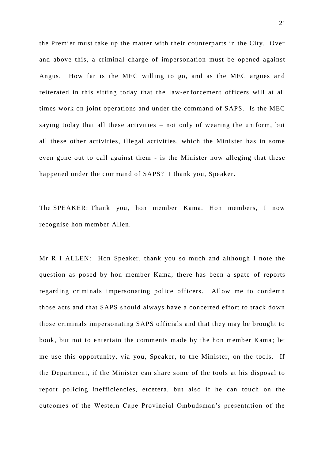the Premier must take up the matter with their counterparts in the City. Over and above this, a criminal charge of impersonation must be opened against Angus. How far is the MEC willing to go, and as the MEC argues and reiterated in this sitting today that the law-enforcement officers will at all times work on joint operations and under the command of SAPS. Is the MEC saying today that all these activities – not only of wearing the uniform, but all these other activities, illegal activities, which the Minister has in some even gone out to call against them - is the Minister now alleging that these happened under the command of SAPS? I thank you, Speaker.

The SPEAKER: Thank you, hon member Kama. Hon members, I now recognise hon member Allen.

Mr R I ALLEN: Hon Speaker, thank you so much and although I note the question as posed by hon member Kama, there has been a spate of reports regarding criminals impersonating police officers. Allow me to condemn those acts and that SAPS should always have a concerted effort to track down those criminals impersonating SAPS officials and that they may be brought to book, but not to entertain the comments made by the hon member Kama; let me use this opportunity, via you, Speaker, to the Minister, on the tools. If the Department, if the Minister can share some of the tools at his disposal to report policing inefficiencies, etcetera, but also if he can touch on the outcomes of the Western Cape Provincial Ombudsman's presentation of the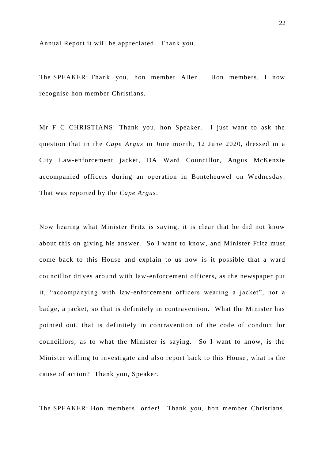Annual Report it will be appreciated. Thank you.

The SPEAKER: Thank you, hon member Allen. Hon members, I now recognise hon member Christians.

Mr F C CHRISTIANS: Thank you, hon Speaker. I just want to ask the question that in the *Cape Argus* in June month, 12 June 2020, dressed in a City Law-enforcement jacket, DA Ward Councillor, Angus McKenzie accompanied officers during an operation in Bonteheuwel on Wednesday. That was reported by the *Cape Argus*.

Now hearing what Minister Fritz is saying, it is clear that he did not know about this on giving his answer. So I want to know, and Minister Fritz must come back to this House and explain to us how is it possible that a ward councillor drives around with law-enforcement officers, as the newspaper put it, "accompanying with law-enforcement officers wearing a jacket", not a badge, a jacket, so that is definitely in contravention. What the Minister has pointed out, that is definitely in contravention of the code of conduct for councillors, as to what the Minister is saying. So I want to know, is the Minister willing to investigate and also report back to this House , what is the cause of action? Thank you, Speaker.

The SPEAKER: Hon members, order! Thank you, hon member Christians.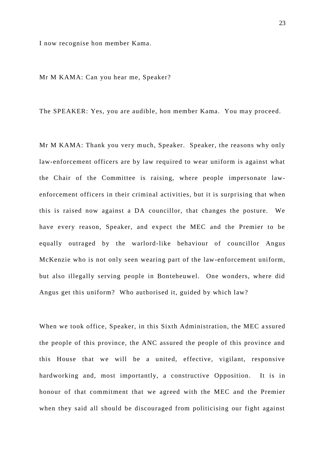I now recognise hon member Kama.

Mr M KAMA: Can you hear me, Speaker?

The SPEAKER: Yes, you are audible, hon member Kama. You may proceed.

Mr M KAMA: Thank you very much, Speaker. Speaker, the reasons why only law-enforcement officers are by law required to wear uniform is against what the Chair of the Committee is raising, where people impersonate lawenforcement officers in their criminal activities, but it is surprising that when this is raised now against a DA councillor, that changes the posture. We have every reason, Speaker, and expect the MEC and the Premier to be equally outraged by the warlord-like behaviour of councillor Angus McKenzie who is not only seen wearing part of the law-enforcement uniform, but also illegally serving people in Bonteheuwel. One wonders, where did Angus get this uniform? Who authorised it, guided by which law?

When we took office, Speaker, in this Sixth Administration, the MEC assured the people of this province, the ANC assured the people of this province and this House that we will be a united, effective, vigilant, responsive hardworking and, most importantly, a constructive Opposition. It is in honour of that commitment that we agreed with the MEC and the Premier when they said all should be discouraged from politicising our fight against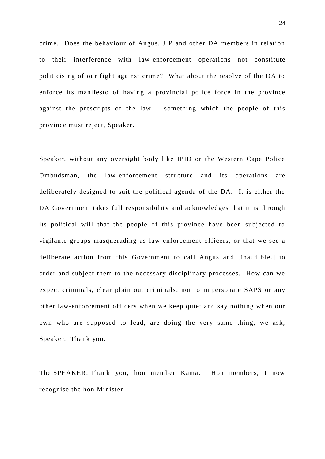crime. Does the behaviour of Angus, J P and other DA members in relation to their interference with law-enforcement operations not constitute politicising of our fight against crime? What about the resolve of the DA to enforce its manifesto of having a provincial police force in the province against the prescripts of the law – something which the people of this province must reject, Speaker.

Speaker, without any oversight body like IPID or the Western Cape Police Ombudsman, the law-enforcement structure and its operations are deliberately designed to suit the political agenda of the DA. It is either the DA Government takes full responsibility and acknowledges that it is through its political will that the people of this province have been subjected to vigilante groups masquerading as law-enforcement officers, or that we see a deliberate action from this Government to call Angus and [inaudible.] to order and subject them to the necessary disciplinary processes. How can we expect criminals, clear plain out criminals, not to impersonate SAPS or any other law-enforcement officers when we keep quiet and say nothing when our own who are supposed to lead, are doing the very same thing, we ask, Speaker. Thank you.

The SPEAKER: Thank you, hon member Kama. Hon members, I now recognise the hon Minister.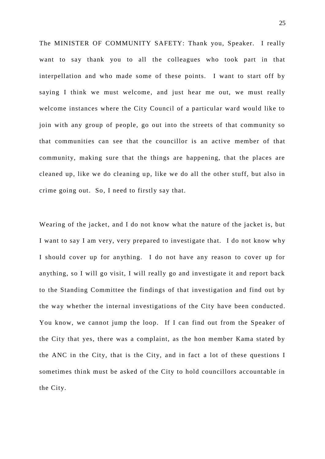The MINISTER OF COMMUNITY SAFETY: Thank you, Speaker. I really want to say thank you to all the colleagues who took part in that interpellation and who made some of these points. I want to start off by saying I think we must welcome, and just hear me out, we must really welcome instances where the City Council of a particular ward would like to join with any group of people, go out into the streets of that community so that communities can see that the councillor is an active member of that community, making sure that the things are happening, that the places are cleaned up, like we do cleaning up, like we do all the other stuff, but also in crime going out. So, I need to firstly say that.

Wearing of the jacket, and I do not know what the nature of the jacket is, but I want to say I am very, very prepared to investigate that. I do not know why I should cover up for anything. I do not have any reason to cover up for anything, so I will go visit, I will really go and investigate it and report back to the Standing Committee the findings of that investigation and find out by the way whether the internal investigations of the City have been conducted. You know, we cannot jump the loop. If I can find out from the Speaker of the City that yes, there was a complaint, as the hon member Kama stated by the ANC in the City, that is the City, and in fact a lot of these questions I sometimes think must be asked of the City to hold councillors accountable in the City.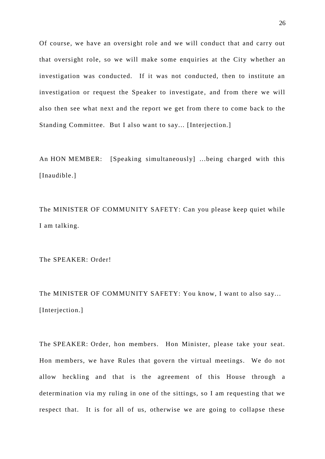Of course, we have an oversight role and we will conduct that and carry out that oversight role, so we will make some enquiries at the City whether an investigation was conducted. If it was not conducted, then to institute an investigation or request the Speaker to investigate, and from there we will also then see what next and the report we get from there to come back to the Standing Committee. But I also want to say... [Interjection.]

An HON MEMBER: [Speaking simultaneously] ...being charged with this [Inaudible.]

The MINISTER OF COMMUNITY SAFETY: Can you please keep quiet while I am talking.

The SPEAKER: Order!

The MINISTER OF COMMUNITY SAFETY: You know, I want to also say... [Interjection.]

The SPEAKER: Order, hon members. Hon Minister, please take your seat. Hon members, we have Rules that govern the virtual meetings. We do not allow heckling and that is the agreement of this House through a determination via my ruling in one of the sittings, so I am requesting that we respect that. It is for all of us, otherwise we are going to collapse these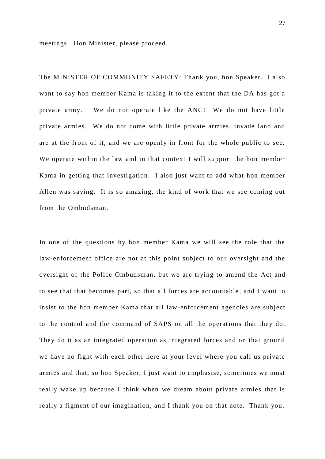meetings. Hon Minister, please proceed.

The MINISTER OF COMMUNITY SAFETY: Thank you, hon Speaker. I also want to say hon member Kama is taking it to the extent that the DA has got a private army. We do not operate like the ANC! We do not have little private armies. We do not come with little private armies, invade land and are at the front of it, and we are openly in front for the whole public to see. We operate within the law and in that context I will support the hon member Kama in getting that investigation. I also just want to add what hon member Allen was saying. It is so amazing, the kind of work that we see coming out from the Ombudsman.

In one of the questions by hon member Kama we will see the role that the law-enforcement office are not at this point subject to our oversight and the oversight of the Police Ombudsman, but we are trying to amend the Act and to see that that becomes part, so that all forces are accountable , and I want to insist to the hon member Kama that all law-enforcement agencies are subject to the control and the command of SAPS on all the operations that they do. They do it as an integrated operation as integrated forces and on that ground we have no fight with each other here at your level where you call us private armies and that, so hon Speaker, I just want to emphasise, sometimes we must really wake up because I think when we dream about private armies that is really a figment of our imagination, and I thank you on that note. Thank you.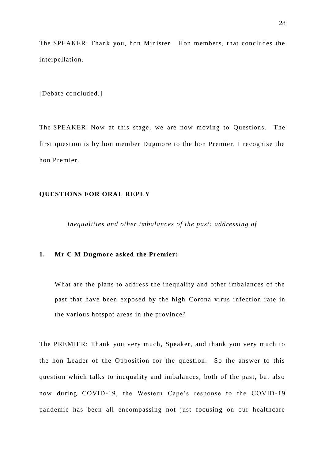The SPEAKER: Thank you, hon Minister. Hon members, that concludes the interpellation.

[Debate concluded.]

The SPEAKER: Now at this stage, we are now moving to Questions. The first question is by hon member Dugmore to the hon Premier. I recognise the hon Premier.

# **QUESTIONS FOR ORAL REPLY**

*Inequalities and other imbalances of the past: addressing of*

# **1. Mr C M Dugmore asked the Premier:**

What are the plans to address the inequality and other imbalances of the past that have been exposed by the high Corona virus infection rate in the various hotspot areas in the province?

The PREMIER: Thank you very much, Speaker, and thank you very much to the hon Leader of the Opposition for the question. So the answer to this question which talks to inequality and imbalances, both of the past, but also now during COVID-19, the Western Cape's response to the COVID-19 pandemic has been all encompassing not just focusing on our healthcare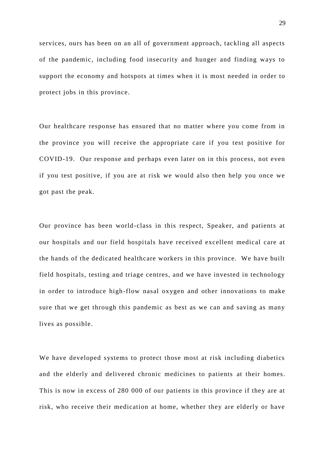services, ours has been on an all of government approach, tackling all aspects of the pandemic, including food insecurity and hunger and finding ways to support the economy and hotspots at times when it is most needed in order to protect jobs in this province.

Our healthcare response has ensured that no matter where you come from in the province you will receive the appropriate care if you test positive for COVID-19. Our response and perhaps even later on in this process, not even if you test positive, if you are at risk we would also then help you once we got past the peak.

Our province has been world-class in this respect, Speaker, and patients at our hospitals and our field hospitals have received excellent medical care at the hands of the dedicated healthcare workers in this province. We have built field hospitals, testing and triage centres, and we have invested in technology in order to introduce high-flow nasal oxygen and other innovations to make sure that we get through this pandemic as best as we can and saving as many lives as possible.

We have developed systems to protect those most at risk including diabetics and the elderly and delivered chronic medicines to patients at their homes. This is now in excess of 280 000 of our patients in this province if they are at risk, who receive their medication at home, whether they are elderly or have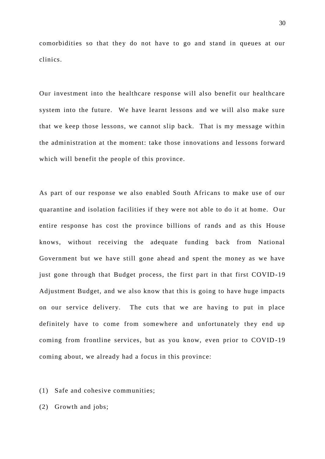comorbidities so that they do not have to go and stand in queues at our clinics.

Our investment into the healthcare response will also benefit our healthcare system into the future. We have learnt lessons and we will also make sure that we keep those lessons, we cannot slip back. That is my message within the administration at the moment: take those innovations and lessons forward which will benefit the people of this province.

As part of our response we also enabled South Africans to make use of our quarantine and isolation facilities if they were not able to do it at home. Our entire response has cost the province billions of rands and as this House knows, without receiving the adequate funding back from National Government but we have still gone ahead and spent the money as we have just gone through that Budget process, the first part in that first COVID-19 Adjustment Budget, and we also know that this is going to have huge impacts on our service delivery. The cuts that we are having to put in place definitely have to come from somewhere and unfortunately they end up coming from frontline services, but as you know, even prior to COVID -19 coming about, we already had a focus in this province:

(1) Safe and cohesive communities;

(2) Growth and jobs;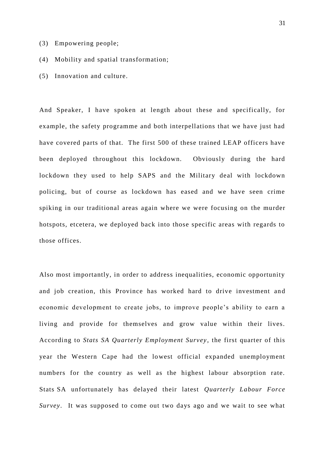- (3) Empowering people;
- (4) Mobility and spatial transformation;
- (5) Innovation and culture.

And Speaker, I have spoken at length about these and specifically, for example, the safety programme and both interpellations that we have just had have covered parts of that. The first 500 of these trained LEAP officers have been deployed throughout this lockdown. Obviously during the hard lockdown they used to help SAPS and the Military deal with lockdown policing, but of course as lockdown has eased and we have seen crime spiking in our traditional areas again where we were focusing on the murder hotspots, etcetera, we deployed back into those specific areas with regards to those offices.

Also most importantly, in order to address inequalities, economic opportunity and job creation, this Province has worked hard to drive investment and economic development to create jobs, to improve people's ability to earn a living and provide for themselves and grow value within their lives. According to *Stats SA Quarterly Employment Survey* , the first quarter of this year the Western Cape had the lowest official expanded unemployment numbers for the country as well as the highest labour absorption rate. Stats SA unfortunately has delayed their latest *Quarterly Labour Force Survey*. It was supposed to come out two days ago and we wait to see what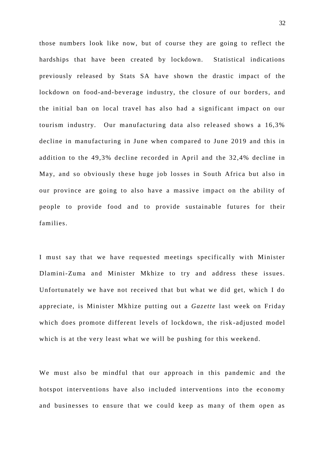those numbers look like now, but of course they are going to reflect the hardships that have been created by lockdown. Statistical indications previously released by Stats SA have shown the drastic impact of the lockdown on food-and-beverage industry, the closure of our borders, and the initial ban on local travel has also had a significant impact on our tourism industry. Our manufacturing data also released shows a 16,3% decline in manufacturing in June when compared to June 2019 and this in addition to the 49,3% decline recorded in April and the 32,4% decline in May, and so obviously these huge job losses in South Africa but also in our province are going to also have a massive impact on the ability of people to provide food and to provide sustainable futures for their families.

I must say that we have requested meetings specifically with Minister Dlamini-Zuma and Minister Mkhize to try and address these issues. Unfortunately we have not received that but what we did get, which I do appreciate, is Minister Mkhize putting out a *Gazette* last week on Friday which does promote different levels of lockdown, the risk -adjusted model which is at the very least what we will be pushing for this weekend.

We must also be mindful that our approach in this pandemic and the hotspot interventions have also included interventions into the economy and businesses to ensure that we could keep as many of them open as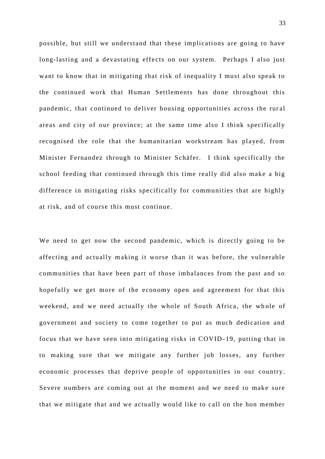possible, but still we understand that these implications are going to have long-lasting and a devastating effects on our system. Perhaps I also just want to know that in mitigating that risk of inequality I must also speak to the continued work that Human Settlements has done throughout this pandemic, that continued to deliver housing opportunities across the rur al areas and city of our province; at the same time also I think specifically recognised the role that the humanitarian workstream has played, from Minister Fernandez through to Minister Schäfer. I think specifically the school feeding that continued through this time really did also make a big difference in mitigating risks specifically for communities that are highly at risk, and of course this must continue.

We need to get now the second pandemic, which is directly going to be affecting and actually making it worse than it was before, the vulnerable communities that have been part of those imbalances from the past and so hopefully we get more of the economy open and agreement for that this weekend, and we need actually the whole of South Africa, the whole of government and society to come together to put as much dedication and focus that we have seen into mitigating risks in COVID -19, putting that in to making sure that we mitigate any further job losses, any further economic processes that deprive people of opportunities in our country. Severe numbers are coming out at the moment and we need to make sure that we mitigate that and we actually would like to call on the hon member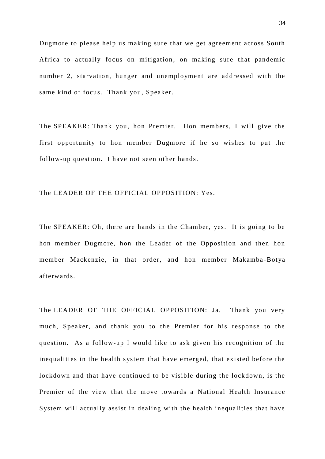Dugmore to please help us making sure that we get agreement across South Africa to actually focus on mitigation, on making sure that pandemic number 2, starvation, hunger and unemployment are addressed with the same kind of focus. Thank you, Speaker.

The SPEAKER: Thank you, hon Premier. Hon members, I will give the first opportunity to hon member Dugmore if he so wishes to put the follow-up question. I have not seen other hands.

The LEADER OF THE OFFICIAL OPPOSITION: Yes.

The SPEAKER: Oh, there are hands in the Chamber, yes. It is going to be hon member Dugmore, hon the Leader of the Opposition and then hon member Mackenzie, in that order, and hon member Makamba-Botya afterwards.

The LEADER OF THE OFFICIAL OPPOSITION: Ja. Thank you very much, Speaker, and thank you to the Premier for his response to the question. As a follow-up I would like to ask given his recognition of the inequalities in the health system that have emerged, that existed before the lockdown and that have continued to be visible during the lockdown, is the Premier of the view that the move towards a National Health Insurance System will actually assist in dealing with the health inequalities that have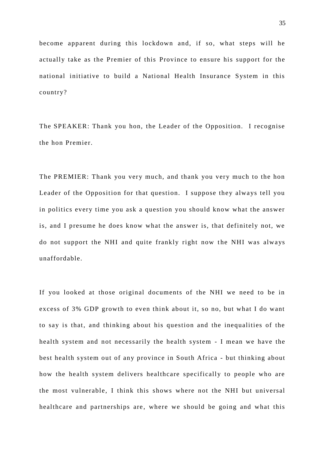become apparent during this lockdown and, if so, what steps will he actually take as the Premier of this Province to ensure his support for the national initiative to build a National Health Insurance System in this country?

The SPEAKER: Thank you hon, the Leader of the Opposition. I recognise the hon Premier.

The PREMIER: Thank you very much, and thank you very much to the hon Leader of the Opposition for that question. I suppose they always tell you in politics every time you ask a question you should know what the answer is, and I presume he does know what the answer is, that definitely not, we do not support the NHI and quite frankly right now the NHI was always unaffordable.

If you looked at those original documents of the NHI we need to be in excess of 3% GDP growth to even think about it, so no, but what I do want to say is that, and thinking about his question and the inequalities of the health system and not necessarily the health system - I mean we have the best health system out of any province in South Africa - but thinking about how the health system delivers healthcare specifically to people who are the most vulnerable, I think this shows where not the NHI but universal healthcare and partnerships are, where we should be going and what this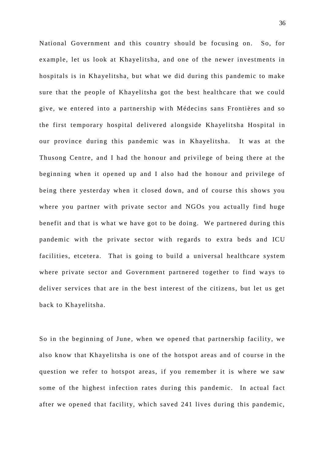National Government and this country should be focusing on. So, for example, let us look at Khayelitsha, and one of the newer investments in hospitals is in Khayelitsha, but what we did during this pandemic to make sure that the people of Khayelitsha got the best healthcare that we could give, we entered into a partnership with Médecins sans Frontières and so the first temporary hospital delivered a longside Khayelitsha Hospital in our province during this pandemic was in Khayelitsha. It was at the Thusong Centre, and I had the honour and privilege of being there at the beginning when it opened up and I also had the honour and privilege of being there yesterday when it closed down, and of course this shows you where you partner with private sector and NGOs you actually find huge benefit and that is what we have got to be doing. We partnered during this pandemic with the private sector with regards to extra beds and ICU facilities, etcetera. That is going to build a universal healthcare system where private sector and Government partnered together to find ways to deliver services that are in the best interest of the citizens, but let us get back to Khayelitsha.

So in the beginning of June, when we opened that partnership facility, we also know that Khayelitsha is one of the hotspot areas and of course in the question we refer to hotspot areas, if you remember it is where we saw some of the highest infection rates during this pandemic. In actual fact after we opened that facility, which saved 241 lives during this pandemic,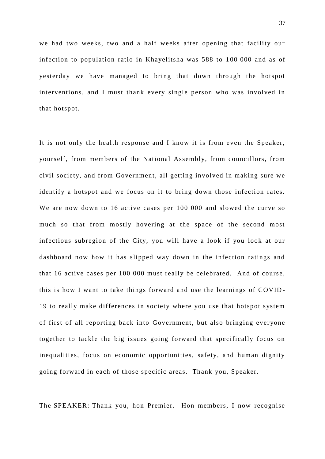we had two weeks, two and a half weeks after opening that facility our infection-to-population ratio in Khayelitsha was 588 to 1 00 000 and as of yesterday we have managed to bring that down through the hotspot interventions, and I must thank every single person who was involved in that hotspot.

It is not only the health response and I know it is from even the Speaker, yourself, from members of the National Assembly, from councillors, from civil society, and from Government, all getting involved in making sure we identify a hotspot and we focus on it to bring down those infection rates. We are now down to 16 active cases per 100 000 and slowed the curve so much so that from mostly hovering at the space of the second most infectious subregion of the City, you will have a look if you look at our dashboard now how it has slipped way down in the infection ratings and that 16 active cases per 100 000 must really be celebrated. And of course, this is how I want to take things forward and use the learnings of COVID - 19 to really make differences in society where you use that hotspot system of first of all reporting back into Government, but also bringing everyone together to tackle the big issues going forward that specifically focus on inequalities, focus on economic opportunities, safety, and human dignity going forward in each of those specific areas. Thank you, Speaker.

The SPEAKER: Thank you, hon Premier. Hon members, I now recognise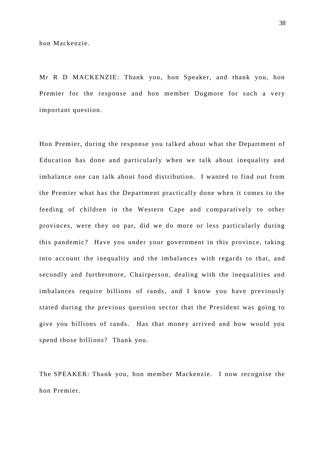hon Mackenzie.

Mr R D MACKENZIE: Thank you, hon Speaker, and thank you, hon Premier for the response and hon member Dugmore for such a very important question.

Hon Premier, during the response you talked about what the Department of Education has done and particularly when we talk about inequality and imbalance one can talk about food distribution. I wanted to find out from the Premier what has the Department practically done when it comes to the feeding of children in the Western Cape and comparatively to other provinces, were they on par, did we do more or less particularly during this pandemic? Have you under your government in this province, taking into account the inequality and the imbalances with regards to that, and secondly and furthermore, Chairperson, dealing with the inequalities and imbalances require billions of rands, and I know you have previously stated during the previous question sector that the President was going to give you billions of rands. Has that money arrived and how would you spend those billions? Thank you.

The SPEAKER: Thank you, hon member Mackenzie. I now recognise the hon Premier.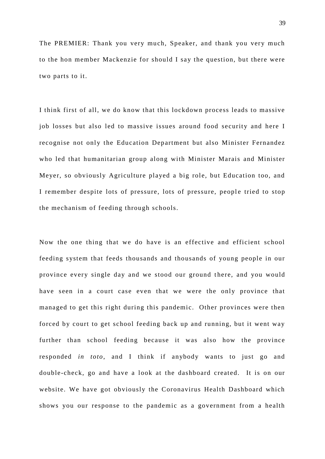The PREMIER: Thank you very much, Speaker, and thank you very much to the hon member Mackenzie for should I say the question, but there were two parts to it.

I think first of all, we do know that this lockdown process leads to massive job losses but also led to massive issues around food security and here I recognise not only the Education Department but also Minister Fernandez who led that humanitarian group along with Minister Marais and Minister Meyer, so obviously Agriculture played a big role, but Education too, and I remember despite lots of pressure, lots of pressure, people tried to stop the mechanism of feeding through schools.

Now the one thing that we do have is an effective and efficient school feeding system that feeds thousands and thousands of young people in our province every single day and we stood our ground there, and you would have seen in a court case even that we were the only province that managed to get this right during this pandemic. Other provinces were then forced by court to get school feeding back up and running, but it went way further than school feeding because it was also how the province responded *in toto*, and I think if anybody wants to just go and double-check, go and have a look at the dashboard created. It is on our website. We have got obviously the Coronavirus Health Dashboard which shows you our response to the pandemic as a government from a health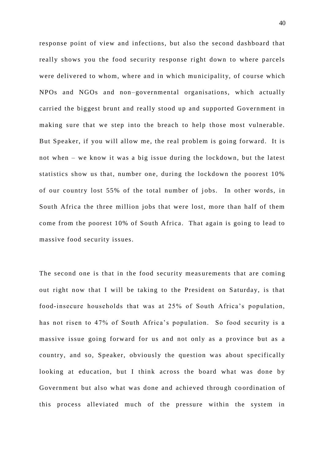response point of view and infections, but also the second dashboard that really shows you the food security response right down to where parcels were delivered to whom, where and in which municipality, of course which NPOs and NGOs and non–governmental organisations, which actually carried the biggest brunt and really stood up and supported Government in making sure that we step into the breach to help those most vulnerable. But Speaker, if you will allow me, the real problem is going forward. It is not when – we know it was a big issue during the lockdown, but the latest statistics show us that, number one, during the lockdown the poorest 10% of our country lost 55% of the total number of jobs. In other words, in South Africa the three million jobs that were lost, more than half of them come from the poorest 10% of South Africa. That again is going to lead to massive food security issues.

The second one is that in the food security meas urements that are coming out right now that I will be taking to the President on Saturday, is that food-insecure households that was at 25% of South Africa's population, has not risen to 47% of South Africa's population. So food security is a massive issue going forward for us and not only as a province but as a country, and so, Speaker, obviously the question was about specifically looking at education, but I think across the board what was done by Government but also what was done and achieved through co ordination of this process alleviated much of the pressure within the system in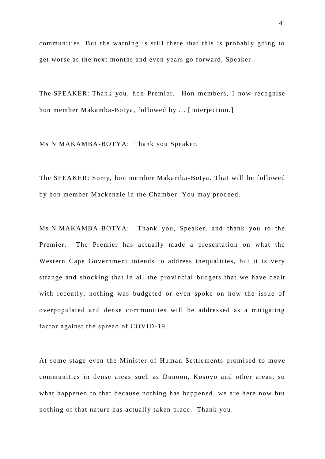communities. But the warning is still there that this is probably going to get worse as the next months and even years go forward, Speaker.

The SPEAKER: Thank you, hon Premier. Hon members, I now recognise hon member Makamba-Botya, followed by ... [Interjection.]

Ms N MAKAMBA-BOTYA: Thank you Speaker.

The SPEAKER: Sorry, hon member Makamba-Botya. That will be followed by hon member Mackenzie in the Chamber. You may proc eed.

Ms N MAKAMBA-BOTYA: Thank you, Speaker, and thank you to the Premier. The Premier has actually made a presentation on what the Western Cape Government intends to address inequalities, but it is very strange and shocking that in all the provincial budgets that we have dealt with recently, nothing was budgeted or even spoke on how the issue of overpopulated and dense communities will be addressed as a mitigating factor against the spread of COVID-19.

At some stage even the Minister of Human Settlements promised to move communities in dense areas such as Dunoon, Kosovo and other areas, so what happened to that because nothing has happened, we are here now but nothing of that nature has actually taken place. Thank you.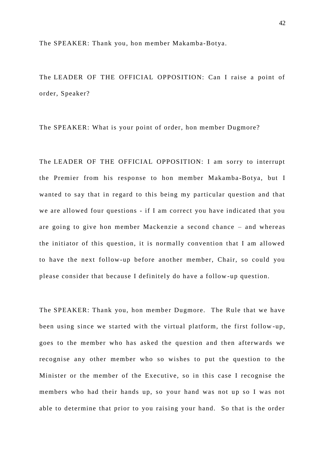The SPEAKER: Thank you, hon member Makamba-Botya.

The LEADER OF THE OFFICIAL OPPOSITION: Can I raise a point of order, Speaker?

The SPEAKER: What is your point of order, hon member Dugmore?

The LEADER OF THE OFFICIAL OPPOSITION: I am sorry to interrupt the Premier from his response to hon member Makamba-Botya, but I wanted to say that in regard to this being my particular question and that we are allowed four questions - if I am correct you have indicated that you are going to give hon member Mackenzie a second chance – and whereas the initiator of this question, it is normally convention that I am allowed to have the next follow-up before another member, Chair, so could you please consider that because I definitely do have a follow -up question.

The SPEAKER: Thank you, hon member Dugmore. The Rule that we have been using since we started with the virtual platform, the first follow -up, goes to the member who has asked the question and then afterwards we recognise any other member who so wishes to put the question to the Minister or the member of the Executive, so in this case I recognise the members who had their hands up, so your hand was not up so I was not able to determine that prior to you raising your hand. So that is the order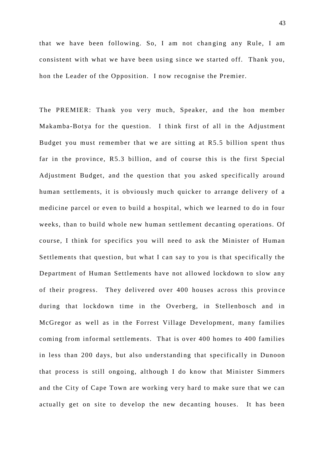that we have been following. So, I am not chan ging any Rule, I am consistent with what we have been using since we started off. Thank you, hon the Leader of the Opposition. I now recognise the Premier.

The PREMIER: Thank you very much, Speaker, and the hon member Makamba-Botya for the question. I think first of all in the Adjustment Budget you must remember that we are sitting at R5.5 billion spent thus far in the province, R5.3 billion, and of course this is the first Special Adjustment Budget, and the question that you asked specifically around human settlements, it is obviously much quicker to arrange delivery of a medicine parcel or even to build a hospital, which we learned to do in four weeks, than to build whole new human settlement decanting operations. Of course, I think for specifics you will need to ask the Minister of Human Settlements that question, but what I can say to you is that specifically the Department of Human Settlements have not allowed lockdown to slow any of their progress. They delivered over 400 houses across this provin ce during that lockdown time in the Overberg, in Stellenbosch and in McGregor as well as in the Forrest Village Development, many families coming from informal settlements. That is over 400 homes to 400 families in less than 200 days, but also understanding that specifically in Dunoon that process is still ongoing, although I do know that Minister Simmers and the City of Cape Town are working very hard to make sure that we can actually get on site to develop the new decanting houses. It has been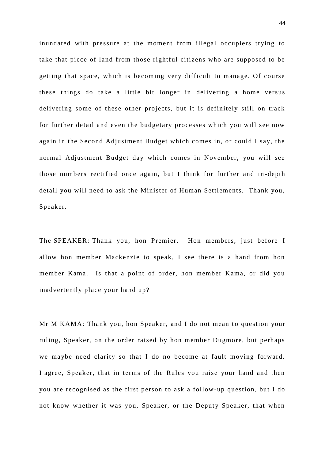inundated with pressure at the moment from illegal occupiers trying to take that piece of land from those rightful citizens who are supposed to be getting that space, which is becoming very difficult to manage. Of course these things do take a little bit longer in delivering a home versus delivering some of these other projects, but it is definitely still on track for further detail and even the budgetary processes which you will see now again in the Second Adjustment Budget which comes in, or could I say, the normal Adjustment Budget day which comes in November, you will see those numbers rectified once again, but I think for further and in -depth detail you will need to ask the Minister of Human Settlements. Thank you, Speaker.

The SPEAKER: Thank you, hon Premier. Hon members, just before I allow hon member Mackenzie to speak, I see there is a hand from hon member Kama. Is that a point of order, hon member Kama, or did you inadvertently place your hand up?

Mr M KAMA: Thank you, hon Speaker, and I do not mean to question your ruling, Speaker, on the order raised by hon member Dugmore, but perhaps we maybe need clarity so that I do no become at fault moving forward. I agree, Speaker, that in terms of the Rules you raise your hand and then you are recognised as the first person to ask a follow-up question, but I do not know whether it was you, Speaker, or the Deputy Speaker, that when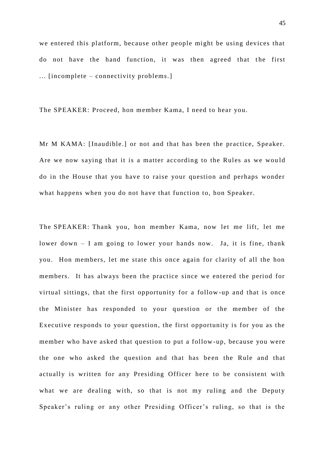we entered this platform, because other people might be using devices that do not have the hand function, it was then agreed that the first ... [incomplete – connectivity problems.]

The SPEAKER: Proceed, hon member Kama, I need to hear you.

Mr M KAMA: [Inaudible.] or not and that has been the practice, Speaker. Are we now saying that it is a matter according to the Rules as we wou ld do in the House that you have to raise your question and perhaps wonder what happens when you do not have that function to, hon Speaker.

The SPEAKER: Thank you, hon member Kama, now let me lift, let me lower down – I am going to lower your hands now. Ja, it is fine, thank you. Hon members, let me state this once again for clarity of all the hon members. It has always been the practice since we entered the period for virtual sittings, that the first opportunity for a follow -up and that is once the Minister has responded to your question or the member of the Executive responds to your question, the first opportunity is for you as the member who have asked that question to put a follow -up, because you were the one who asked the question and that has be en the Rule and that actually is written for any Presiding Officer here to be consistent with what we are dealing with, so that is not my ruling and the Deputy Speaker's ruling or any other Presiding Officer's ruling, so that is the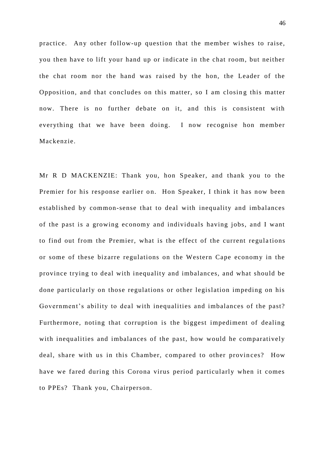practice. Any other follow-up question that the member wishes to raise, you then have to lift your hand up or indicate in the chat room, but neither the chat room nor the hand was raised by the hon, the Leader of the Opposition, and that concludes on this matter, so I am closing this matter now. There is no further debate on it, and this is consistent with everything that we have been doing. I now recognise hon member Mackenzie.

Mr R D MACKENZIE: Thank you, hon Speaker, and thank you to the Premier for his response earlier on. Hon Speaker, I think it has now been established by common-sense that to deal with inequality and imbalances of the past is a growing economy and individuals having jobs, and I want to find out from the Premier, what is the effect of the current regula tions or some of these bizarre regulations on the Western Cape economy in the province trying to deal with inequality and imbalances, and what should be done particularly on those regulations or other legislation impeding on his Government's ability to deal with inequalities and imbalances of the past? Furthermore, noting that corruption is the biggest impediment of dealing with inequalities and imbalances of the past, how would he comparatively deal, share with us in this Chamber, compared to other provinces? How have we fared during this Corona virus period particularly when it comes to PPEs? Thank you, Chairperson.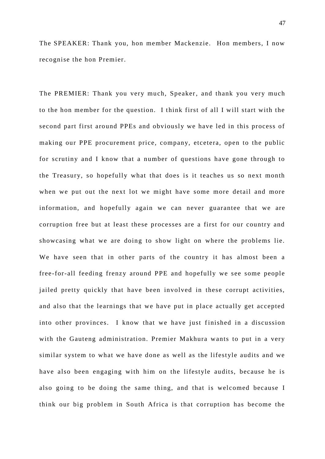The SPEAKER: Thank you, hon member Mackenzie. Hon members, I now recognise the hon Premier.

The PREMIER: Thank you very much, Speaker, and thank you very much to the hon member for the question. I think first of all I will start with the second part first around PPEs and obviously we have led in this process of making our PPE procurement price, company, etcetera, open to the public for scrutiny and I know that a number of questions have gone through to the Treasury, so hopefully what that does is it teaches us so next month when we put out the next lot we might have some more detail and more information, and hopefully again we can never guarantee that we are corruption free but at least these processes are a first for our country and showcasing what we are doing to show light on where the problems lie. We have seen that in other parts of the country it has almost been a free-for-all feeding frenzy around PPE and hopefully we see some people jailed pretty quickly that have been involved in these corrupt activities, and also that the learnings that we have put in place actually get accepted into other provinces. I know that we have just finished in a discussion with the Gauteng administration. Premier Makhura wants to put in a very similar system to what we have done as well as the lifestyle audits and we have also been engaging with him on the lifestyle audits, because he is also going to be doing the same thing, and that is welcomed because I think our big problem in South Africa is that corruption has become the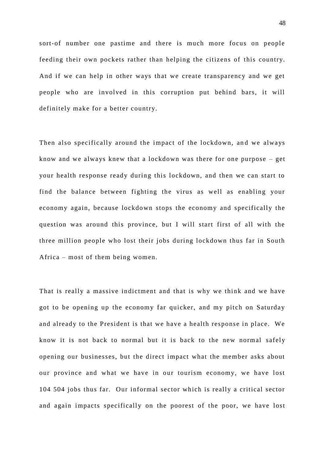sort-of number one pastime and there is much more focus on people feeding their own pockets rather than helping the citizens of this country. And if we can help in other ways that we create transparency and we get people who are involved in this corruption put behind bars, it will definitely make for a better country.

Then also specifically around the impact of the lockdown, and we always know and we always knew that a lockdown was there for one purpose – get your health response ready during this lockdown, and then we can start to find the balance between fighting the virus as well as enabling your economy again, because lockdown stops the economy and specifically the question was around this province, but I will start first of all with the three million people who lost their jobs during lockdown thus far in South Africa – most of them being women.

That is really a massive in dictment and that is why we think and we have got to be opening up the economy far quicker, and my pitch on Saturday and already to the President is that we have a health response in place. We know it is not back to normal but it is back to the new normal safely opening our businesses, but the direct impact what the member asks about our province and what we have in our tourism economy, we have lost 104 504 jobs thus far. Our informal sector which is really a critical sector and again impacts specifically on the poorest of the poor, we have lost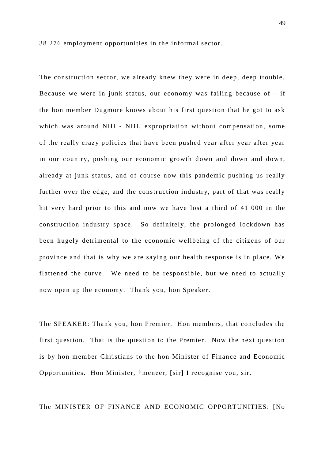38 276 employment opportunities in the informal sector.

The construction sector, we already knew they were in deep, deep trouble. Because we were in junk status, our economy was failing because of  $-$  if the hon member Dugmore knows about his first question that he got to ask which was around NHI - NHI, expropriation without compensation, some of the really crazy policies that have been pushed year after year after year in our country, pushing our economic growth down and down and down, already at junk status, and of course now this pandemic pushing us really further over the edge, and the construction industry, part of that was really hit very hard prior to this and now we have lost a third of 41 000 in the construction industry space. So definitely, the prolonged lockdown has been hugely detrimental to the economic wellbeing of the citizens of our province and that is why we are saying our health response is in place. We flattened the curve. We need to be responsible, but we need to actually now open up the economy. Thank you, hon Speaker.

The SPEAKER: Thank you, hon Premier. Hon members, that concludes the first question. That is the question to the Premier. Now the next question is by hon member Christians to the hon Minister of Finance and Economic Opportunities. Hon Minister, †meneer, **[**sir**]** I recognise you, sir.

The MINISTER OF FINANCE AND ECONOMIC OPPORTUNITIES: [No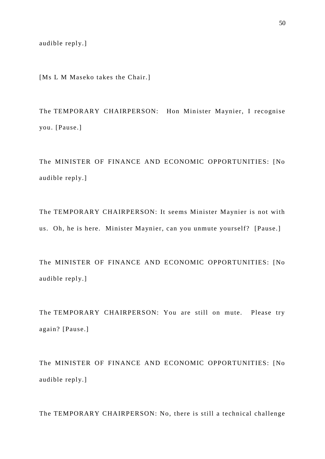audible reply.]

[Ms L M Maseko takes the Chair.]

The TEMPORARY CHAIRPERSON: Hon Minister Maynier, I recognise you. [Pause.]

The MINISTER OF FINANCE AND ECONOMIC OPPORTUNITIES: [No audible reply.]

The TEMPORARY CHAIRPERSON: It seems Minister Maynier is not with us. Oh, he is here. Minister Maynier, can you unmute yourself? [Pause.]

The MINISTER OF FINANCE AND ECONOMIC OPPORTUNITIES: [No audible reply.]

The TEMPORARY CHAIRPERSON: You are still on mute. Please try again? [Pause.]

The MINISTER OF FINANCE AND ECONOMIC OPPORTUNITIES: [No audible reply.]

The TEMPORARY CHAIRPERSON: No, there is still a technical challenge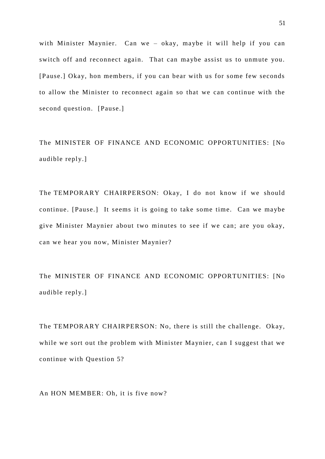with Minister Maynier. Can we – okay, maybe it will help if you can switch off and reconnect again. That can maybe assist us to unmute you. [Pause.] Okay, hon members, if you can bear with us for some few seconds to allow the Minister to reconnect again so that we can continue with the second question. [Pause.]

The MINISTER OF FINANCE AND ECONOMIC OPPORTUNITIES: [No audible reply.]

The TEMPORARY CHAIRPERSON: Okay, I do not know if we should continue. [Pause.] It seems it is going to take some time. Can we maybe give Minister Maynier about two minutes to see if we can; are you okay, can we hear you now, Minister Maynier?

The MINISTER OF FINANCE AND ECONOMIC OPPORTUNITIES: [No audible reply.]

The TEMPORARY CHAIRPERSON: No, there is still the challenge. Okay, while we sort out the problem with Minister Maynier, can I suggest that we continue with Question 5?

An HON MEMBER: Oh, it is five now?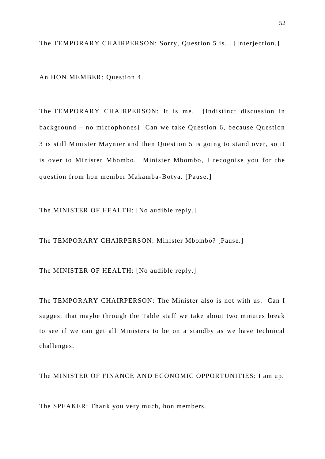The TEMPORARY CHAIRPERSON: Sorry, Question 5 is... [Interjection.]

An HON MEMBER: Question 4.

The TEMPORARY CHAIRPERSON: It is me. [Indistinct discussion in background – no microphones] Can we take Question 6, because Question 3 is still Minister Maynier and then Question 5 is going to stand over, so it is over to Minister Mbombo. Minister Mbombo, I recognise you for the question from hon member Makamba-Botya. [Pause.]

The MINISTER OF HEALTH: [No audible reply.]

The TEMPORARY CHAIRPERSON: Minister Mbombo? [Pause.]

The MINISTER OF HEALTH: [No audible reply.]

The TEMPORARY CHAIRPERSON: The Minister also is not with us. Can I suggest that maybe through the Table staff we take about two minutes break to see if we can get all Ministers to be on a standby as we have technical challenges.

The MINISTER OF FINANCE AND ECONOMIC OPPORTUNITIES: I am up.

The SPEAKER: Thank you very much, hon members.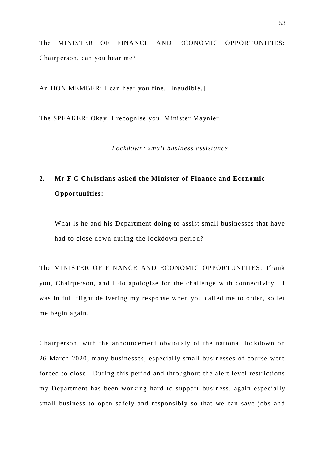The MINISTER OF FINANCE AND ECONOMIC OPPORTUNITIES: Chairperson, can you hear me?

An HON MEMBER: I can hear you fine. [Inaudible.]

The SPEAKER: Okay, I recognise you, Minister Maynier.

*Lockdown: small business assistance* 

## **2. Mr F C Christians asked the Minister of Finance and Economic Opportunities:**

What is he and his Department doing to assist small businesses that have had to close down during the lockdown period?

The MINISTER OF FINANCE AND ECONOMIC OPPORTUNITIES: Thank you, Chairperson, and I do apologise for the challenge with connectivity. I was in full flight delivering my response when you called me to order, so let me begin again.

Chairperson, with the announcement obviously of the national lockdown on 26 March 2020, many businesses, especially small businesses of course were forced to close. During this period and throughout the alert level restrictions my Department has been working hard to support business, again especially small business to open safely and responsibly so that we can save jobs and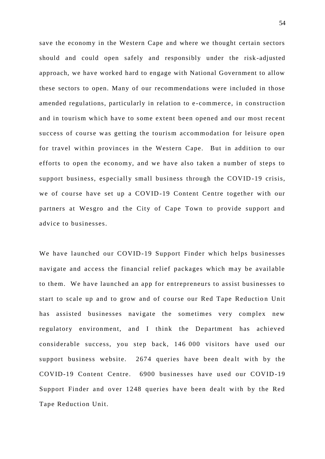save the economy in the Western Cape and where we thought certain sectors should and could open safely and responsibly under the risk -adjusted approach, we have worked hard to engage with National Government to allow these sectors to open. Many of our recommendations were included in those amended regulations, particularly in relation to e -commerce, in construction and in tourism which have to some extent been opened and our most recent success of course was getting the tourism accommodation for leisure open for travel within provinces in the Western Cape. But in addition to our efforts to open the economy, and we have also taken a number of steps to support business, especially small business through the COVID-19 crisis, we of course have set up a COVID-19 Content Centre together with our partners at Wesgro and the City of Cape Town to provide support and advice to businesses.

We have launched our COVID-19 Support Finder which helps businesses navigate and access the financial relief packages which may be available to them. We have launched an app for entrepreneurs to assist businesses to start to scale up and to grow and of course our Red Tape Reduction Unit has assisted businesses navigate the sometimes very complex new regulatory environment, and I think the Department has achieved considerable success, you step back, 146 000 visitors have used our support business website. 2674 queries have been dealt with by the COVID-19 Content Centre. 6900 businesses have used our COVID -19 Support Finder and over 1248 queries have been dealt with by the Red Tape Reduction Unit.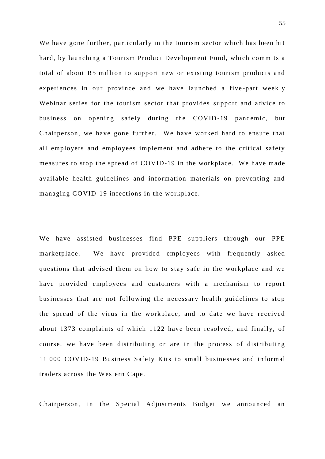We have gone further, particularly in the tourism sector which has been hit hard, by launching a Tourism Product Development Fund, which commits a total of about R5 million to support new or existing tourism products and experiences in our province and we have launched a five -part weekly Webinar series for the tourism sector that provides support and advice to business on opening safely during the COVID -19 pandemic, but Chairperson, we have gone further. We have worked hard to ensure that all employers and employees implement and adhere to the critical safety measures to stop the spread of COVID-19 in the workplace. We have made available health guidelines and information materials on preventing and managing COVID-19 infections in the workplace.

We have assisted businesses find PPE suppliers through our PPE marketplace. We have provided employees with frequently asked questions that advised them on how to stay safe in the workplace and we have provided employees and customers with a mechanism to report businesses that are not following the necessary health guidelines to stop the spread of the virus in the workplace, and to date we have received about 1373 complaints of which 1122 have been resolved, and finally, of course, we have been distributing or are in the process of distributing 11 000 COVID-19 Business Safety Kits to small busine sses and informal traders across the Western Cape.

Chairperson, in the Special Adjustments Budget we announced an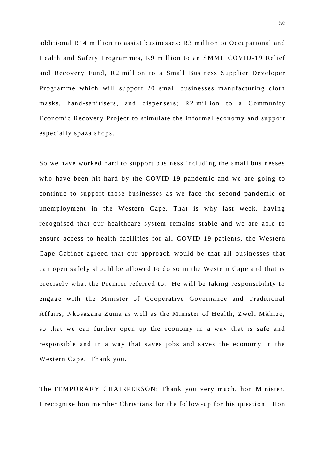additional R14 million to assist businesses: R3 million to Occupational and Health and Safety Programmes, R9 million to an SMME COVID-19 Relief and Recovery Fund, R2 million to a Small Business Supplier Developer Programme which will support 20 small businesses manufacturing cloth masks, hand-sanitisers, and dispensers; R2 million to a Community Economic Recovery Project to stimulate the informal economy and support especially spaza shops.

So we have worked hard to support business including the small businesses who have been hit hard by the COVID-19 pandemic and we are going to continue to support those businesses as we face the second pan demic of unemployment in the Western Cape. That is why last week, having recognised that our healthcare system remains stable and we are able to ensure access to health facilities for all COVID -19 patients, the Western Cape Cabinet agreed that our approach would be that all businesses that can open safely should be allowed to do so in the Western Cape and that is precisely what the Premier referred to. He will be taking responsibility to engage with the Minister of Cooperative Governance and Traditional Affairs, Nkosazana Zuma as well as the Minister of Health, Zweli Mkhize, so that we can further open up the economy in a way that is safe and responsible and in a way that saves jobs and saves the economy in the Western Cape. Thank you.

The TEMPORARY CHAIRPERSON: Thank you very much, hon Minister. I recognise hon member Christians for the follow -up for his question. Hon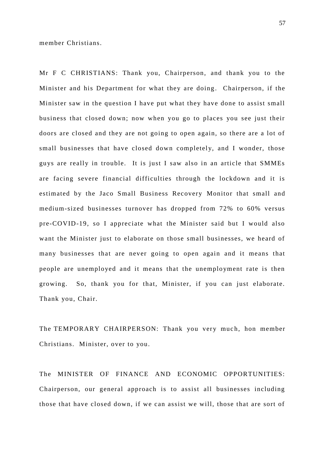member Christians.

Mr F C CHRISTIANS: Thank you, Chairperson, and thank you to the Minister and his Department for what they are doing. Chairperson, if the Minister saw in the question I have put what they have done to assist small business that closed down; now when you go to places you see just their doors are closed and they are not going to open again, so there are a lot of small businesses that have closed down completely, and I wonder, those guys are really in trouble. It is just I saw also in an article that SMMEs are facing severe financial difficulties through the lockdown and it is estimated by the Jaco Small Business Recovery Monitor that small and medium-sized businesses turnover has dropped from 72% to 60% versus pre-COVID-19, so I appreciate what the Minister said but I would also want the Minister just to elaborate on those small businesses, we heard of many businesses that are never going to open again and it means that people are unemployed and it means that the unemployment rate is then growing. So, thank you for that, Minister, if you can just elaborate. Thank you, Chair.

The TEMPORARY CHAIRPERSON: Thank you very much, hon member Christians. Minister, over to you.

The MINISTER OF FINANCE AND ECONOMIC OPPORTUNITIES: Chairperson, our general approach is to assist all businesses including those that have closed down, if we can assist we will, those that are sort of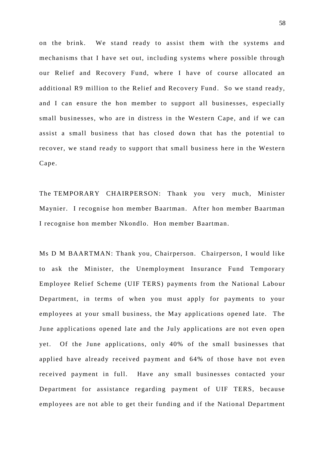on the brink. We stand ready to assist them with the systems and mechanisms that I have set out, including systems where possible through our Relief and Recovery Fund, where I have of course allocated an additional R9 million to the Relief and Recovery Fund. So we stand ready, and I can ensure the hon member to support all businesses, especially small businesses, who are in distress in the Western Cape, and if we can assist a small business that has closed down that has the potential to recover, we stand ready to support that small business here in the Western Cape.

The TEMPORARY CHAIRPERSON: Thank you very much, Minister Maynier. I recognise hon member Baartman. After hon member Baartman I recognise hon member Nkondlo. Hon member Baartman.

Ms D M BAARTMAN: Thank you, Chairperson. Chairperson, I would like to ask the Minister, the Unemployment Insurance Fund Temporary Employee Relief Scheme (UIF TERS) payments from the National Labour Department, in terms of when you must apply for payments to your employees at your small business, the May applications opened late. The June applications opened late and the July applications are not even open yet. Of the June applications, only 40% of the small businesses that applied have already received payment and 64% of those have not even received payment in full. Have any small businesses contacted your Department for assistance regarding payment of UIF TERS, because employees are not able to get their funding and if the National Department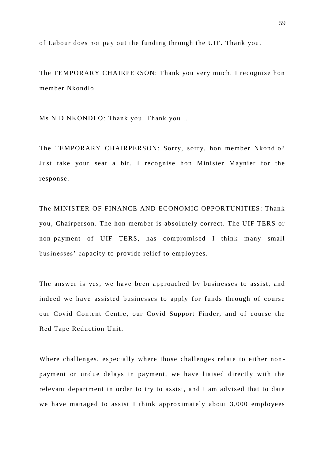of Labour does not pay out the funding through the UIF. Thank you.

The TEMPORARY CHAIRPERSON: Thank you very much. I recognise hon member Nkondlo.

Ms N D NKONDLO: Thank you. Thank you…

The TEMPORARY CHAIRPERSON: Sorry, sorry, hon member Nkondlo? Just take your seat a bit. I recognise hon Minister Maynier for the response.

The MINISTER OF FINANCE AND ECONOMIC OPPORTUNITIES: Thank you, Chairperson. The hon member is absolutely correct. The UIF TERS or non-payment of UIF TERS, has compromised I think many small businesses' capacity to provide relief to employees.

The answer is yes, we have been approached by businesses to assist, and indeed we have assisted businesses to apply for funds through of course our Covid Content Centre, our Covid Support Finder, and of course the Red Tape Reduction Unit.

Where challenges, especially where those challenges relate to either nonpayment or undue delays in payment, we have liaised directly with the relevant department in order to try to assist, and I am advised that to date we have managed to assist I think approximately about 3,000 employees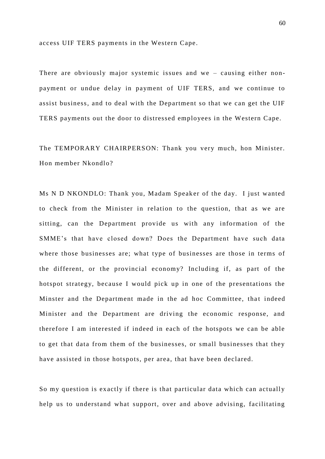access UIF TERS payments in the Western Cape.

There are obviously major systemic issues and we – causing either nonpayment or undue delay in payment of UIF TERS, and we continue to assist business, and to deal with the Department so that we can get the UIF TERS payments out the door to distressed employees in the Western Cape.

The TEMPORARY CHAIRPERSON: Thank you very much, hon Minister. Hon member Nkondlo?

Ms N D NKONDLO: Thank you, Madam Speaker of the day. I just wanted to check from the Minister in relation to the question, that as we are sitting, can the Department provide us with any information of the SMME's that have closed down? Does the Department have such data where those businesses are; what type of businesses are those in terms of the different, or the provincial economy? Including if, as part of the hotspot strategy, because I would pick up in one of the presentations the Minster and the Department made in the ad hoc Committee, that indeed Minister and the Department are driving the economic response, and therefore I am interested if indeed in each of the hotspots we can be able to get that data from them of the businesses, or small businesses that they have assisted in those hotspots, per area, that have been declared.

So my question is exactly if there is that particular data which can actually help us to understand what support, over and above advising, facilitating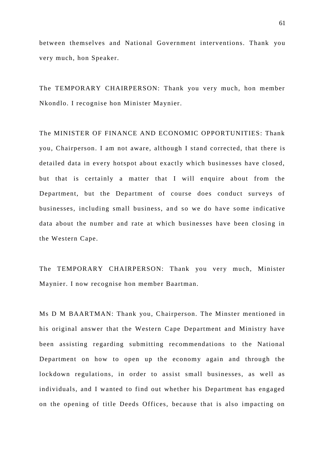between themselves and National Government interventions. Thank you very much, hon Speaker.

The TEMPORARY CHAIRPERSON: Thank you very much, hon member Nkondlo. I recognise hon Minister Maynier.

The MINISTER OF FINANCE AND ECONOMIC OPPORTUNITIES: Thank you, Chairperson. I am not aware, although I stand corrected, that there is detailed data in every hotspot about exactly which businesses have closed, but that is certainly a matter that I will enquire about from the Department, but the Department of course does conduct surveys of businesses, including small business, and so we do have some indicative data about the number and rate at which businesses have been closing in the Western Cape.

The TEMPORARY CHAIRPERSON: Thank you very much, Minister Maynier. I now recognise hon member Baartman.

Ms D M BAARTMAN: Thank you, Chairperson. The Minster mentioned in his original answer that the Western Cape Department and Ministry have been assisting regarding submitting recommendations to the National Department on how to open up the economy again and through the lockdown regulations, in order to assist small businesses, as well as individuals, and I wanted to find out whether his Department has engaged on the opening of title Deeds Offices, because that is also impacting on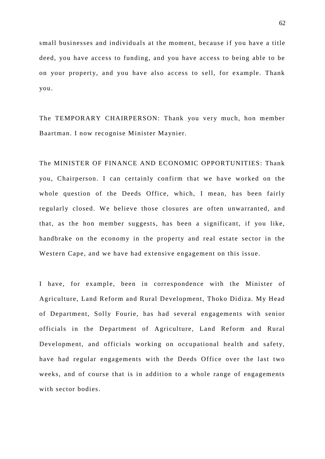small businesses and individuals at the moment, because if you have a title deed, you have access to funding, and you have access to being able to be on your property, and you have also access to sell, for example. Thank you.

The TEMPORARY CHAIRPERSON: Thank you very much, hon member Baartman. I now recognise Minister Maynier.

The MINISTER OF FINANCE AND ECONOMIC OPPORTUNITIES: Thank you, Chairperson. I can certainly confirm that we have worked on the whole question of the Deeds Office, which, I mean, has been fairly regularly closed. We believe those closures are often unwarranted, and that, as the hon member suggests, has been a significant, if you like, handbrake on the economy in the property and real estate sector in the Western Cape, and we have had extensive engagement on this issue.

I have, for example, been in correspondence with the Minister of Agriculture, Land Reform and Rural Development, Thoko Didiza. My Head of Department, Solly Fourie, has had several engagements with senior officials in the Department of Agriculture, Land Reform and Rural Development, and officials working on occupational health and safety, have had regular engagements with the Deeds Office over the last two weeks, and of course that is in addition to a whole range of engagements with sector bodies.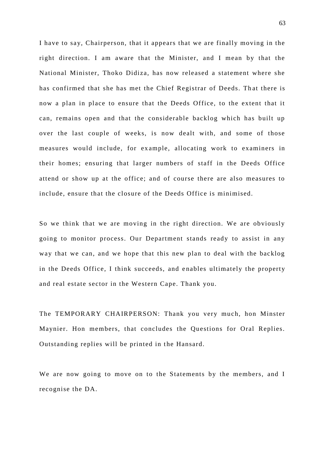I have to say, Chairperson, that it appears that we are finally moving in the right direction. I am aware that the Minister, and I mean by that the National Minister, Thoko Didiza, has now released a statement where she has confirmed that she has met the Chief Registrar of Deeds. That there is now a plan in place to ensure that the Deeds Office, to the extent that it can, remains open and that the considerable backlog which has built up over the last couple of weeks, is now dealt with, and some of those measures would include, for ex ample, allocating work to examiners in their homes; ensuring that larger numbers of staff in the Deeds Office attend or show up at the office; and of course there are also measures to include, ensure that the closure of the Deeds Office is minimised.

So we think that we are moving in the right direction. We are obviously going to monitor process. Our Department stands ready to assist in any way that we can, and we hope that this new plan to deal with the backlog in the Deeds Office, I think succeeds, and enables ultimately the property and real estate sector in the Western Cape. Thank you.

The TEMPORARY CHAIRPERSON: Thank you very much, hon Minster Maynier. Hon members, that concludes the Questions for Oral Replies. Outstanding replies will be printed in the Hansard.

We are now going to move on to the Statements by the members, and I recognise the DA.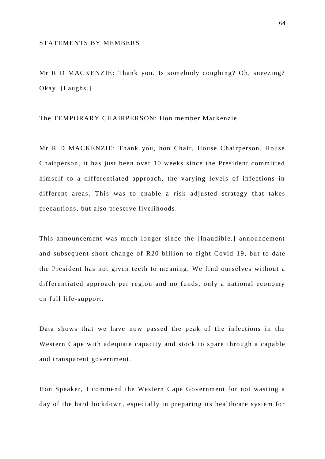## STATEMENTS BY MEMBERS

Mr R D MACKENZIE: Thank you. Is somebody coughing? Oh, sneezing? Okay. [Laughs.]

The TEMPORARY CHAIRPERSON: Hon member Mackenzie.

Mr R D MACKENZIE: Thank you, hon Chair, House Chairperson. House Chairperson, it has just been over 10 weeks since the President committed himself to a differentiated approach, the varying levels of infections in different areas. This was to enable a risk adjusted strategy that takes precautions, but also preserve livelihoods.

This announcement was much longer since the [Inaudible.] announcement and subsequent short-change of R20 billion to fight Covid -19, but to date the President has not given teeth to me aning. We find ourselves without a differentiated approach per region and no funds, only a national economy on full life-support.

Data shows that we have now passed the peak of the infections in the Western Cape with adequate capacity and stock to spare through a capable and transparent government.

Hon Speaker, I commend the Western Cape Government for not wasting a day of the hard lockdown, especially in preparing its healthcare system for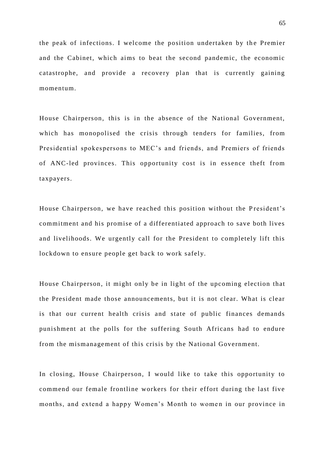the peak of infections. I welcome the position undertaken by the Premier and the Cabinet, which aims to beat the second pandemic, the economic catastrophe, and provide a recovery plan that is currently gaining momentum.

House Chairperson, this is in the absence of the National Government, which has monopolised the crisis through tenders for families, from Presidential spokespersons to MEC's and friends, and Premiers of friends of ANC-led provinces. This opportunity cost is in essence theft from taxpayers.

House Chairperson, we have reached this position without the President's commitment and his promise of a differentiated approach to save both lives and livelihoods. We urgently call for the President to completely lift this lockdown to ensure people get back to work safely.

House Chairperson, it might only be in light of the upcoming election that the President made those announcements, but it is not clear. What is clear is that our current health crisis and state of public finances demands punishment at the polls for the suffering South Africans had to endure from the mismanagement of this crisis by the National Government.

In closing, House Chairperson, I would like to take this opportunity to commend our female frontline workers for their effort during the last five months, and extend a happy Women's Month to women in our province in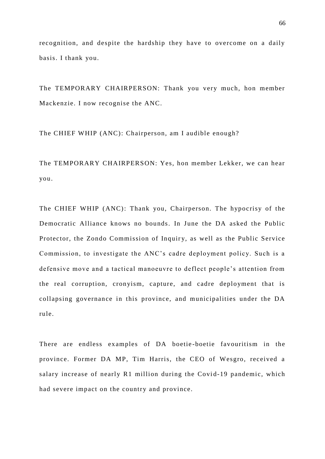recognition, and despite the hardship they have to overcome on a daily basis. I thank you.

The TEMPORARY CHAIRPERSON: Thank you very much, hon member Mackenzie. I now recognise the ANC.

The CHIEF WHIP (ANC): Chairperson, am I audible enough?

The TEMPORARY CHAIRPERSON: Yes, hon member Lekker, we can hear you.

The CHIEF WHIP (ANC): Thank you, Chairperson. The hypocrisy of the Democratic Alliance knows no bounds. In June the DA asked the Public Protector, the Zondo Commission of Inquiry, as well as the Public Service Commission, to investigate the ANC's cadre deployment policy. Such is a defensive move and a tactical manoeuvre to deflect people's attention from the real corruption, cronyism, capture, and cadre deployment that is collapsing governance in this province, and municipalities under the DA rule.

There are endless examples of DA boetie -boetie favouritism in the province. Former DA MP, Tim Harris, the CEO of Wesgro, received a salary increase of nearly R1 million during the Covid-19 pandemic, which had severe impact on the country and province.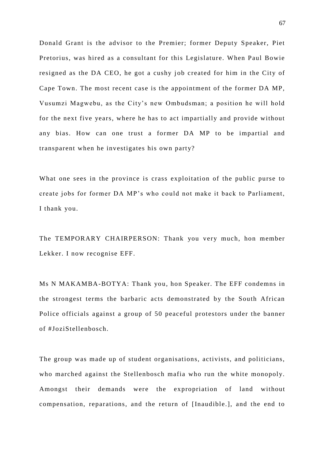Donald Grant is the advisor to the Premier; former Deputy Speaker, Piet Pretorius, was hired as a consultant for this Legislature. When Paul Bowie resigned as the DA CEO, he got a cushy job created for him in the City of Cape Town. The most recent case is the appointment of the former DA MP, Vusumzi Magwebu, as the City's new Ombudsman; a position he will hold for the next five years, where he has to act impartially and provide without any bias. How can one trust a former DA MP to be impartial and transparent when he investigates his own party?

What one sees in the province is crass exploitation of the public purse to create jobs for former DA MP's who could not make it back to Parliament, I thank you.

The TEMPORARY CHAIRPERSON: Thank you very much, hon member Lekker. I now recognise EFF.

Ms N MAKAMBA-BOTYA: Thank you, hon Speaker. The EFF condemns in the strongest terms the barbaric acts demonstrated by the South African Police officials against a group of 50 peaceful protestors under the banner of #JoziStellenbosch.

The group was made up of student organisations, activists, and politicians, who marched against the Stellenbosch mafia who run the white monopoly. Amongst their demands were the expropriation of land without compensation, reparations, and the return of [Inaudible.], and the end to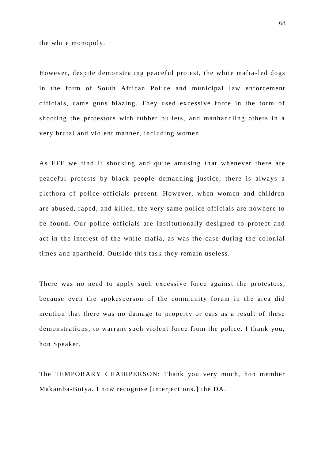the white monopoly.

However, despite demonstrating peaceful protest, the white mafia -led dogs in the form of South African Police and municipal law enforcement officials, came guns blazing. They used excessive force in the form of shooting the protestors with rubber bullets, and manhandling others in a very brutal and violent manner, including women.

As EFF we find it shocking and quite amusing that whenever there are peaceful protests by black people demanding justice, there is always a plethora of police officials present. However, when women and children are abused, raped, and killed, the very same police officials are nowhere to be found. Our police officials are institutionally designed to protect and act in the interest of the white mafia, as was the case during the colonial times and apartheid. Outside this task they remain useless.

There was no need to apply such excessive force against the protestors, because even the spokesperson of the community forum in the area did mention that there was no damage to property or cars as a result of these demonstrations, to warrant such violent force from the police. I thank you, hon Speaker.

The TEMPORARY CHAIRPERSON: Thank you very much, hon member Makamba-Botya. I now recognise [interjections.] the DA.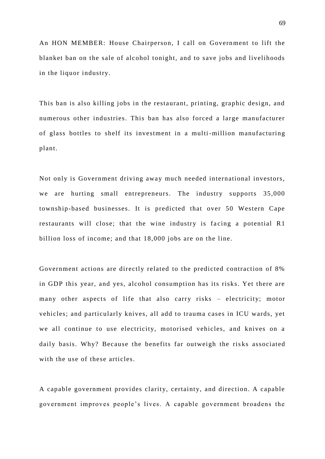An HON MEMBER: House Chairperson, I call on Government to lift the blanket ban on the sale of alcohol tonight, and to save jobs and livelihoods in the liquor industry.

This ban is also killing jobs in the restaurant, printing, graphic design, and numerous other industries. This ban has also forced a large manufacturer of glass bottles to shelf its investment in a multi-million manufacturing plant.

Not only is Government driving away much needed international investors, we are hurting small entrepreneurs. The industry supports 35,000 township-based businesses. It is predicted that over 50 Western Cape restaurants will close; that the wine industry is facing a potential R1 billion loss of income; and that 18,000 jobs are on the line.

Government actions are directly related to the predicted contraction of 8% in GDP this year, and yes, alcohol consumption has its risks. Yet there are many other aspects of life that also carry risks – electricity; motor vehicles; and particularly knives, all add to trauma cases in ICU wards, yet we all continue to use electricity, motorised vehicles, and knives on a daily basis. Why? Because the benefits far outweigh the risks associated with the use of these articles.

A capable government provides clarity, certainty, and direction. A capable government improves people's lives. A capable government broadens the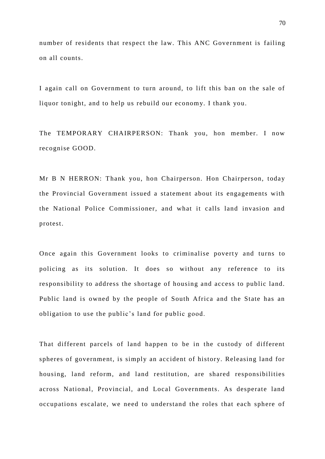number of residents that respect the law. This ANC Government is failing on all counts.

I again call on Government to turn around, to lift this ban on the sale of liquor tonight, and to help us rebuild our economy. I thank you.

The TEMPORARY CHAIRPERSON: Thank you, hon member. I now recognise GOOD.

Mr B N HERRON: Thank you, hon Chairperson. Hon Chairperson, today the Provincial Government issued a statement about its engagements with the National Police Commissioner, and what it calls land invasion and protest.

Once again this Government looks to criminalise poverty and turns to policing as its solution. It does so without any reference to its responsibility to address the shortage of housing and access to public land. Public land is owned by the people of South Africa and the State has an obligation to use the public's land for public good.

That different parcels of land happen to be in the custody of different spheres of government, is simply an accident of history. Releasing land for housing, land reform, and land restitution, are shared responsibilities across National, Provincial, and Local Governments. As desperate land occupations escalate, we need to understand the roles that each sphere of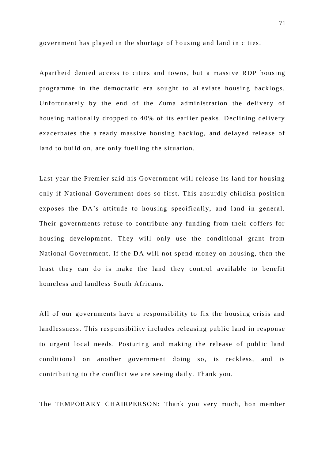government has played in the shortage of housing and land in cities.

Apartheid denied access to cities and towns, but a massive RDP housing programme in the democratic era sought to alleviate housing backlogs. Unfortunately by the end of the Zuma administration the delivery of housing nationally dropped to 40% of its earlier peaks. Declining delivery exacerbates the already massive housing backlog, and delayed release of land to build on, are only fuelling the situation.

Last year the Premier said his Government will release its land for housing only if National Government does so first. This absurdly childish position exposes the DA's attitude to housing specifically, and land in general. Their governments refuse to contribute any funding from their coffers for housing development. They will only use the conditional grant from National Government. If the DA will not spend money on housing, then the least they can do is make the land they control available to benefit homeless and landless South Africans.

All of our governments have a responsibility to fix the housing crisis and landlessness. This responsibility includes releasing public land in response to urgent local needs. Posturing and making the release of public land conditional on another government doing so, is reckless, and is contributing to the conflict we are seeing daily. Thank you.

The TEMPORARY CHAIRPERSON: Thank you very much, hon member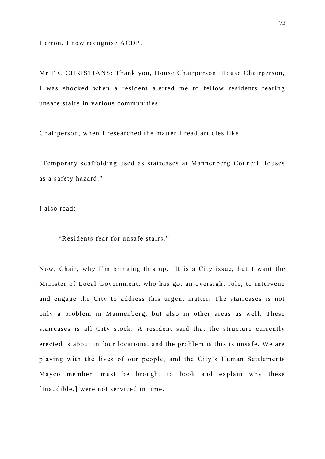Herron. I now recognise ACDP.

Mr F C CHRISTIANS: Thank you, House Chairperson. House Chairperson, I was shocked when a resident alerted me to fellow residents fearing unsafe stairs in various communities.

Chairperson, when I researched the matter I read articles like:

"Temporary scaffolding used as staircases at Mannenberg Council Houses as a safety hazard."

I also read:

"Residents fear for unsafe stairs."

Now, Chair, why I'm bringing this up. It is a City issue, but I want the Minister of Local Government, who has got an oversight role, to intervene and engage the City to address this urgent matter. The staircases is not only a problem in Mannenberg, but also in other areas as well. These staircases is all City stock. A resident said that the structure currently erected is about in four locations, and the problem is this is unsafe. We are playing with the lives of our people, and the City's Human Settlements Mayco member, must be brought to book and explain why these [Inaudible.] were not serviced in time.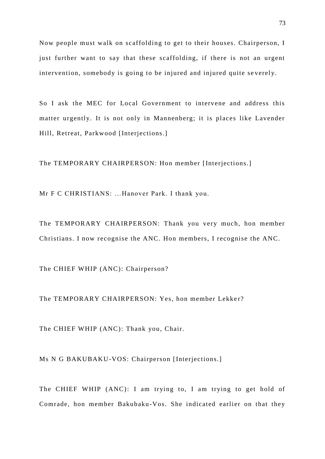Now people must walk on scaffolding to get to their houses. Chairperson, I just further want to say that these scaffolding, if there is not an urgent intervention, somebody is going to be injured and injured quite se verely.

So I ask the MEC for Local Government to intervene and address this matter urgently. It is not only in Mannenberg; it is places like Lavender Hill, Retreat, Parkwood [Interjections.]

The TEMPORARY CHAIRPERSON: Hon member [Interjections.]

Mr F C CHRISTIANS: …Hanover Park. I thank you.

The TEMPORARY CHAIRPERSON: Thank you very much, hon member Christians. I now recognise the ANC. Hon members, I recognise the ANC.

The CHIEF WHIP (ANC): Chairperson?

The TEMPORARY CHAIRPERSON: Yes, hon member Lekker?

The CHIEF WHIP (ANC): Thank you, Chair.

Ms N G BAKUBAKU-VOS: Chairperson [Interjections.]

The CHIEF WHIP (ANC): I am trying to, I am trying to get hold of Comrade, hon member Bakubaku-Vos. She indicated earlier on that they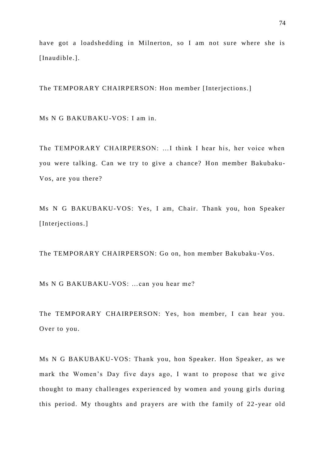have got a loadshedding in Milnerton, so I am not sure where she is [Inaudible.].

The TEMPORARY CHAIRPERSON: Hon member [Interjections.]

Ms N G BAKUBAKU-VOS: I am in.

The TEMPORARY CHAIRPERSON: …I think I hear his, her voice when you were talking. Can we try to give a chance? Hon member Bakubaku-Vos, are you there?

Ms N G BAKUBAKU-VOS: Yes, I am, Chair. Thank you, hon Speaker [Interjections.]

The TEMPORARY CHAIRPERSON: Go on, hon member Bakubaku -Vos.

Ms N G BAKUBAKU-VOS: …can you hear me?

The TEMPORARY CHAIRPERSON: Yes, hon member, I can hear you. Over to you.

Ms N G BAKUBAKU-VOS: Thank you, hon Speaker. Hon Speaker, as we mark the Women's Day five days ago, I want to propose that we give thought to many challenges experienced by women and young girls during this period. My thoughts and prayers are with the family of 22 -year old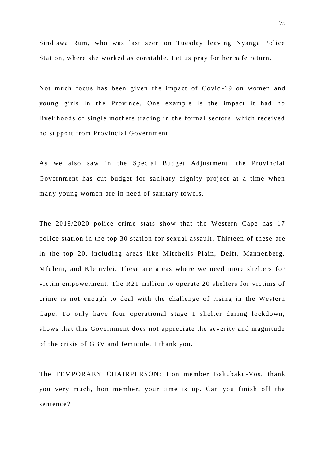Sindiswa Rum, who was last seen on Tuesday leaving Nyanga Police Station, where she worked as constable. Let us pray for her safe return.

Not much focus has been given the impact of Covid -19 on women and young girls in the Province. One example is the impact it had no livelihoods of single mothers trading in the formal sectors, which received no support from Provincial Government.

As we also saw in the Special Budget Adjustment, the Provincial Government has cut budget for sanitary dignity project at a time when many young women are in need of sanitary towels.

The 2019/2020 police crime stats show that the Western Cape has 17 police station in the top 30 station for sexual assault. Thirteen of these are in the top 20, including areas like Mitchells Plain, Delft, Mannenberg, Mfuleni, and Kleinvlei. These are areas where we need more shelters for victim empowerment. The R21 million to operate 20 shelters for victims of crime is not enough to deal with the challenge of rising in the Western Cape. To only have four operational stage 1 shelter during lockdown, shows that this Government does not appreciate the severity and magnitude of the crisis of GBV and femicide. I thank you.

The TEMPORARY CHAIRPERSON: Hon member Bakubaku-Vos, thank you very much, hon member, your time is up. Can you finish off the sentence?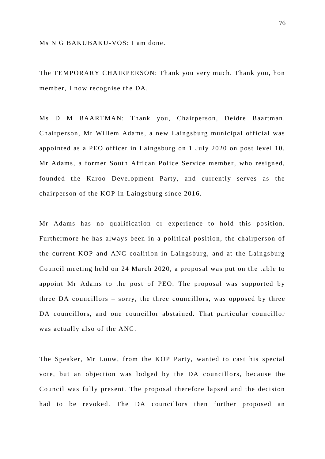Ms N G BAKUBAKU-VOS: I am done.

The TEMPORARY CHAIRPERSON: Thank you very much. Thank you, hon member, I now recognise the DA.

Ms D M BAARTMAN: Thank you, Chairperson, Deidre Baartman. Chairperson, Mr Willem Adams, a new Laingsburg municipal official was appointed as a PEO officer in Laingsburg on 1 July 2020 on post level 10. Mr Adams, a former South African Police Service member, who resigned, founded the Karoo Development Party, and currently serves as the chairperson of the KOP in Laingsburg since 2016.

Mr Adams has no qualification or experience to hold this position. Furthermore he has always been in a political position, the chairperson of the current KOP and ANC coalition in Laingsburg, and at the Laingsburg Council meeting held on 24 March 2020, a proposal was put on the table to appoint Mr Adams to the post of PEO. The proposal was supported by three DA councillors – sorry, the three councillors, was opposed by three DA councillors, and one councillor abstained. That particular councillor was actually also of the ANC.

The Speaker, Mr Louw, from the KOP Party, wanted to cast his special vote, but an objection was lodged by the DA councillors, because the Council was fully present. The proposal therefore lapsed and the decision had to be revoked. The DA councillors then further proposed an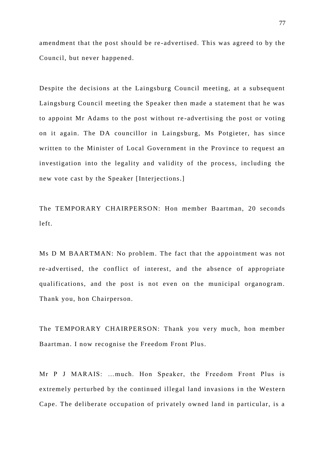amendment that the post should be re -advertised. This was agreed to by the Council, but never happened.

Despite the decisions at the Laingsburg Council meeting, at a subsequent Laingsburg Council meeting the Speaker then made a statement that he was to appoint Mr Adams to the post without re -advertising the post or voting on it again. The DA councillor in Laingsburg, Ms Potgieter, has since written to the Minister of Local Government in the Province to request an investigation into the legality and validity of the process, including the new vote cast by the Speaker [Interjections.]

The TEMPORARY CHAIRPERSON: Hon member Baartman, 20 seconds left.

Ms D M BAARTMAN: No problem. The fact that the appointment was not re-advertised, the conflict of interest, and the absence of appropriate qualifications, and the post is not even on the municipal organogram. Thank you, hon Chairperson.

The TEMPORARY CHAIRPERSON: Thank you very much, hon member Baartman. I now recognise the Freedom Front Plus.

Mr P J MARAIS: …much. Hon Speaker, the Freedom Front Plus is extremely perturbed by the continued illegal land invasions in the Western Cape. The deliberate occupation of privately owned land in particular, is a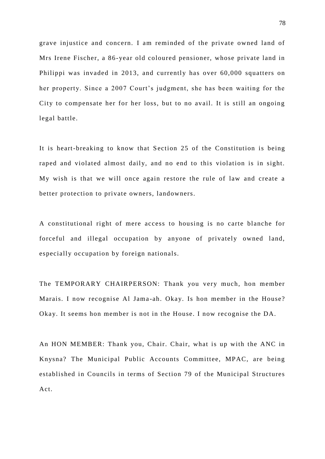grave injustice and concern. I am reminded of the private owned land of Mrs Irene Fischer, a 86-year old coloured pensioner, whose private land in Philippi was invaded in 2013, and currently has over 60,000 squatters on her property. Since a 2007 Court's judgment, she has been waiting for the City to compensate her for her loss, but to no avail. It is still an ongoing legal battle.

It is heart-breaking to know that Section 25 of the Constitution is being raped and violated almost daily, and no end to this violation is in sight. My wish is that we will once again restore the rule of law and create a better protection to private owners, landowners.

A constitutional right of mere access to housing is no carte blanche for forceful and illegal occupation by anyone of privately owned land, especially occupation by foreign nationals.

The TEMPORARY CHAIRPERSON: Thank you very much, hon member Marais. I now recognise Al Jama -ah. Okay. Is hon member in the House? Okay. It seems hon member is not in the House. I now recognise the DA.

An HON MEMBER: Thank you, Chair. Chair, what is up with the ANC in Knysna? The Municipal Public Accounts Committee, MPAC, are being established in Councils in terms of Section 79 of the Municipal Structures Act.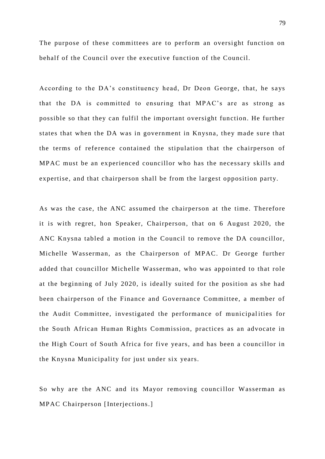The purpose of these committees are to perform an oversight function on behalf of the Council over the executive function of the Council.

According to the DA's constituency head, Dr Deon George, that, he says that the DA is committed to ensuring that MPAC's are as strong as possible so that they can fulfil the important oversight function. He further states that when the DA was in government in Knysna, they made sure that the terms of reference contained the stipulation that the chairperson of MPAC must be an experienced councillor who has the necessary skills and expertise, and that chairperson shall be from the largest opposition party.

As was the case, the ANC assumed the chairperson at the time. Therefore it is with regret, hon Speaker, Chairperson, that on 6 August 2020, the ANC Knysna tabled a motion in the Council to remove the DA councillor, Michelle Wasserman, as the Chairperson of MPAC. Dr George further added that councillor Michelle Wasserman, who was appointed to that role at the beginning of July 2020, is ideally suited for the position as she had been chairperson of the Finance and Governance Committee, a member of the Audit Committee, investigated the performance of municipal ities for the South African Human Rights Commission, practices as an advocate in the High Court of South Africa for five years, and has been a councillor in the Knysna Municipality for just under six years.

So why are the ANC and its Mayor removing councillor Wasserman as MPAC Chairperson [Interjections.]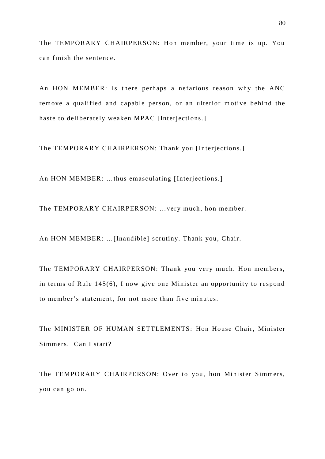The TEMPORARY CHAIRPERSON: Hon member, your time is up. You can finish the sentence.

An HON MEMBER: Is there perhaps a nefarious reason why the ANC remove a qualified and capable person, or an ulterior m otive behind the haste to deliberately weaken MPAC [Interjections.]

The TEMPORARY CHAIRPERSON: Thank you [Interjections.]

An HON MEMBER: …thus emasculating [Interjections.]

The TEMPORARY CHAIRPERSON: …very much, hon member.

An HON MEMBER: …[Inaudible] scrutiny. Thank you, Chair.

The TEMPORARY CHAIRPERSON: Thank you very much. Hon members, in terms of Rule 145(6), I now give one Minister an opportunity to respond to member's statement, for not more than five minutes.

The MINISTER OF HUMAN SETTLEMENTS: Hon House Chair, Minister Simmers. Can I start?

The TEMPORARY CHAIRPERSON: Over to you, hon Minister Simmers, you can go on.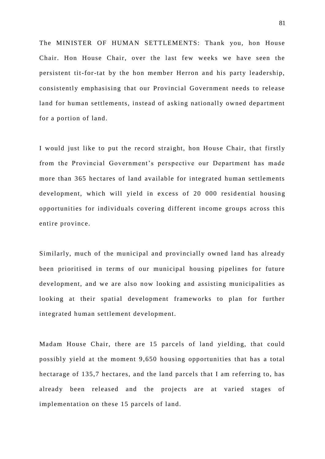The MINISTER OF HUMAN SETTLEMENTS: Thank you, hon House Chair. Hon House Chair, over the last few weeks we have seen the persistent tit-for-tat by the hon member Herron and his party leadership, consistently emphasising that our Provincial Government needs to release land for human settlements, instead of asking nationally owned department for a portion of land.

I would just like to put the record straight, hon House Chair, that firstly from the Provincial Government's perspective our Department has made more than 365 hectares of land available for integrated human settlements development, which will yield in excess of 20 000 residential housing opportunities for individuals covering different income groups across this entire province.

Similarly, much of the municipal and provincially owned land has already been prioritised in terms of our municipal housing pipelines for future development, and we are also now looking and assisting municipalities as looking at their spatial development frameworks to plan for further integrated human settlement development.

Madam House Chair, there are 15 parcels of land yielding, that could possibly yield at the moment 9,650 housing opportunities that has a total hectarage of 135,7 hectares, and the land parcels that I am referring to, has already been released and the projects are at varied stages of implementation on these 15 parcels of land.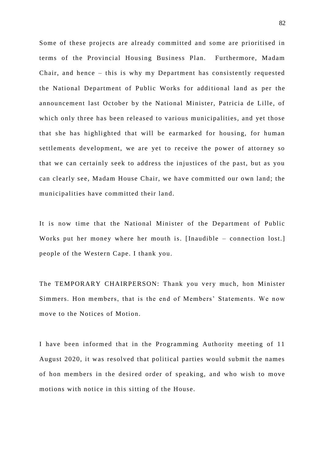Some of these projects are already committed and some are prioritised in terms of the Provincial Housing Business Plan. Furthermore, Madam Chair, and hence – this is why my Department has consistently requested the National Department of Public Works for additional land as per the announcement last October by the National Minister, Patricia de Lille, of which only three has been released to various municipalities, and yet those that she has highlighted that will be earmarked for housing, for human settlements development, we are yet to receive the power of attorney so that we can certainly seek to address the injustices of the past, but as you can clearly see, Madam House Chair, we have committed our own land; the municipalities have committed their land.

It is now time that the National Minister of the Department of Public Works put her money where her mouth is. [Inaudible – connection lost.] people of the Western Cape. I thank you.

The TEMPORARY CHAIRPERSON: Thank you very much, hon Minister Simmers. Hon members, that is the end of Members' Statements. We now move to the Notices of Motion.

I have been informed that in the Programming Authority meeting of 11 August 2020, it was resolved that political parties would submit the names of hon members in the desired order of speaking, and who wish to move motions with notice in this sitting of the House.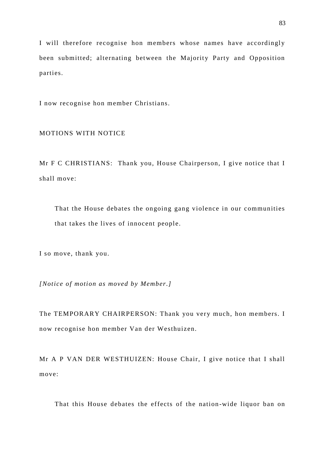I will therefore recognise hon members whose names have accordingly been submitted; alternating between the Majority Party and Opposition parties.

I now recognise hon member Christians.

## MOTIONS WITH NOTICE

Mr F C CHRISTIANS: Thank you, House Chairperson, I give notice that I shall move:

That the House debates the ongoing gang violence in our communities that takes the lives of innocent people.

I so move, thank you.

*[Notice of motion as moved by Member.]*

The TEMPORARY CHAIRPERSON: Thank you very much, hon members. I now recognise hon member Van der Westhuizen.

Mr A P VAN DER WESTHUIZEN: House Chair, I give notice that I shall move:

That this House debates the effects of the nation -wide liquor ban on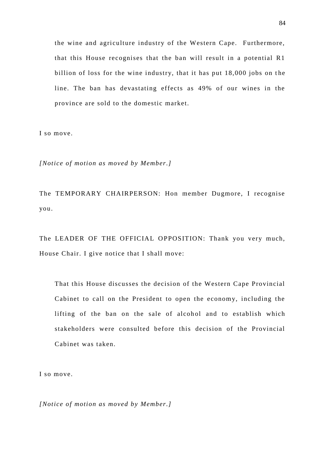the wine and agriculture industry of the Western Cape. Furthermore, that this House recognises that the ban will result in a potential R1 billion of loss for the wine industry, that it has put 18,000 jobs on the line. The ban has devastating effects as 49% of our wines in the province are sold to the domestic market.

I so move.

*[Notice of motion as moved by Member.]*

The TEMPORARY CHAIRPERSON: Hon member Dugmore, I recognise you.

The LEADER OF THE OFFICIAL OPPOSITION: Thank you very much, House Chair. I give notice that I shall move:

That this House discusses the decision of the Western Cape Provincial Cabinet to call on the President to open the economy, including the lifting of the ban on the sale of alcohol and to establish which stakeholders were consulted before this decision of the Provincial Cabinet was taken.

I so move.

*[Notice of motion as moved by Member.]*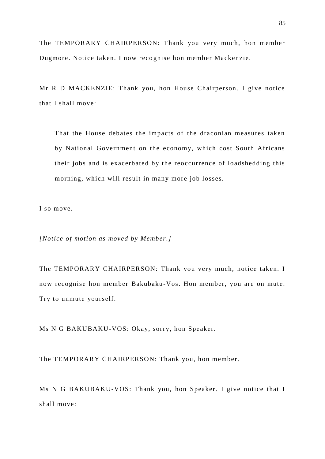The TEMPORARY CHAIRPERSON: Thank you very much, hon member Dugmore. Notice taken. I now reco gnise hon member Mackenzie.

Mr R D MACKENZIE: Thank you, hon House Chairperson. I give notice that I shall move:

That the House debates the impacts of the draconian measures taken by National Government on the economy, which cost South Africans their jobs and is exacerbated by the reoccurrence of loadshedding this morning, which will result in many more job losses.

I so move.

*[Notice of motion as moved by Member.]*

The TEMPORARY CHAIRPERSON: Thank you very much, notice taken. I now recognise hon member Bakubaku-Vos. Hon member, you are on mute. Try to unmute yourself.

Ms N G BAKUBAKU-VOS: Okay, sorry, hon Speaker.

The TEMPORARY CHAIRPERSON: Thank you, hon member.

Ms N G BAKUBAKU-VOS: Thank you, hon Speaker. I give notice that I shall move: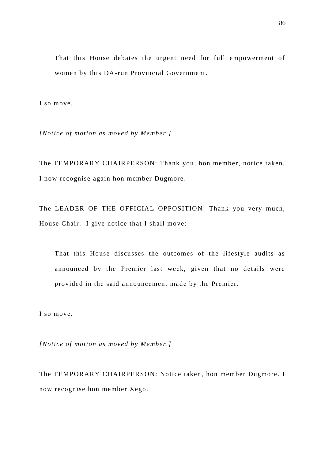That this House debates the urgent need for full empowerment of women by this DA-run Provincial Government.

I so move.

*[Notice of motion as moved by Member.]*

The TEMPORARY CHAIRPERSON: Thank you, hon member, notice taken. I now recognise again hon member Dugmore .

The LEADER OF THE OFFICIAL OPPOSITION: Thank you very much, House Chair. I give notice that I shall move:

That this House discusses the outcomes of the lifestyle audits as announced by the Premier last week, given that no details were provided in the said announcement made by the Premier.

I so move.

*[Notice of motion as moved by Member.]*

The TEMPORARY CHAIRPERSON: Notice taken, hon member Dugmore. I now recognise hon member Xego.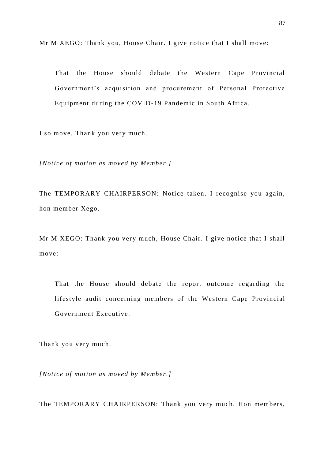Mr M XEGO: Thank you, House Chair. I give notice that I shall move:

That the House should debate the Western Cape Provincial Government's acquisition and procurement of Personal Protective Equipment during the COVID-19 Pandemic in South Africa.

I so move. Thank you very much.

*[Notice of motion as moved by Member.]*

The TEMPORARY CHAIRPERSON: Notice taken. I recognise you again, hon member Xego.

Mr M XEGO: Thank you very much, House Chair. I give notice that I shall move:

That the House should debate the report outcome regarding the lifestyle audit concerning members of the Western Cape Provincial Government Executive.

Thank you very much.

*[Notice of motion as moved by Member.]*

The TEMPORARY CHAIRPERSON: Thank you very much. Hon members,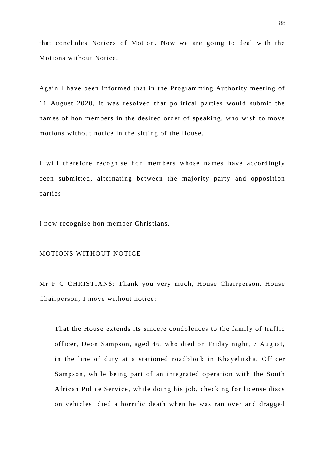that concludes Notices of Motion. Now we are going to deal with the Motions without Notice.

Again I have been informed that in the Programming Authority meeting of 11 August 2020, it was resolved that political parties would submit the names of hon members in the desired order of speaking, who wish to move motions without notice in the sitting of the House.

I will therefore recognise hon members whose names have accordingly been submitted, alternating between the majority party and opposition parties.

I now recognise hon member Christians.

## MOTIONS WITHOUT NOTICE

Mr F C CHRISTIANS: Thank you very much, House Chairperson. House Chairperson, I move without notice:

That the House extends its sincere condolences to the family of traffic officer, Deon Sampson, aged 46, who died on Friday night, 7 August, in the line of duty at a stationed roadblock in Khayelitsha. Officer Sampson, while being part of an integrated operation with the South African Police Service, while doing his job, checking for license discs on vehicles, died a horrific death when he was ran over and dragged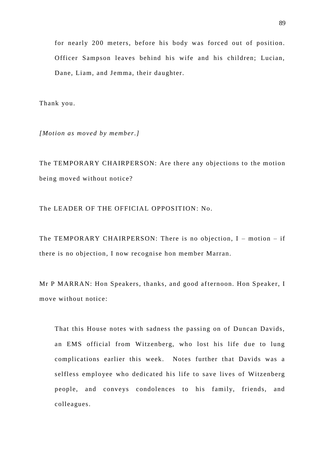for nearly 200 meters, before his body was forced out of position. Officer Sampson leaves behind his wife and his children; Lucian, Dane, Liam, and Jemma, their daughter.

Thank you.

*[Motion as moved by member.]*

The TEMPORARY CHAIRPERSON: Are there any objections to the motion being moved without notice?

The LEADER OF THE OFFICIAL OPPOSITION: No.

The TEMPORARY CHAIRPERSON: There is no objection,  $I$  – motion – if there is no objection, I now recognise hon member Marran.

Mr P MARRAN: Hon Speakers, thanks, and good afternoon. Hon Speaker, I move without notice:

That this House notes with sadness the passing on of Duncan Davids, an EMS official from Witzenberg, who lost his life due to lung complications earlier this week. Notes further that Davids was a selfless employee who dedicated his life to save lives of Witzenberg people, and conveys condolences to his family, friends, and colleagues.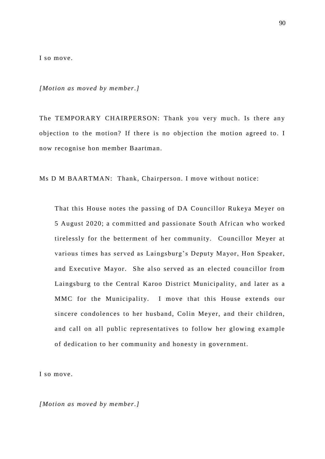I so move.

*[Motion as moved by member.]*

The TEMPORARY CHAIRPERSON: Thank you very much. Is there any objection to the motion? If there is no objection the motion agreed to. I now recognise hon member Baartman.

Ms D M BAARTMAN: Thank, Chairperson. I move without notice:

That this House notes the passing of DA Councillor Rukeya Meyer on 5 August 2020; a committed and passionate South African who worked tirelessly for the betterment of her community. Councillor Meyer at various times has served as Laingsburg's Deputy Mayor, Hon Speaker, and Executive Mayor. She also served as an elected councillor from Laingsburg to the Central Karoo District Municipality, and later as a MMC for the Municipality. I move that this House extends our sincere condolences to her husband, Colin Meyer, and their children, and call on all public representatives to follow her glowing example of dedication to her community and honesty in government.

I so move.

*[Motion as moved by member.]*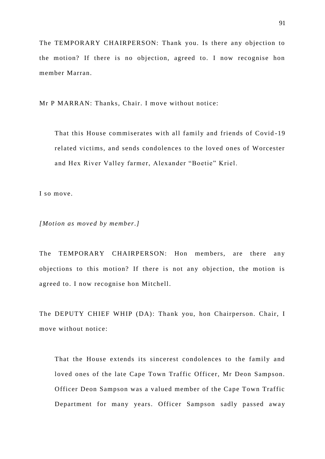The TEMPORARY CHAIRPERSON: Thank you. Is there any objection to the motion? If there is no objection, agreed to. I now recognise hon member Marran.

Mr P MARRAN: Thanks, Chair. I move without notice:

That this House commiserates with all family and friends of Covid -19 related victims, and sends condolences to the loved ones of Worcester and Hex River Valley farmer, Alexander "Boetie" Kriel.

I so move.

*[Motion as moved by member.]*

The TEMPORARY CHAIRPERSON: Hon members, are there any objections to this motion? If there is not any objection, the motion is agreed to. I now recognise hon Mitchell.

The DEPUTY CHIEF WHIP (DA): Thank you, hon Chairperson. Chair, I move without notice:

That the House extends its sincerest condolences to the family and loved ones of the late Cape Town Traffic Officer, Mr Deon Sampson. Officer Deon Sampson was a valued member of the Cape Town Traffic Department for many years. Officer Sampson sadly passed away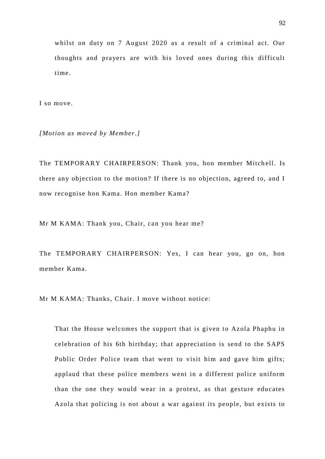whilst on duty on 7 August 2020 as a result of a criminal act. Our thoughts and prayers are with his loved ones during this difficult time.

I so move.

*[Motion as moved by Member.]*

The TEMPORARY CHAIRPERSON: Thank you, hon member Mitchell. Is there any objection to the motion? If there is no objection, agreed to, and I now recognise hon Kama. Hon member Kama?

Mr M KAMA: Thank you, Chair, can you hear me?

The TEMPORARY CHAIRPERSON: Yes, I can hear you, go on, hon member Kama.

Mr M KAMA: Thanks, Chair. I move without notice:

That the House welcomes the support that is given to Azola Phaphu in celebration of his 6th birthday; that appreciation is send to the SAPS Public Order Police team that went to visit him and gave him gifts; applaud that these police members went in a different police uniform than the one they would wear in a protest, as that gesture educates Azola that policing is not about a war against its people, but exists to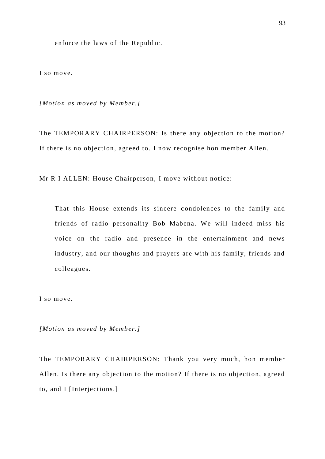enforce the laws of the Republic.

I so move.

*[Motion as moved by Member.]*

The TEMPORARY CHAIRPERSON: Is there any objection to the motion? If there is no objection, agreed to. I now recognise hon member Allen.

Mr R I ALLEN: House Chairperson, I move without notice:

That this House extends its sincere condolences to the family and friends of radio personality Bob Mabena. We will indeed miss his voice on the radio and presence in the entertainment and news industry, and our thoughts and prayers are with his family, friends and colleagues.

I so move.

*[Motion as moved by Member.]*

The TEMPORARY CHAIRPERSON: Thank you very much, hon member Allen. Is there any objection to the motion? If there is no objection, agreed to, and I [Interjections.]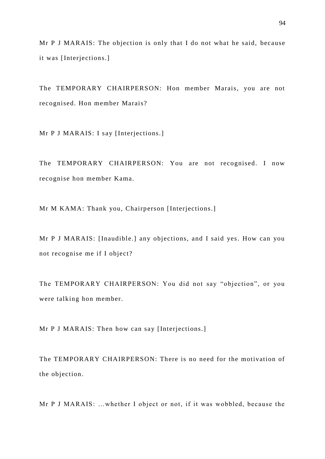Mr P J MARAIS: The objection is only that I do not what he said, because it was [Interjections.]

The TEMPORARY CHAIRPERSON: Hon member Marais, you are not recognised. Hon member Marais?

Mr P J MARAIS: I say [Interjections.]

The TEMPORARY CHAIRPERSON: You are not recognised. I now recognise hon member Kama.

Mr M KAMA: Thank you, Chairperson [Interjections.]

Mr P J MARAIS: [Inaudible.] any objections, and I said yes. How can you not recognise me if I object?

The TEMPORARY CHAIRPERSON: You did not say "objection", or you were talking hon member.

Mr P J MARAIS: Then how can say [Interjections.]

The TEMPORARY CHAIRPERSON: There is no need for the motivation of the objection.

Mr P J MARAIS: …whether I object or not, if it was wobbled, because the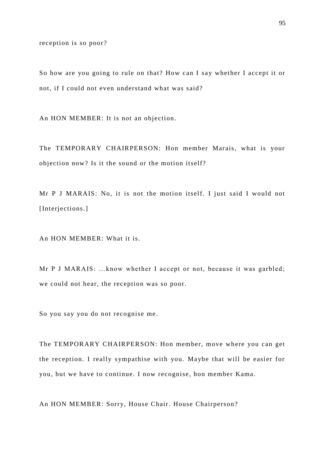reception is so poor?

So how are you going to rule on that? How can I say whether I accept it or not, if I could not even understand what was said?

An HON MEMBER: It is not an objection.

The TEMPORARY CHAIRPERSON: Hon member Marais, what is your objection now? Is it the sound or the motion itself?

Mr P J MARAIS: No, it is not the motion itself. I just said I would not [Interjections.]

An HON MEMBER: What it is.

Mr P J MARAIS: …know whether I accept or not, because it was garbled; we could not hear, the reception was so poor.

So you say you do not recognise me.

The TEMPORARY CHAIRPERSON: Hon member, move where you can get the reception. I really sympathise with you. Maybe that will be easier for you, but we have to continue. I now recognise, hon member Kama.

An HON MEMBER: Sorry, House Chair. House Chairperson?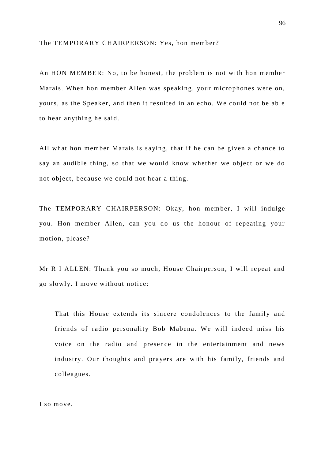The TEMPORARY CHAIRPERSON: Yes, hon member?

An HON MEMBER: No, to be honest, the problem is not with hon member Marais. When hon member Allen was speaking, your microphones were on, yours, as the Speaker, and then it resulted in an echo. We could not be able to hear anything he said.

All what hon member Marais is saying, that if he can be given a chance to say an audible thing, so that we would know whether we object or we do not object, because we could not hear a thing.

The TEMPORARY CHAIRPERSON: Okay, hon member, I will indulge you. Hon member Allen, can you do us the honour of repeating your motion, please?

Mr R I ALLEN: Thank you so much, House Chairperson, I will repeat and go slowly. I move without notice:

That this House extends its sincere condolences to the family and friends of radio personality Bob Mabena. We will indeed miss his voice on the radio and presence in the entertainment and news industry. Our thoughts and prayers are with his family, friends and colleagues.

I so move.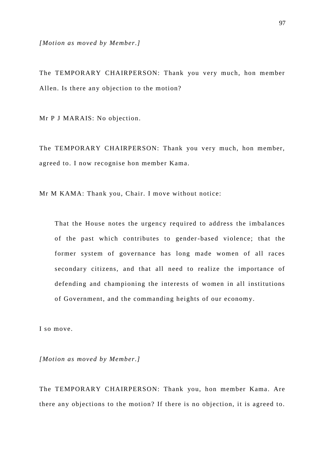*[Motion as moved by Member.]*

The TEMPORARY CHAIRPERSON: Thank you very much, hon member Allen. Is there any objection to the motion?

Mr P J MARAIS: No objection.

The TEMPORARY CHAIRPERSON: Thank you very much, hon member, agreed to. I now recognise hon member Kama.

Mr M KAMA: Thank you, Chair. I move without notice:

That the House notes the urgency required to address the imbalances of the past which contributes to gender-based violence; that the former system of governance has long made women of all races secondary citizens, and that all need to realize the importance of defending and championing the interests of women in all institutions of Government, and the commanding heights of our economy.

I so move.

*[Motion as moved by Member.]*

The TEMPORARY CHAIRPERSON: Thank you, hon member Kama. Are there any objections to the motion? If there is no objection, it is agreed to.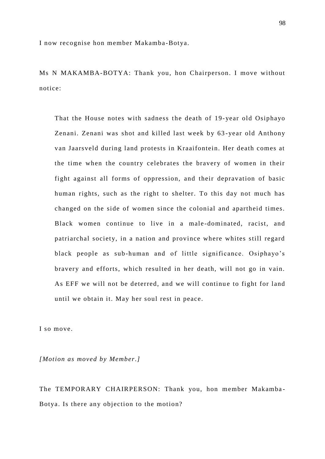I now recognise hon member Makamba-Botya.

Ms N MAKAMBA-BOTYA: Thank you, hon Chairperson. I move without notice:

That the House notes with sadness the death of 19-year old Osiphayo Zenani. Zenani was shot and killed last week by 63 -year old Anthony van Jaarsveld during land protests in Kraaifontein. Her death comes at the time when the country celebrates the bravery of women in their fight against all forms of oppression, and their depravation of basic human rights, such as the right to shelter. To this day not much has changed on the side of women since the colonial and apartheid times. Black women continue to live in a male -dominated, racist, and patriarchal society, in a nation and province where whites still regard black people as sub-human and of little significance. Osiphayo's bravery and efforts, which resulted in her death, will not go in vain. As EFF we will not be deterred, and we will continue to fight for land until we obtain it. May her soul rest in peace.

I so move.

*[Motion as moved by Member.]*

The TEMPORARY CHAIRPERSON: Thank you, hon member Makamba-Botya. Is there any objection to the motion?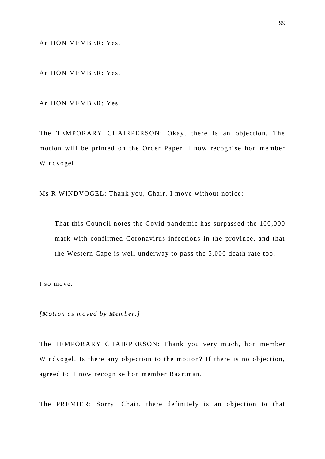An HON MEMBER: Yes.

An HON MEMBER: Yes.

An HON MEMBER: Yes.

The TEMPORARY CHAIRPERSON: Okay, there is an objection. The motion will be printed on the Order Paper. I now recognise hon member Windvogel.

Ms R WINDVOGEL: Thank you, Chair. I move without notice:

That this Council notes the Covid pandemic has surpassed the 100,000 mark with confirmed Coronavirus infections in the province, and that the Western Cape is well underway to pass the 5,000 death rate too.

I so move.

*[Motion as moved by Member.]*

The TEMPORARY CHAIRPERSON: Thank you very much, hon member Windvogel. Is there any objection to the motion? If there is no objection, agreed to. I now recognise hon member Baartman.

The PREMIER: Sorry, Chair, there definitely is an objection to that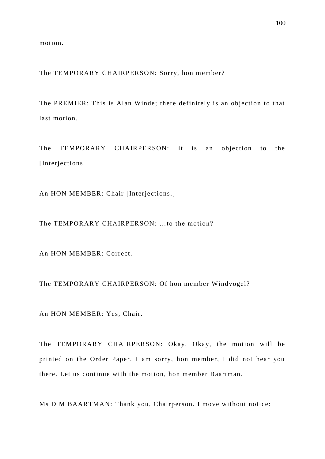motion.

The TEMPORARY CHAIRPERSON: Sorry, hon member?

The PREMIER: This is Alan Winde; there definitely is an objection to that last motion.

The TEMPORARY CHAIRPERSON: It is an objection to the [Interjections.]

An HON MEMBER: Chair [Interjections.]

The TEMPORARY CHAIRPERSON: …to the motion?

An HON MEMBER: Correct.

The TEMPORARY CHAIRPERSON: Of hon member Windvogel?

An HON MEMBER: Yes, Chair.

The TEMPORARY CHAIRPERSON: Okay. Okay, the motion will be printed on the Order Paper. I am sorry, hon member, I did not hear you there. Let us continue with the motion, hon member Baartman.

Ms D M BAARTMAN: Thank you, Chairperson. I move without notice: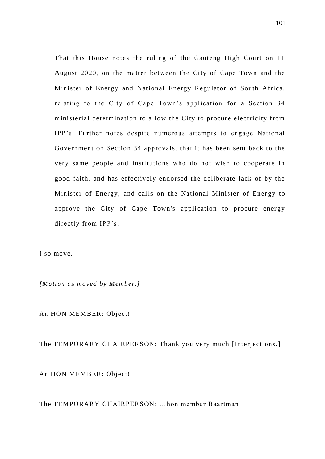That this House notes the ruling of the Gauteng High Court on 11 August 2020, on the matter between the City of Cape Town and the Minister of Energy and National Energy Regulator of South Africa, relating to the City of Cape Town's application for a Section 34 ministerial determination to allow the City to procure electricity from IPP's. Further notes despite numerous attempts to engage National Government on Section 34 approvals, that it has been sent back to the very same people and institutions who do not wish to cooperate in good faith, and has effectively endorsed the deliberate lack of by the Minister of Energy, and calls on the National Minister of Energy to approve the City of Cape Town's application to procure energy directly from IPP's.

I so move.

*[Motion as moved by Member.]*

An HON MEMBER: Object!

The TEMPORARY CHAIRPERSON: Thank you very much [Interjections.]

An HON MEMBER: Object!

The TEMPORARY CHAIRPERSON: …hon member Baartman.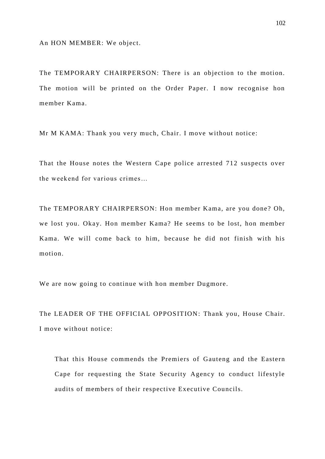An HON MEMBER: We object.

The TEMPORARY CHAIRPERSON: There is an objection to the motion. The motion will be printed on the Order Paper. I now recognise hon member Kama.

Mr M KAMA: Thank you very much, Chair. I move without notice:

That the House notes the Western Cape police arrested 712 suspects over the weekend for various crimes…

The TEMPORARY CHAIRPERSON: Hon member Kama, are you done? Oh, we lost you. Okay. Hon member Kama? He seems to be lost, hon member Kama. We will come back to him, because he did not finish with his motion.

We are now going to continue with hon member Dugmore.

The LEADER OF THE OFFICIAL OPPOSITION: Thank you, House Chair. I move without notice:

That this House commends the Premiers of Gauteng and the Eastern Cape for requesting the State Security Agency to conduct lifestyle audits of members of their respective Executive Councils.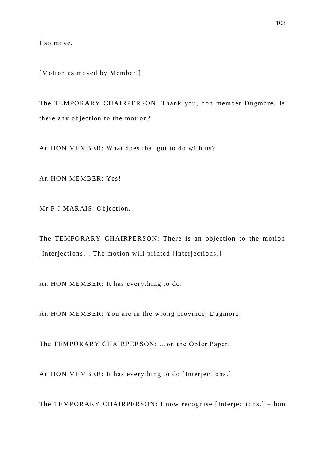I so move.

[Motion as moved by Member.]

The TEMPORARY CHAIRPERSON: Thank you, hon member Dugmore. Is there any objection to the motion?

An HON MEMBER: What does that got to do with us?

An HON MEMBER: Yes!

Mr P J MARAIS: Objection.

The TEMPORARY CHAIRPERSON: There is an objection to the motion [Interjections.]. The motion will printed [Interjections.]

An HON MEMBER: It has everything to do.

An HON MEMBER: You are in the wrong province, Dugmore.

The TEMPORARY CHAIRPERSON: …on the Order Paper.

An HON MEMBER: It has everything to do [Interjections.]

The TEMPORARY CHAIRPERSON: I now recognise [Interjections.] – hon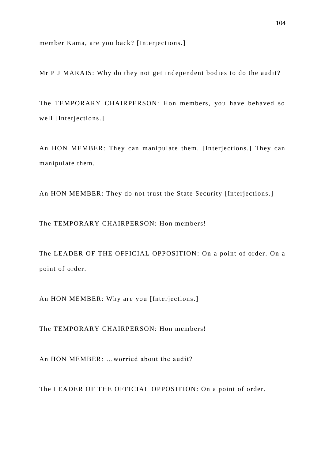member Kama, are you back? [Interjections.]

Mr P J MARAIS: Why do they not get independent bodies to do the audit?

The TEMPORARY CHAIRPERSON: Hon members, you have behaved so well [Interjections.]

An HON MEMBER: They can manipulate them. [Interjections.] They can manipulate them.

An HON MEMBER: They do not trust the State Security [Interjections.]

The TEMPORARY CHAIRPERSON: Hon members!

The LEADER OF THE OFFICIAL OPPOSITION: On a point of order. On a point of order.

An HON MEMBER: Why are you [Interjections.]

The TEMPORARY CHAIRPERSON: Hon members!

An HON MEMBER: …worried about the audit?

The LEADER OF THE OFFICIAL OPPOSITION: On a point of order.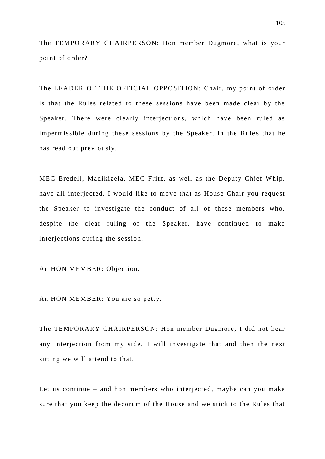The TEMPORARY CHAIRPERSON: Hon member Dugmore, what is your point of order?

The LEADER OF THE OFFICIAL OPPOSITION: Chair, my point of order is that the Rules related to these sessions have been made clear by the Speaker. There were clearly interjections, which have been ruled as impermissible during these sessions by the Speaker, in the Rules that he has read out previously.

MEC Bredell, Madikizela, MEC Fritz, as well as the Deputy Chief Whip, have all interjected. I would like to move that as House Chair you request the Speaker to investigate the conduct of all of these members who, despite the clear ruling of the Speaker, have continued to make interjections during the session.

An HON MEMBER: Objection.

An HON MEMBER: You are so petty.

The TEMPORARY CHAIRPERSON: Hon member Dugmore, I did not hear any interjection from my side, I will in vestigate that and then the next sitting we will attend to that.

Let us continue – and hon members who interjected, maybe can you make sure that you keep the decorum of the House and we stick to the Rules that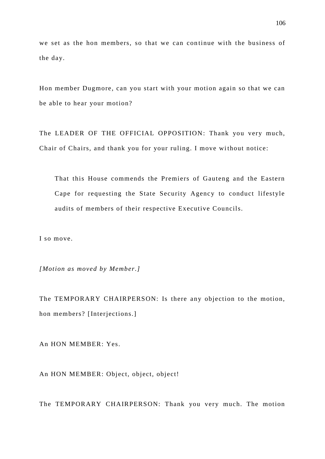we set as the hon members, so that we can continue with the business of the day.

Hon member Dugmore, can you start with your motion again so that we can be able to hear your motion?

The LEADER OF THE OFFICIAL OPPOSITION: Thank you very much, Chair of Chairs, and thank you for your ruling. I move without notice:

That this House commends the Premiers of Gauteng and the Eastern Cape for requesting the State Security Agency to conduct lifestyle audits of members of their respective Executive Councils.

I so move.

*[Motion as moved by Member.]*

The TEMPORARY CHAIRPERSON: Is there any objection to the motion, hon members? [Interjections.]

An HON MEMBER: Yes.

An HON MEMBER: Object, object, object!

The TEMPORARY CHAIRPERSON: Thank you very much. The motion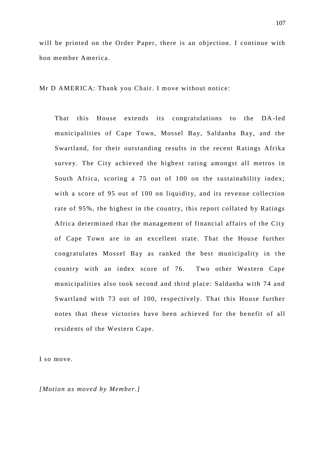will be printed on the Order Paper, there is an objection. I continue with hon member America.

Mr D AMERICA: Thank you Chair. I move without notice:

That this House extends its congratulations to the DA -led municipalities of Cape Town, Mossel Bay, Saldanha Bay, and the Swartland, for their outstanding results in the recent Ratings Afrika survey. The City achieved the highest rating amongst all metros in South Africa, scoring a 75 out of 100 on the sustainability index; with a score of 95 out of 100 on liquidity, and its revenue collection rate of 95%, the highest in the country, this report collated by Ratings Africa determined that the management of financial affairs of the City of Cape Town are in an excellent state. That the House further congratulates Mossel Bay as ranked the best municipality in the country with an index score of 76. Two other Western Cape municipalities also took second and third place: Saldanha with 74 and Swartland with 73 out of 100, respectively. That this House further notes that these victories have been achieved for the benefit of all residents of the Western Cape.

I so move.

*[Motion as moved by Member.]*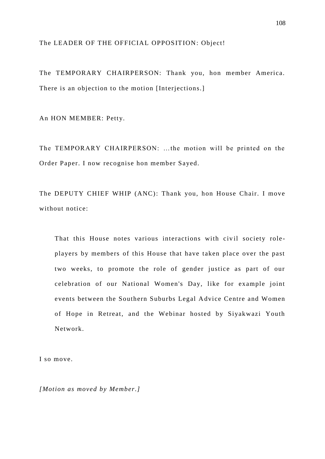## The LEADER OF THE OFFICIAL OPPOSITION: Object!

The TEMPORARY CHAIRPERSON: Thank you, hon member America. There is an objection to the motion [Interjections.]

An HON MEMBER: Petty.

The TEMPORARY CHAIRPERSON: …the motion will be printed on the Order Paper. I now recognise hon member Sayed.

The DEPUTY CHIEF WHIP (ANC): Thank you, hon House Chair. I move without notice:

That this House notes various interactions with civil society roleplayers by members of this House that have taken place over the past two weeks, to promote the role of gender justice as part of our celebration of our National Women's Day, like for example joint events between the Southern Suburbs Legal Advice Centre and Women of Hope in Retreat, and the Webinar hosted by Siyakwazi Youth Network.

I so move.

*[Motion as moved by Member.]*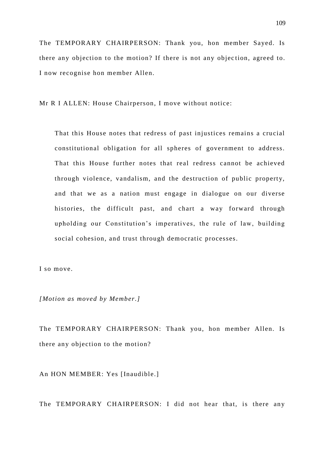The TEMPORARY CHAIRPERSON: Thank you, hon member Sayed. Is there any objection to the motion? If there is not any objec tion, agreed to. I now recognise hon member Allen.

Mr R I ALLEN: House Chairperson, I move without notice:

That this House notes that redress of past injustices remains a crucial constitutional obligation for all spheres of government to address. That this House further notes that real redress cannot be achieved through violence, vandalism, and the destruction of public property, and that we as a nation must engage in dialogue on our diverse histories, the difficult past, and chart a way forward through upholding our Constitution's imperatives, the rule of law, building social cohesion, and trust through democratic processes.

I so move.

*[Motion as moved by Member.]*

The TEMPORARY CHAIRPERSON: Thank you, hon member Allen. Is there any objection to the motion?

An HON MEMBER: Yes [Inaudible.]

The TEMPORARY CHAIRPERSON: I did not hear that, is there any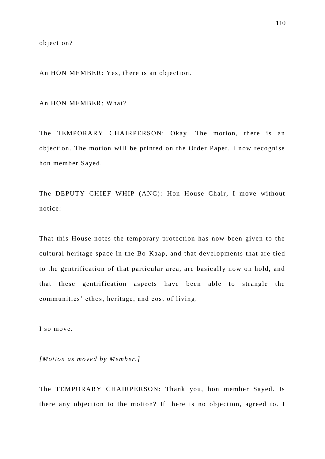objection?

An HON MEMBER: Yes, there is an objection.

An HON MEMBER: What?

The TEMPORARY CHAIRPERSON: Okay. The motion, there is an objection. The motion will be printed on the Order Paper. I now recognise hon member Sayed.

The DEPUTY CHIEF WHIP (ANC): Hon House Chair, I move without notice:

That this House notes the temporary protection has now been given to the cultural heritage space in the Bo -Kaap, and that developments that are tied to the gentrification of that particular area, are basically now on hold, and that these gentrification aspects have been able to strangle the communities' ethos, heritage, and cost of living.

I so move.

*[Motion as moved by Member.]*

The TEMPORARY CHAIRPERSON: Thank you, hon member Sayed. Is there any objection to the motion? If there is no objection, agreed to. I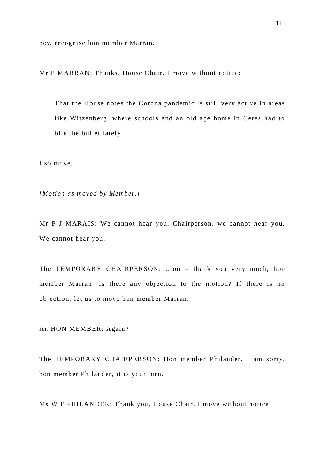now recognise hon member Marran.

Mr P MARRAN: Thanks, House Chair. I move without notice:

That the House notes the Corona pandemic is still very active in areas like Witzenberg, where schools and an old age home in Ceres had to bite the bullet lately.

I so move.

*[Motion as moved by Member.]*

Mr P J MARAIS: We cannot hear you, Chairperson, we cannot hear you. We cannot hear you.

The TEMPORARY CHAIRPERSON: …on – thank you very much, hon member Marran. Is there any objection to the motion? If there is no objection, let us to move hon member Marran.

An HON MEMBER: Again?

The TEMPORARY CHAIRPERSON: Hon member Philander. I am sorry, hon member Philander, it is your turn.

Ms W F PHILANDER: Thank you, House Chair. I move without notice: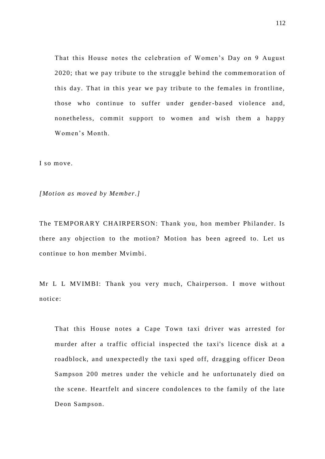That this House notes the celebration of Women's Day on 9 August 2020; that we pay tribute to the struggle behind the commemoration of this day. That in this year we pay tribute to the females in frontline, those who continue to suffer under gender-based violence and, nonetheless, commit support to women and wish them a happy Women's Month.

I so move.

*[Motion as moved by Member.]*

The TEMPORARY CHAIRPERSON: Thank you, hon member Philander. Is there any objection to the motion? Motion has been agreed to. Let us continue to hon member Mvimbi.

Mr L L MVIMBI: Thank you very much, Chairperson. I move without notice:

That this House notes a Cape Town taxi driver was arrested for murder after a traffic official inspected the taxi's licence disk at a roadblock, and unexpectedly the taxi sped off, dragging officer Deon Sampson 200 metres under the vehicle and he unfortunately died on the scene. Heartfelt and sincere condolences to the family of the late Deon Sampson.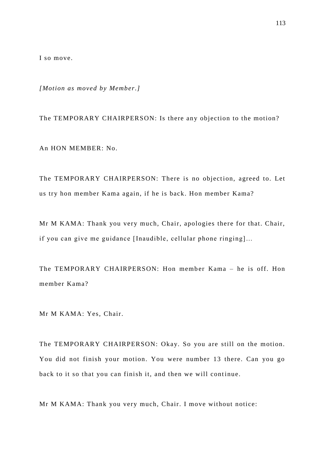I so move.

*[Motion as moved by Member.]*

The TEMPORARY CHAIRPERSON: Is there any objection to the motion? An HON MEMBER: No.

The TEMPORARY CHAIRPERSON: There is no objection, agreed to. Let us try hon member Kama again, if he is back. Hon member Kama?

Mr M KAMA: Thank you very much, Chair, apologies there for that. Chair, if you can give me guidance [Inaudible, cellular phone ringing]…

The TEMPORARY CHAIRPERSON: Hon member Kama - he is off. Hon member Kama?

Mr M KAMA: Yes, Chair.

The TEMPORARY CHAIRPERSON: Okay. So you are still on the motion. You did not finish your motion. You were number 13 there. Can you go back to it so that you can finish it, and then we will continue.

Mr M KAMA: Thank you very much, Chair. I move without notice: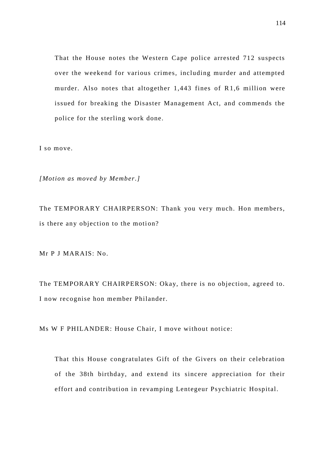That the House notes the Western Cape police arrested 712 suspects over the weekend for various crimes, including murder and attempted murder. Also notes that altogether 1,443 fines of R1,6 million were issued for breaking the Disaster Management Act, and commends the police for the sterling work done.

I so move.

*[Motion as moved by Member.]*

The TEMPORARY CHAIRPERSON: Thank you very much. Hon members, is there any objection to the motion?

Mr P J MARAIS: No.

The TEMPORARY CHAIRPERSON: Okay, there is no objection, agreed to. I now recognise hon member Philander.

Ms W F PHILANDER: House Chair, I move without notice:

That this House congratulates Gift of the Givers on their celebration of the 38th birthday, and extend its sincere appreciation for their effort and contribution in revamping Lentegeur Psychiatric Hospital.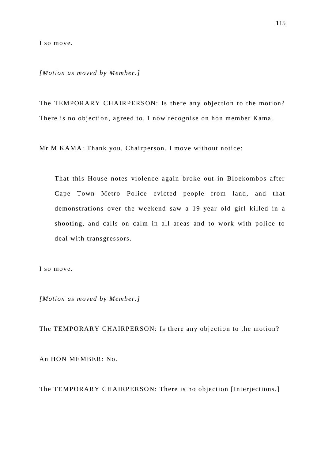I so move.

*[Motion as moved by Member.]*

The TEMPORARY CHAIRPERSON: Is there any objection to the motion? There is no objection, agreed to. I now recognise on hon member Kama.

Mr M KAMA: Thank you, Chairperson. I move without notice:

That this House notes violence again broke out in Bloekombos after Cape Town Metro Police evicted people from land, and that demonstrations over the weekend saw a 19 -year old girl killed in a shooting, and calls on calm in all areas and to work with police to deal with transgressors.

I so move.

*[Motion as moved by Member.]*

The TEMPORARY CHAIRPERSON: Is there any objection to the motion? An HON MEMBER: No.

The TEMPORARY CHAIRPERSON: There is no objection [Interjections.]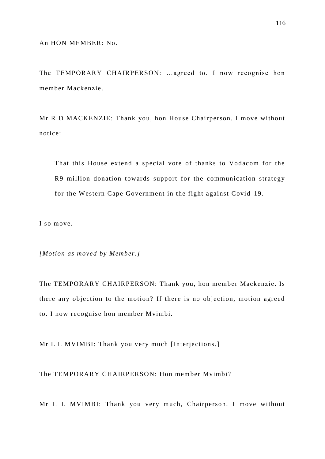The TEMPORARY CHAIRPERSON: …agreed to. I now recognise hon member Mackenzie.

Mr R D MACKENZIE: Thank you, hon House Chairperson. I move without notice:

That this House extend a special vote of thanks to Vodacom for the R9 million donation towards support for the communication strategy for the Western Cape Government in the fight against Covid -19.

I so move.

*[Motion as moved by Member.]*

The TEMPORARY CHAIRPERSON: Thank you, hon member Mackenzie. Is there any objection to the motion? If there is no objection, motion agreed to. I now recognise hon member Mvimbi.

Mr L L MVIMBI: Thank you very much [Interjections.]

The TEMPORARY CHAIRPERSON: Hon member Mvimbi?

Mr L L MVIMBI: Thank you very much, Chairperson. I move without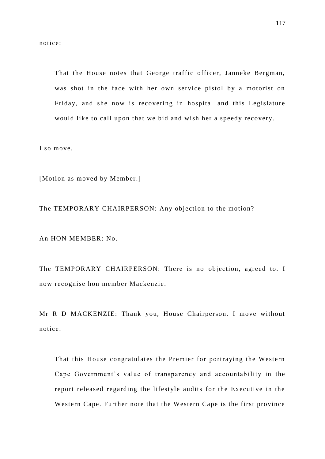notice:

That the House notes that George traffic officer, Janneke Bergman, was shot in the face with her own service pistol by a motorist on Friday, and she now is recovering in hospital and this Legislature would like to call upon that we bid and wish her a speedy recovery.

I so move.

[Motion as moved by Member.]

The TEMPORARY CHAIRPERSON: Any objection to the motion?

An HON MEMBER: No.

The TEMPORARY CHAIRPERSON: There is no objection, agreed to. I now recognise hon member Mackenzie.

Mr R D MACKENZIE: Thank you, House Chairperson. I move without notice:

That this House congratulates the Premier for portraying the Western Cape Government's value of transparency and accountability in the report released regarding the lifestyle audits for the Executive in the Western Cape. Further note that the Western Cape is the first province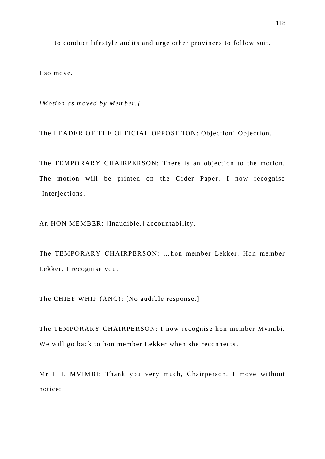to conduct lifestyle audits and urge other provinces to follow suit.

I so move.

*[Motion as moved by Member.]* 

The LEADER OF THE OFFICIAL OPPOSITION: Objection! Objection.

The TEMPORARY CHAIRPERSON: There is an objection to the motion. The motion will be printed on the Order Paper. I now recognise [Interjections.]

An HON MEMBER: [Inaudible.] accountability.

The TEMPORARY CHAIRPERSON: …hon member Lekker. Hon member Lekker, I recognise you.

The CHIEF WHIP (ANC): [No audible response.]

The TEMPORARY CHAIRPERSON: I now recognise hon member Mvimbi. We will go back to hon member Lekker when she reconnects.

Mr L L MVIMBI: Thank you very much, Chairperson. I move without notice: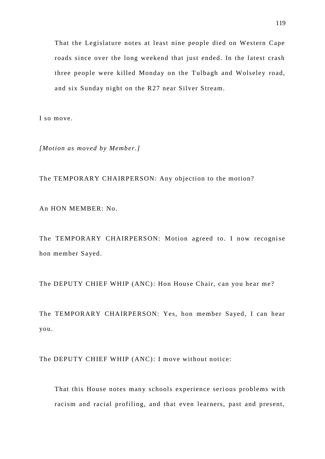That the Legislature notes at least nine people died on Western Cape roads since over the long weekend that just ended. In the latest crash three people were killed Monday on the Tulbagh and Wolseley road, and six Sunday night on the R27 near Silver Stream.

I so move.

*[Motion as moved by Member.]*

The TEMPORARY CHAIRPERSON: Any objection to the motion?

An HON MEMBER: No.

The TEMPORARY CHAIRPERSON: Motion agreed to. I now recognise hon member Sayed.

The DEPUTY CHIEF WHIP (ANC): Hon House Chair, can you hear me?

The TEMPORARY CHAIRPERSON: Yes, hon member Sayed, I can hear you.

The DEPUTY CHIEF WHIP (ANC): I move without notice:

That this House notes many schools experience serious problems with racism and racial profiling, and that even learners, past and present,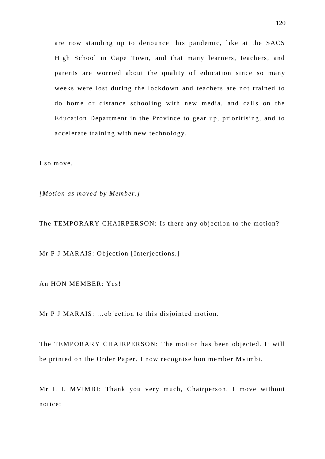are now standing up to denounce this pandemic, like at the SACS High School in Cape Town, and that many learners, teachers, and parents are worried about the quality of education since so many weeks were lost during the lockdown and teachers are not trained to do home or distance schooling with new media, and calls on the Education Department in the Province to gear up, prioritising, and to accelerate training with new technology.

I so move.

*[Motion as moved by Member.]*

The TEMPORARY CHAIRPERSON: Is there any objection to the motion?

Mr P J MARAIS: Objection [Interjections.]

An HON MEMBER: Yes!

Mr P J MARAIS: …objection to this disjointed motion.

The TEMPORARY CHAIRPERSON: The motion has been objected. It will be printed on the Order Paper. I now recognise hon member Mvimbi.

Mr L L MVIMBI: Thank you very much, Chairperson. I move without notice: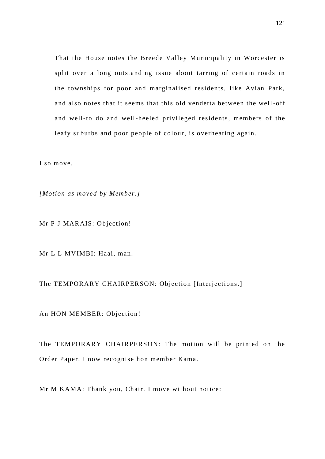That the House notes the Breede Valley Municipality in Worcester is split over a long outstanding issue about tarring of certain roads in the townships for poor and marginalised residents, like Avian Park, and also notes that it seems that this old vendetta between the well -off and well-to do and well-heeled privileged residents, members of the leafy suburbs and poor people of colour, is overheating again.

I so move.

*[Motion as moved by Member.]*

Mr P J MARAIS: Objection!

Mr L L MVIMBI: Haai, man.

The TEMPORARY CHAIRPERSON: Objection [Interjections.]

An HON MEMBER: Objection!

The TEMPORARY CHAIRPERSON: The motion will be printed on the Order Paper. I now recognise hon member Kama.

Mr M KAMA: Thank you, Chair. I move without notice: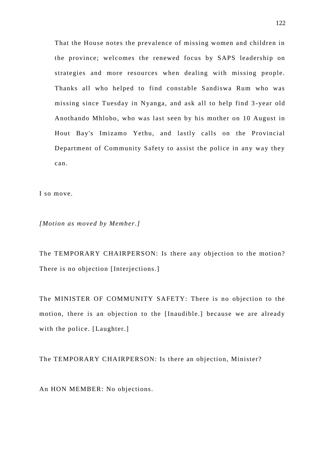That the House notes the prevalence of missing women and children in the province; welcomes the renewed focus by SAPS leadership on strategies and more resources when dealing with missing people. Thanks all who helped to find constable Sandiswa Rum who was missing since Tuesday in Nyanga, and ask all to help find 3 -year old Anothando Mhlobo, who was last seen by his mother on 10 August in Hout Bay's Imizamo Yethu, and lastly calls on the Provincial Department of Community Safety to assist the police in any way they can.

I so move.

*[Motion as moved by Member.]*

The TEMPORARY CHAIRPERSON: Is there any objection to the motion? There is no objection [Interjections.]

The MINISTER OF COMMUNITY SAFETY: There is no objection to the motion, there is an objection to the [Inaudible.] because we are already with the police. [Laughter.]

The TEMPORARY CHAIRPERSON: Is there an objection, Minister?

An HON MEMBER: No objections.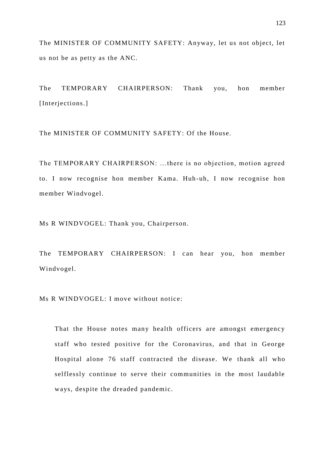The MINISTER OF COMMUNITY SAFETY: Anyway, let us not object, let us not be as petty as the ANC.

The TEMPORARY CHAIRPERSON: Thank you, hon member [Interjections.]

The MINISTER OF COMMUNITY SAFETY: Of the House.

The TEMPORARY CHAIRPERSON: …there is no objection, motion agreed to. I now recognise hon member Kama. Huh -uh, I now recognise hon member Windvogel.

Ms R WINDVOGEL: Thank you, Chairperson.

The TEMPORARY CHAIRPERSON: I can hear you, hon member Windvogel.

Ms R WINDVOGEL: I move without notice:

That the House notes many health officers are amongst emergency staff who tested positive for the Coronavirus, and that in George Hospital alone 76 staff contracted the disease. We thank all who selflessly continue to serve their communities in the most laudable ways, despite the dreaded pandemic.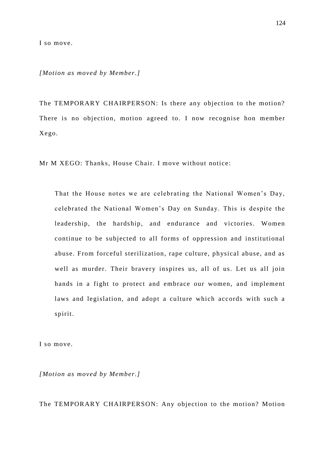I so move.

*[Motion as moved by Member.]*

The TEMPORARY CHAIRPERSON: Is there any objection to the motion? There is no objection, motion agreed to. I now recognise hon member Xego.

Mr M XEGO: Thanks, House Chair. I move without notice:

That the House notes we are celebrating the National Women's Day, celebrated the National Women's Day on Sunday. This is despite the leadership, the hardship, and endurance and victories. Women continue to be subjected to all forms of oppression and institutional abuse. From forceful sterilization, rape culture, physical abuse, and as well as murder. Their bravery inspires us, all of us. Let us all join hands in a fight to protect and embrace our women, and implement laws and legislation, and adopt a culture which accords with such a spirit.

I so move.

*[Motion as moved by Member.]*

The TEMPORARY CHAIRPERSON: Any objection to the motion? Motion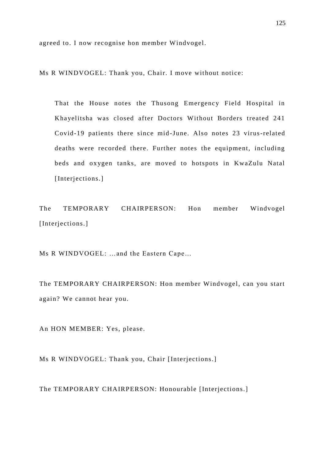agreed to. I now recognise hon member Windvogel.

Ms R WINDVOGEL: Thank you, Chair. I move without notice:

That the House notes the Thusong Emergency Field Hospital in Khayelitsha was closed after Doctors Without Borders treated 241 Covid-19 patients there since mid -June. Also notes 23 virus-related deaths were recorded there. Further notes the equipment, including beds and oxygen tanks, are moved to hotspots in KwaZulu Natal [Interjections.]

The TEMPORARY CHAIRPERSON: Hon member Windvogel [Interjections.]

Ms R WINDVOGEL: …and the Eastern Cape…

The TEMPORARY CHAIRPERSON: Hon member Windvogel, can you start again? We cannot hear you.

An HON MEMBER: Yes, please.

Ms R WINDVOGEL: Thank you, Chair [Interjections.]

The TEMPORARY CHAIRPERSON: Honourable [Interjections.]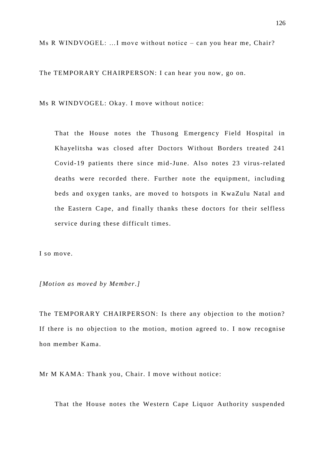Ms R WINDVOGEL: …I move without notice – can you hear me, Chair?

The TEMPORARY CHAIRPERSON: I can hear you now, go on.

Ms R WINDVOGEL: Okay. I move without notice:

That the House notes the Thusong Emergency Field Hospital in Khayelitsha was closed after Doctors Without Borders treated 241 Covid-19 patients there since mid -June. Also notes 23 virus-related deaths were recorded there. Further note the equipment, including beds and oxygen tanks, are moved to hotspots in KwaZulu Natal and the Eastern Cape, and finally thanks these doctors for their selfless service during these difficult times.

I so move.

*[Motion as moved by Member.]*

The TEMPORARY CHAIRPERSON: Is there any objection to the motion? If there is no objection to the motion, motion agreed to . I now recognise hon member Kama.

Mr M KAMA: Thank you, Chair. I move without notice:

That the House notes the Western Cape Liquor Authority suspended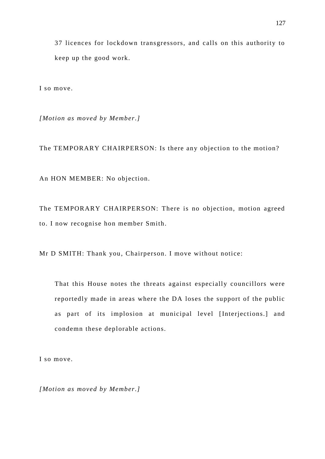37 licences for lockdown transgressors, and calls on this authority to keep up the good work.

I so move.

*[Motion as moved by Member.]*

The TEMPORARY CHAIRPERSON: Is there any objection to the motion?

An HON MEMBER: No objection.

The TEMPORARY CHAIRPERSON: There is no objection, motion agreed to. I now recognise hon member Smith.

Mr D SMITH: Thank you, Chairperson. I move without notice:

That this House notes the threats against especially councillors were reportedly made in areas where the DA loses the support of the public as part of its implosion at municipal level [Interjections.] and condemn these deplorable actions.

I so move.

*[Motion as moved by Member.]*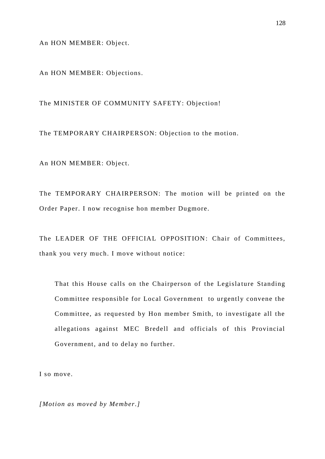An HON MEMBER: Object.

An HON MEMBER: Objections.

The MINISTER OF COMMUNITY SAFETY: Objection!

The TEMPORARY CHAIRPERSON: Objection to the motion.

An HON MEMBER: Object.

The TEMPORARY CHAIRPERSON: The motion will be printed on the Order Paper. I now recognise hon member Dugmore.

The LEADER OF THE OFFICIAL OPPOSITION: Chair of Committees, thank you very much. I move without notice:

That this House calls on the Chairperson of the Legislature Standing Committee responsible for Local Government to urgently convene the Committee, as requested by Hon member Smith, to investigate all the allegations against MEC Bredell and officials of this Provincial Government, and to delay no further.

I so move.

*[Motion as moved by Member.]*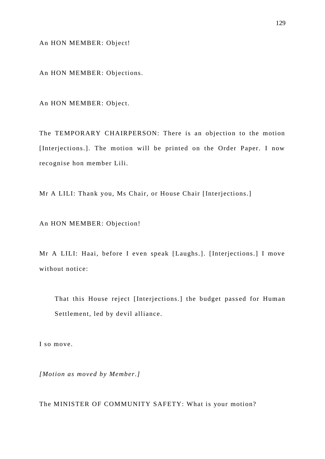An HON MEMBER: Object!

An HON MEMBER: Objections.

An HON MEMBER: Object.

The TEMPORARY CHAIRPERSON: There is an objection to the motion [Interjections.]. The motion will be printed on the Order Paper. I now recognise hon member Lili.

Mr A LILI: Thank you, Ms Chair, or House Chair [Interjections.]

An HON MEMBER: Objection!

Mr A LILI: Haai, before I even speak [Laughs.]. [Interjections.] I move without notice:

That this House reject [Interjections.] the budget passed for Human Settlement, led by devil alliance.

I so move.

*[Motion as moved by Member.]*

The MINISTER OF COMMUNITY SAFETY: What is your motion?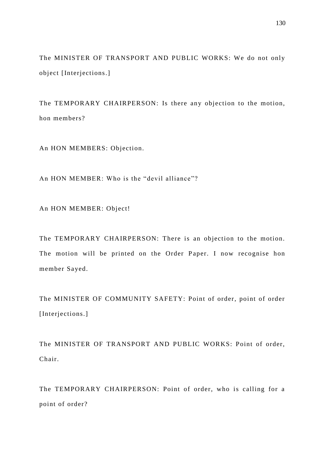The MINISTER OF TRANSPORT AND PUBLIC WORKS: We do not only object [Interjections.]

The TEMPORARY CHAIRPERSON: Is there any objection to the motion, hon members?

An HON MEMBERS: Objection.

An HON MEMBER: Who is the "devil alliance"?

An HON MEMBER: Object!

The TEMPORARY CHAIRPERSON: There is an objection to the motion. The motion will be printed on the Order Paper. I now recognise hon member Sayed.

The MINISTER OF COMMUNITY SAFETY: Point of order, point of order [Interjections.]

The MINISTER OF TRANSPORT AND PUBLIC WORKS: Point of order, Chair.

The TEMPORARY CHAIRPERSON: Point of order, who is calling for a point of order?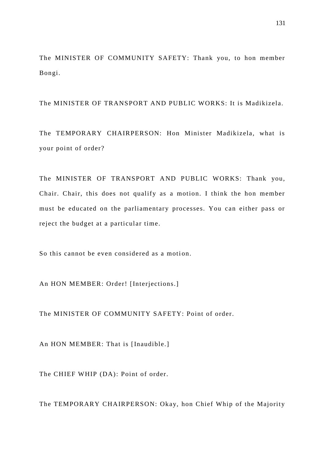The MINISTER OF COMMUNITY SAFETY: Thank you, to hon member Bongi.

The MINISTER OF TRANSPORT AND PUBLIC WORKS: It is Madikizela.

The TEMPORARY CHAIRPERSON: Hon Minister Madikizela, what is your point of order?

The MINISTER OF TRANSPORT AND PUBLIC WORKS: Thank you, Chair. Chair, this does not qualify as a motion. I think the hon member must be educated on the parliamentary processes. You can either pass or reject the budget at a particular time.

So this cannot be even considered as a motion.

An HON MEMBER: Order! [Interjections.]

The MINISTER OF COMMUNITY SAFETY: Point of order.

An HON MEMBER: That is [Inaudible.]

The CHIEF WHIP (DA): Point of order.

The TEMPORARY CHAIRPERSON: Okay, hon Chief Whip of the Majority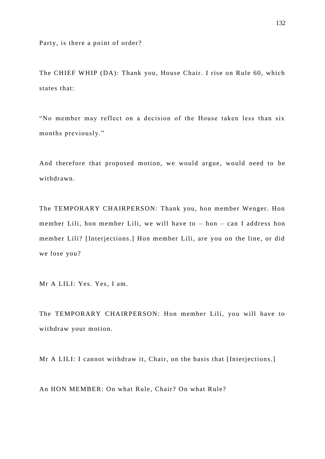Party, is there a point of order?

The CHIEF WHIP (DA): Thank you, House Chair. I rise on Rule 60, which states that:

"No member may reflect on a decision of the House taken less than six months previously."

And therefore that proposed motion, we would argue, would need to be withdrawn.

The TEMPORARY CHAIRPERSON: Thank you, hon member Wenger. Hon member Lili, hon member Lili, we will have to – hon – can I address hon member Lili? [Interjections.] Hon member Lili, are you on the line, or did we lose you?

Mr A LILI: Yes. Yes, I am.

The TEMPORARY CHAIRPERSON: Hon member Lili, you will have to withdraw your motion.

Mr A LILI: I cannot withdraw it, Chair, on the basis that [Interjections.]

An HON MEMBER: On what Rule, Chair? On what Rule?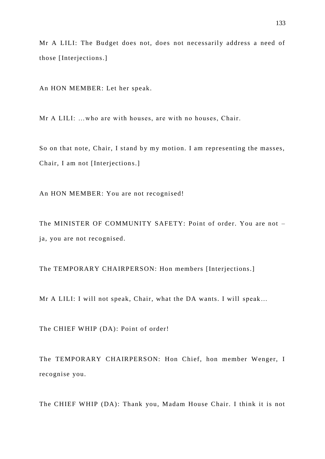Mr A LILI: The Budget does not, does not necessarily address a need of those [Interjections.]

An HON MEMBER: Let her speak.

Mr A LILI: …who are with houses, are with no houses, Chair.

So on that note, Chair, I stand by my motion. I am representing the masses, Chair, I am not [Interjections.]

An HON MEMBER: You are not recognised!

The MINISTER OF COMMUNITY SAFETY: Point of order. You are not – ja, you are not recognised.

The TEMPORARY CHAIRPERSON: Hon members [Interjections.]

Mr A LILI: I will not speak, Chair, what the DA wants. I will speak…

The CHIEF WHIP (DA): Point of order!

The TEMPORARY CHAIRPERSON: Hon Chief, hon member Wenger, I recognise you.

The CHIEF WHIP (DA): Thank you, Madam House Chair. I think it is not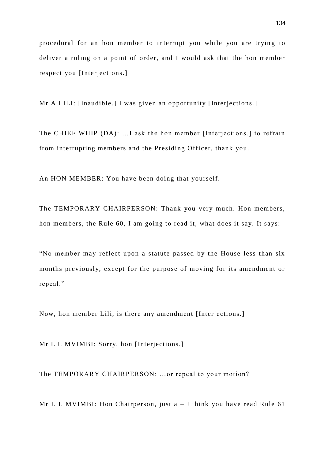procedural for an hon member to interrupt you while you are trying to deliver a ruling on a point of order, and I would ask that the hon member respect you [Interjections.]

Mr A LILI: [Inaudible.] I was given an opportunity [Interjections.]

The CHIEF WHIP (DA): …I ask the hon member [Interjections.] to refrain from interrupting members and the Presiding Officer, thank you.

An HON MEMBER: You have been doing that yourself.

The TEMPORARY CHAIRPERSON: Thank you very much. Hon members, hon members, the Rule 60, I am going to read it, what does it say. It says:

"No member may reflect upon a statute passed by the House less than six months previously, except for the purpose of moving for its amendment or repeal."

Now, hon member Lili, is there any amendment [Interjections.]

Mr L L MVIMBI: Sorry, hon [Interjections.]

The TEMPORARY CHAIRPERSON: …or repeal to your motion?

Mr L L MVIMBI: Hon Chairperson, just  $a - I$  think you have read Rule 61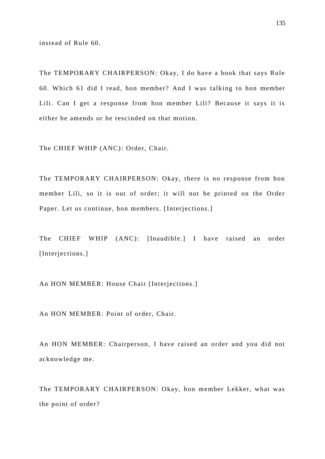instead of Rule 60.

The TEMPORARY CHAIRPERSON: Okay, I do have a book that says Rule 60. Which 61 did I read, hon member? And I was talking to hon member Lili. Can I get a response from hon member Lili? Because it says it is either he amends or he rescinded on that motion.

The CHIEF WHIP (ANC): Order, Chair.

The TEMPORARY CHAIRPERSON: Okay, there is no response from hon member Lili, so it is out of order; it will not be printed on the Order Paper. Let us continue, hon members. [Interjections.]

The CHIEF WHIP (ANC): [Inaudible.] I have raised an order [Interjections.]

An HON MEMBER: House Chair [Interjections.]

An HON MEMBER: Point of order, Chair.

An HON MEMBER: Chairperson, I have raised an order and you did not acknowledge me.

The TEMPORARY CHAIRPERSON: Okay, hon member Lekker, what was the point of order?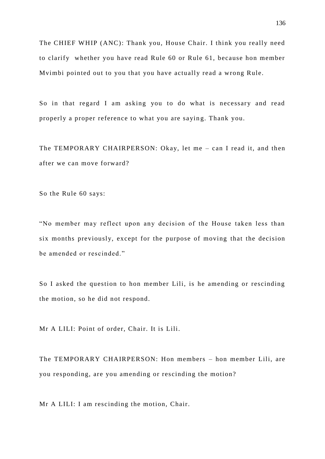The CHIEF WHIP (ANC): Thank you, House Chair. I think you really need to clarify whether you have read Rule 60 or Rule 61, because hon member Mvimbi pointed out to you that you have actually read a wrong Rule.

So in that regard I am asking you to do what is necessary and read properly a proper reference to what you are sayin g. Thank you.

The TEMPORARY CHAIRPERSON: Okay, let me – can I read it, and then after we can move forward?

So the Rule 60 says:

"No member may reflect upon any decision of the House taken less than six months previously, except for the purpose of moving that the decision be amended or rescinded."

So I asked the question to hon member Lili, is he amending or rescinding the motion, so he did not respond.

Mr A LILI: Point of order, Chair. It is Lili.

The TEMPORARY CHAIRPERSON: Hon members – hon member Lili, are you responding, are you amending or rescinding the motion?

Mr A LILI: I am rescinding the motion, Chair.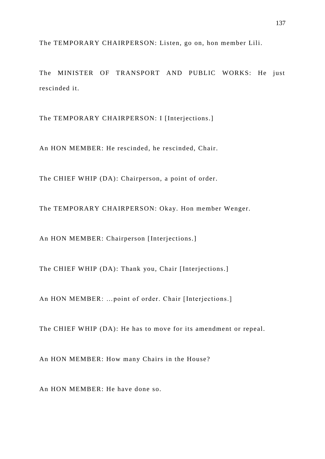The TEMPORARY CHAIRPERSON: Listen, go on, hon member Lili.

The MINISTER OF TRANSPORT AND PUBLIC WORKS: He just rescinded it.

The TEMPORARY CHAIRPERSON: I [Interjections.]

An HON MEMBER: He rescinded, he rescinded, Chair.

The CHIEF WHIP (DA): Chairperson, a point of order.

The TEMPORARY CHAIRPERSON: Okay. Hon member Wenger.

An HON MEMBER: Chairperson [Interjections.]

The CHIEF WHIP (DA): Thank you, Chair [Interjections.]

An HON MEMBER: …point of order. Chair [Interjections.]

The CHIEF WHIP (DA): He has to move for its amendment or repeal.

An HON MEMBER: How many Chairs in the House?

An HON MEMBER: He have done so.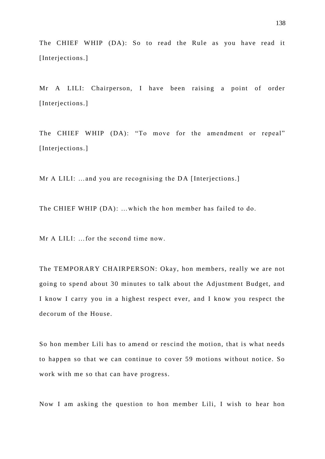The CHIEF WHIP (DA): So to read the Rule as you have read it [Interjections.]

Mr A LILI: Chairperson, I have been raising a point of order [Interjections.]

The CHIEF WHIP (DA): "To move for the amendment or repeal" [Interjections.]

Mr A LILI: …and you are recognising the DA [Interjections.]

The CHIEF WHIP (DA): …which the hon member has failed to do.

Mr A LILI: …for the second time now.

The TEMPORARY CHAIRPERSON: Okay, hon members, really we are not going to spend about 30 minutes to talk about the Adjustment Budget, and I know I carry you in a highest respect ever, and I know you respect the decorum of the House.

So hon member Lili has to amend or rescind the motion, that is what needs to happen so that we can continue to cover 59 motions without notice. So work with me so that can have progress.

Now I am asking the question to hon member Lili, I wish to hear hon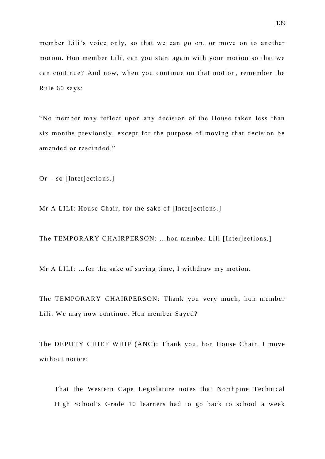member Lili's voice only, so that we can go on, or move on to another motion. Hon member Lili, can you start again with your motion so that we can continue? And now, when you continue on that motion, remember the Rule 60 says:

"No member may reflect upon any decision of the House taken less than six months previously, except for the purpose of moving that decision be amended or rescinded."

Or – so [Interjections.]

Mr A LILI: House Chair, for the sake of [Interjections.]

The TEMPORARY CHAIRPERSON: …hon member Lili [Interjections.]

Mr A LILI: …for the sake of saving time, I withdraw my motion.

The TEMPORARY CHAIRPERSON: Thank you very much, hon member Lili. We may now continue. Hon member Sayed?

The DEPUTY CHIEF WHIP (ANC): Thank you, hon House Chair. I move without notice:

That the Western Cape Legislature notes that Northpine Technical High School's Grade 10 learners had to go back to school a week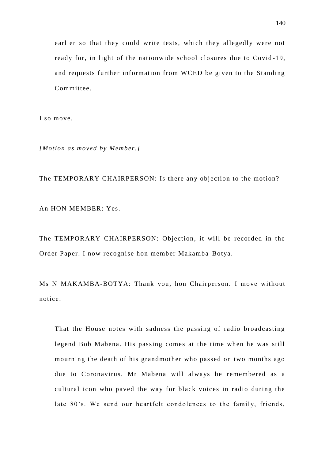earlier so that they could write tests, which they allegedly were not ready for, in light of the nationwide school closures due to Covid -19, and requests further information from WCED be given to the Standing Committee.

I so move.

*[Motion as moved by Member.]*

The TEMPORARY CHAIRPERSON: Is there any objection to the motion?

An HON MEMBER: Yes.

The TEMPORARY CHAIRPERSON: Objection, it will be recorded in the Order Paper. I now recognise hon member Makamba -Botya.

Ms N MAKAMBA-BOTYA: Thank you, hon Chairperson. I move without notice:

That the House notes with sadness the passing of radio broadcasting legend Bob Mabena. His passing comes at the time when he was still mourning the death of his grandmother who passed on two months ago due to Coronavirus. Mr Mabena will always be remembered as a cultural icon who paved the way for black voices in radio during the late 80's. We send our heartfelt condolences to the family, friends,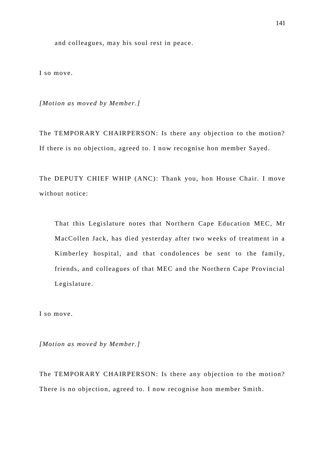and colleagues, may his soul rest in peace.

I so move.

*[Motion as moved by Member.]*

The TEMPORARY CHAIRPERSON: Is there any objection to the motion? If there is no objection, agreed to. I now recognise hon member Sayed.

The DEPUTY CHIEF WHIP (ANC): Thank you, hon House Chair. I move without notice:

That this Legislature notes that Northern Cape Education MEC, Mr MacCollen Jack, has died yesterday after two weeks of treatment in a Kimberley hospital, and that condolences be sent to the family, friends, and colleagues of that MEC and the Northern Cape Provincial Legislature.

I so move.

*[Motion as moved by Member.]*

The TEMPORARY CHAIRPERSON: Is there any objection to the motion? There is no objection, agreed to. I now recognise hon member Smith.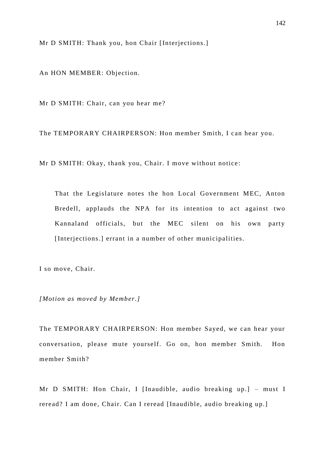Mr D SMITH: Thank you, hon Chair [Interjections.]

An HON MEMBER: Objection.

Mr D SMITH: Chair, can you hear me?

The TEMPORARY CHAIRPERSON: Hon member Smith, I can hear you.

Mr D SMITH: Okay, thank you, Chair. I move without notice:

That the Legislature notes the hon Local Government MEC, Anton Bredell, applauds the NPA for its intention to act against two Kannaland officials, but the MEC silent on his own party [Interjections.] errant in a number of other municipalities.

I so move, Chair.

*[Motion as moved by Member.]*

The TEMPORARY CHAIRPERSON: Hon member Sayed, we can hear your conversation, please mute yourself. Go on, hon member Smith. Hon member Smith?

Mr D SMITH: Hon Chair, I [Inaudible, audio breaking up.] – must I reread? I am done, Chair. Can I reread [Inaudible, audio breaking up.]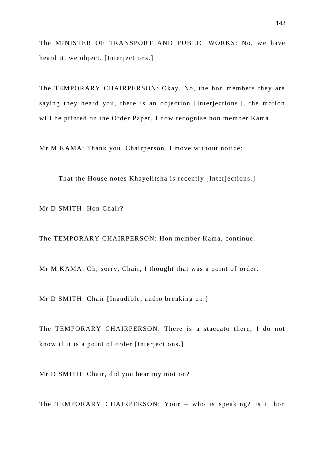The MINISTER OF TRANSPORT AND PUBLIC WORKS: No, we have heard it, we object. [Interjections.]

The TEMPORARY CHAIRPERSON: Okay. No, the hon members they are saying they heard you, there is an objection [Interjections.], the motion will be printed on the Order Paper. I now recognise hon member Kama.

Mr M KAMA: Thank you, Chairperson. I move without notice:

That the House notes Khayelitsha is recently [Interjections.]

Mr D SMITH: Hon Chair?

The TEMPORARY CHAIRPERSON: Hon member Kama, continue.

Mr M KAMA: Oh, sorry, Chair, I thought that was a point of order.

Mr D SMITH: Chair [Inaudible, audio breaking up.]

The TEMPORARY CHAIRPERSON: There is a staccato there, I do not know if it is a point of order [Interjections.]

Mr D SMITH: Chair, did you hear my motion?

The TEMPORARY CHAIRPERSON: Your – who is speaking? Is it hon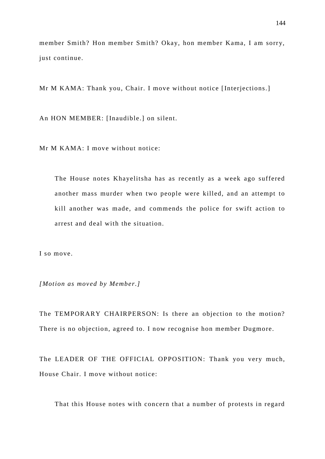member Smith? Hon member Smith? Okay, hon member Kama, I am sorry, just continue.

Mr M KAMA: Thank you, Chair. I move without notice [Interjections.]

An HON MEMBER: [Inaudible.] on silent.

Mr M KAMA: I move without notice:

The House notes Khayelitsha has as recently as a week ago suffered another mass murder when two people were killed, and an attempt to kill another was made, and commends the police for swift action to arrest and deal with the situation.

I so move.

*[Motion as moved by Member.]*

The TEMPORARY CHAIRPERSON: Is there an objection to the motion? There is no objection, agreed to. I now recognise hon member Dugmore.

The LEADER OF THE OFFICIAL OPPOSITION: Thank you very much, House Chair. I move without notice:

That this House notes with concern that a number of protests in regard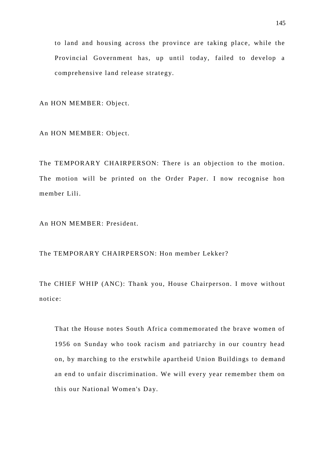to land and housing across the province are taking place, while the Provincial Government has, up until today, failed to develop a comprehensive land release strategy.

An HON MEMBER: Object.

An HON MEMBER: Object.

The TEMPORARY CHAIRPERSON: There is an objection to the motion. The motion will be printed on the Order Paper. I now recognise hon member Lili.

An HON MEMBER: President.

The TEMPORARY CHAIRPERSON: Hon member Lekker?

The CHIEF WHIP (ANC): Thank you, House Chairperson. I move without notice:

That the House notes South Africa commemorated the brave women of 1956 on Sunday who took racism and patriarchy in our country head on, by marching to the erstwhile apartheid Union Buildings to demand an end to unfair discrimination. We will every year remember them on this our National Women's Day.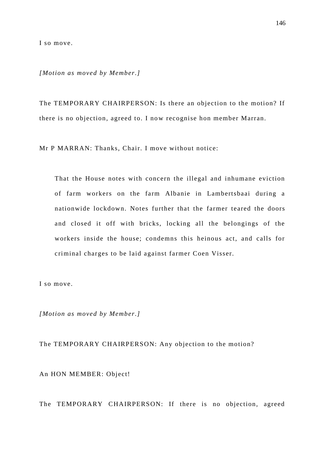I so move.

*[Motion as moved by Member.]*

The TEMPORARY CHAIRPERSON: Is there an objection to the motion? If there is no objection, agreed to. I now recognise hon member Marran.

Mr P MARRAN: Thanks, Chair. I move without notice:

That the House notes with concern the illegal and inhumane eviction of farm workers on the farm Albanie in Lambertsbaai during a nationwide lockdown. Notes further that the farmer teared the doors and closed it off with bricks, locking all the belongings of the workers inside the house; condemns this heinous act, and calls for criminal charges to be laid against farmer Coen Visser.

I so move.

*[Motion as moved by Member.]*

The TEMPORARY CHAIRPERSON: Any objection to the motion?

An HON MEMBER: Object!

The TEMPORARY CHAIRPERSON: If there is no objection, agreed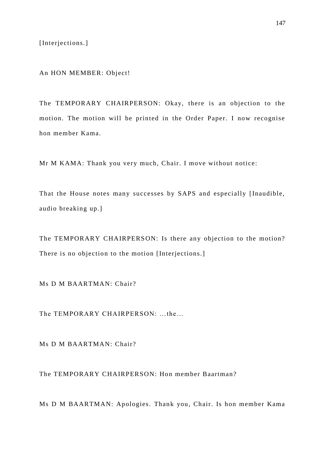[Interjections.]

An HON MEMBER: Object!

The TEMPORARY CHAIRPERSON: Okay, there is an objection to the motion. The motion will be printed in the Order Paper. I now recognise hon member Kama.

Mr M KAMA: Thank you very much, Chair. I move without notice:

That the House notes many successes by SAPS and especially [Inaudible, audio breaking up.]

The TEMPORARY CHAIRPERSON: Is there any objection to the motion? There is no objection to the motion [Interjections.]

Ms D M BAARTMAN: Chair?

The TEMPORARY CHAIRPERSON: …the…

Ms D M BAARTMAN: Chair?

The TEMPORARY CHAIRPERSON: Hon member Baartman?

Ms D M BAARTMAN: Apologies. Thank you, Chair. Is hon member Kama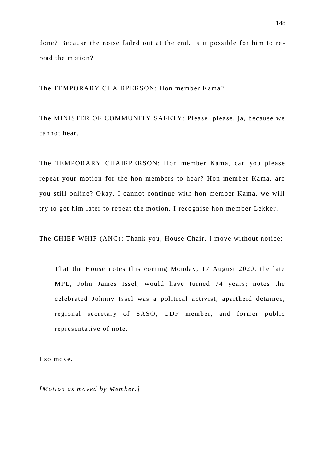done? Because the noise faded out at the end. Is it possible for him to re read the motion?

The TEMPORARY CHAIRPERSON: Hon member Kama?

The MINISTER OF COMMUNITY SAFETY: Please, please, ja, because we cannot hear.

The TEMPORARY CHAIRPERSON: Hon member Kama, can you please repeat your motion for the hon members to hear? Hon member Kama, are you still online? Okay, I cannot continue with hon member Kama, we will try to get him later to repeat the motion. I recognise hon member Lekker.

The CHIEF WHIP (ANC): Thank you, House Chair. I move without notice:

That the House notes this coming Monday, 17 August 2020, the late MPL, John James Issel, would have turned 74 years; notes the celebrated Johnny Issel was a political a ctivist, apartheid detainee, regional secretary of SASO, UDF member, and former public representative of note.

I so move.

*[Motion as moved by Member.]*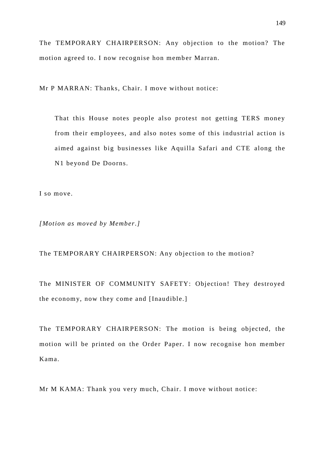The TEMPORARY CHAIRPERSON: Any objection to the motion? The motion agreed to. I now recognise hon member Marran.

Mr P MARRAN: Thanks, Chair. I move without notice:

That this House notes people also protest not getting TERS money from their employees, and also notes some of this industrial action is aimed against big businesses like Aquilla Safari and CTE along the N1 beyond De Doorns.

I so move.

*[Motion as moved by Member.]*

The TEMPORARY CHAIRPERSON: Any objection to the motion?

The MINISTER OF COMMUNITY SAFETY: Objection! They destroyed the economy, now they come and [Inaudible.]

The TEMPORARY CHAIRPERSON: The motion is being objected, the motion will be printed on the Order Paper. I now recognise hon member Kama.

Mr M KAMA: Thank you very much, Chair. I move without notice: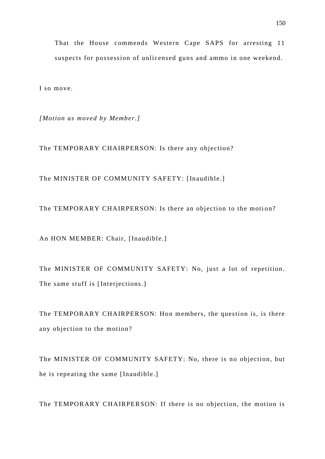That the House commends Western Cape SAPS for arresting 11 suspects for possession of unlicensed guns and ammo in one weekend.

I so move.

*[Motion as moved by Member.]*

The TEMPORARY CHAIRPERSON: Is there any objection?

The MINISTER OF COMMUNITY SAFETY: [Inaudible.]

The TEMPORARY CHAIRPERSON: Is there an objection to the motion?

An HON MEMBER: Chair, [Inaudible.]

The MINISTER OF COMMUNITY SAFETY: No, just a lot of repetition. The same stuff is [Interjections.]

The TEMPORARY CHAIRPERSON: Hon members, the question is, is there any objection to the motion?

The MINISTER OF COMMUNITY SAFETY: No, there is no objection, but he is repeating the same [Inaudible.]

The TEMPORARY CHAIRPERSON: If there is no objection, the motion is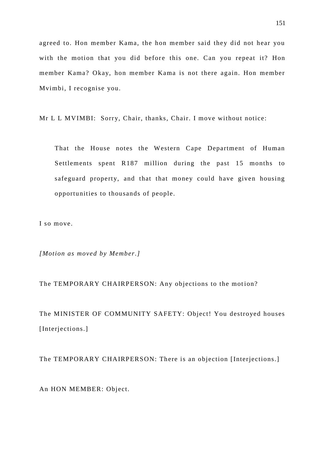agreed to. Hon member Kama, the hon member said they did not hear you with the motion that you did before this one. Can you repeat it? Hon member Kama? Okay, hon member Kama is not there again. Hon member Mvimbi, I recognise you.

Mr L L MVIMBI: Sorry, Chair, thanks, Chair. I move without notice:

That the House notes the Western Cape Department of Human Settlements spent R187 million during the past 15 months to safeguard property, and that that money could have given housing opportunities to thousands of people.

I so move.

*[Motion as moved by Member.]*

The TEMPORARY CHAIRPERSON: Any objections to the motion?

The MINISTER OF COMMUNITY SAFETY: Object! You destroyed houses [Interjections.]

The TEMPORARY CHAIRPERSON: There is an objection [Interjections.]

An HON MEMBER: Object.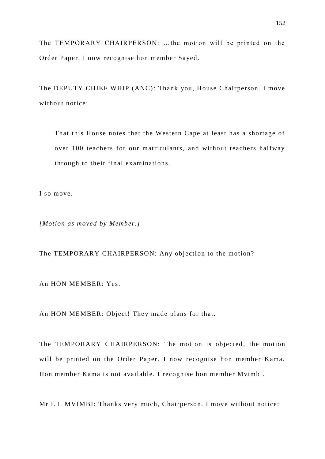The TEMPORARY CHAIRPERSON: …the motion will be printed on the Order Paper. I now recognise hon member Sayed.

The DEPUTY CHIEF WHIP (ANC): Thank you, House Chairperson. I move without notice:

That this House notes that the Western Cape at least has a shortage of over 100 teachers for our matriculants, and without teachers halfway through to their final examinations.

I so move.

*[Motion as moved by Member.]*

The TEMPORARY CHAIRPERSON: Any objection to the motion?

An HON MEMBER: Yes.

An HON MEMBER: Object! They made plans for that.

The TEMPORARY CHAIRPERSON: The motion is objected, the motion will be printed on the Order Paper. I now recognise hon member Kama. Hon member Kama is not available. I recognise hon member Mvimbi.

Mr L L MVIMBI: Thanks very much, Chairperson. I move without notice: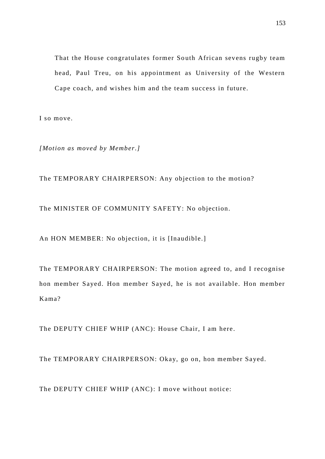That the House congratulates former South African sevens rugby team head, Paul Treu, on his appointment as University of the Western Cape coach, and wishes him and the team success in future.

I so move.

*[Motion as moved by Member.]*

The TEMPORARY CHAIRPERSON: Any objection to the motion?

The MINISTER OF COMMUNITY SAFETY: No objection.

An HON MEMBER: No objection, it is [Inaudible.]

The TEMPORARY CHAIRPERSON: The motion agreed to, and I recognise hon member Sayed. Hon member Sayed, he is not available. Hon member Kama?

The DEPUTY CHIEF WHIP (ANC): House Chair, I am here.

The TEMPORARY CHAIRPERSON: Okay, go on, hon member Sayed.

The DEPUTY CHIEF WHIP (ANC): I move without notice: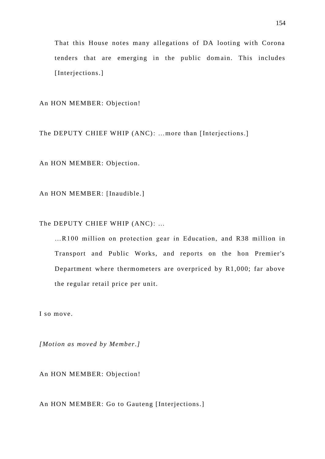That this House notes many allegations of DA looting with Corona tenders that are emerging in the public domain. This includes [Interjections.]

An HON MEMBER: Objection!

The DEPUTY CHIEF WHIP (ANC): ...more than [Interjections.]

An HON MEMBER: Objection.

An HON MEMBER: [Inaudible.]

The DEPUTY CHIEF WHIP (ANC): …

…R100 million on protection gear in Education, and R38 million in Transport and Public Works, and reports on the hon Premier's Department where thermometers are overpriced by R1,000; far above the regular retail price per unit.

I so move.

*[Motion as moved by Member.]*

An HON MEMBER: Objection!

An HON MEMBER: Go to Gauteng [Interjections.]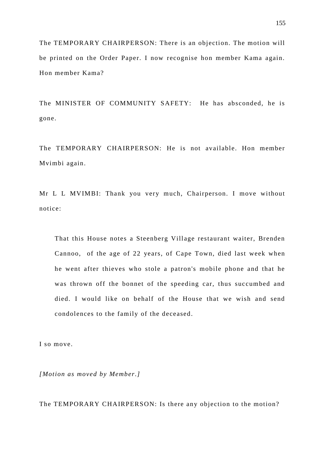The TEMPORARY CHAIRPERSON: There is an objection. The motion will be printed on the Order Paper. I now recognise hon member Kama again. Hon member Kama?

The MINISTER OF COMMUNITY SAFETY: He has absconded, he is gone.

The TEMPORARY CHAIRPERSON: He is not available. Hon member Mvimbi again.

Mr L L MVIMBI: Thank you very much, Chairperson. I move without notice:

That this House notes a Steenberg Village restaurant waiter, Brenden Cannoo, of the age of 22 years, of Cape Town, died last week when he went after thieves who stole a patron's mobile phone and that he was thrown off the bonnet of the speeding car, thus succumbed and died. I would like on behalf of the House that we wish and send condolences to the family of the deceased.

I so move.

*[Motion as moved by Member.]*

The TEMPORARY CHAIRPERSON: Is there any objection to the motion?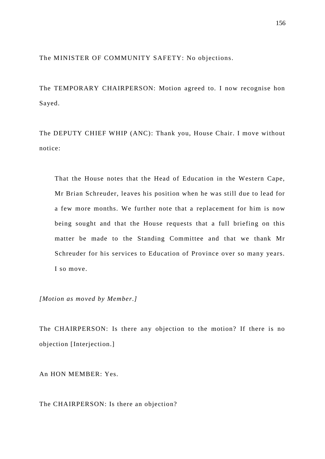The MINISTER OF COMMUNITY SAFETY: No objections.

The TEMPORARY CHAIRPERSON: Motion agreed to. I now recognise hon Sayed.

The DEPUTY CHIEF WHIP (ANC): Thank you, House Chair. I move without notice:

That the House notes that the Head of Education in the Western Cape, Mr Brian Schreuder, leaves his position when he was still due to lead for a few more months. We further note that a replacement for him is now being sought and that the House requests that a full briefing on this matter be made to the Standing Committee and that we thank Mr Schreuder for his services to Education of Province over so many years. I so move.

*[Motion as moved by Member.]*

The CHAIRPERSON: Is there any objection to the motion? If there is no objection [Interjection.]

An HON MEMBER: Yes.

The CHAIRPERSON: Is there an objection?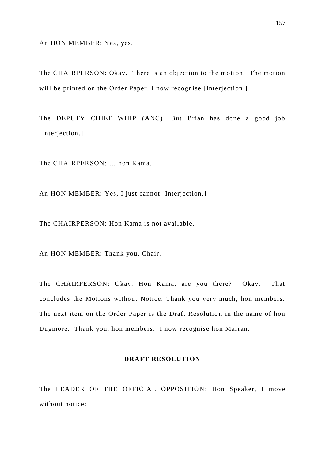An HON MEMBER: Yes, yes.

The CHAIRPERSON: Okay. There is an objection to the motion. The motion will be printed on the Order Paper. I now recognise [Interjection.]

The DEPUTY CHIEF WHIP (ANC): But Brian has done a good job [Interjection.]

The CHAIRPERSON: … hon Kama.

An HON MEMBER: Yes, I just cannot [Interjection.]

The CHAIRPERSON: Hon Kama is not available.

An HON MEMBER: Thank you, Chair.

The CHAIRPERSON: Okay. Hon Kama, are you there? Okay. That concludes the Motions without Notice. Thank you very much, hon members. The next item on the Order Paper is the Draft Resolution in the name of hon Dugmore. Thank you, hon members. I now recognise hon Marran.

## **DRAFT RESOLUTION**

The LEADER OF THE OFFICIAL OPPOSITION: Hon Speaker, I move without notice: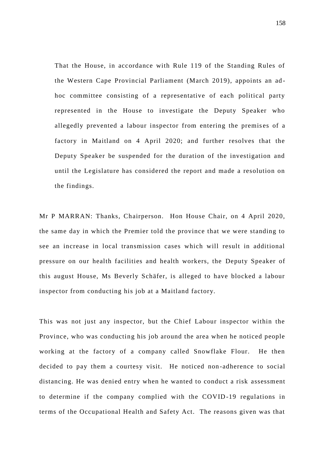That the House, in accordance with Rule 119 of the Standing Rules of the Western Cape Provincial Parliament (March 2019), appoints an ad hoc committee consisting of a representative of each political party represented in the House to investigate the Deputy Speaker who allegedly prevented a labour inspector from entering the premises of a factory in Maitland on 4 April 2020; and further resolves that the Deputy Speaker be suspended for the duration of the investigation and until the Legislature has considered the report and made a resolution on the findings.

Mr P MARRAN: Thanks, Chairperson. Hon House Chair, on 4 April 2020, the same day in which the Premier told the province that we were standing to see an increase in local transmission cases which will result in additional pressure on our health facilities and health workers, the Deputy Speaker of this august House, Ms Beverly Schäfer, is alleged to have blocked a labour inspector from conducting his job at a Maitland factory.

This was not just any inspector, but the Chief Labour inspector within the Province, who was conducting his job around the area when he noticed people working at the factory of a company called Snowflake Flour. He then decided to pay them a courtesy visit. He noticed non -adherence to social distancing. He was denied entry when he wanted to conduct a risk assessment to determine if the company complied with the COVID-19 regulations in terms of the Occupational Health and Safety Act. The reasons given was that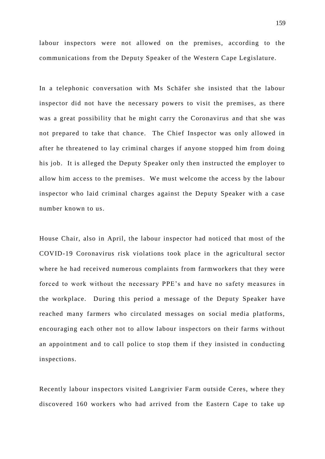labour inspectors were not allowed on the premises, according to the communications from the Deputy Speaker of the Western Cape Legislature.

In a telephonic conversation with Ms Schäfer she insisted that the labour inspector did not have the necessary powers to visit the premises, as there was a great possibility that he might carry the Coronavirus and that she was not prepared to take that chance. The Chief Inspector was only allowed in after he threatened to lay criminal charges if anyone stopped him from doing his job. It is alleged the Deputy Speaker only then instructed the employer to allow him access to the premises. We must welcome the access by the labour inspector who laid criminal charges against the Deputy Speaker with a case number known to us.

House Chair, also in April, the labour inspector had noticed that most of the COVID-19 Coronavirus risk violations took place in the agricultural sector where he had received numerous complaints from farmworkers that they were forced to work without the necessary PPE's and have no safety measures in the workplace. During this period a message of the Deputy Speaker have reached many farmers who circulated messages on social media platforms, encouraging each other not to allow labour inspectors on their farms without an appointment and to call police to stop them if they insisted in conducting inspections.

Recently labour inspectors visited Langrivier Farm outside Ceres, where they discovered 160 workers who had arrived from the Eastern Cape to take up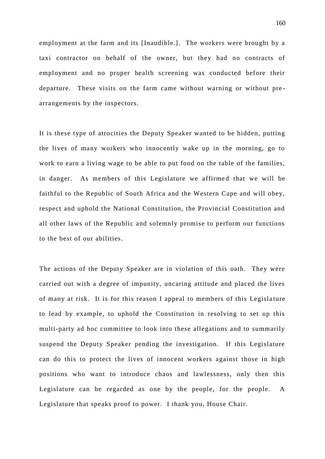employment at the farm and its [Inaudible.]. The workers were brought by a taxi contractor on behalf of the owner, but they had no contracts of employment and no proper health screening was conducted before their departure. These visits on the farm came without warning or without prearrangements by the inspectors.

It is these type of atrocities the Deputy Speaker wanted to be hidden, putting the lives of many workers who innocently wake up in the morning, go to work to earn a living wage to be able to put food on the table of the families, in danger. As members of this Legislature we affirmed that we will be faithful to the Republic of South Africa and the Western Cape and will obey, respect and uphold the National Constitution, the Provincial Constitution and all other laws of the Republic and solemnly promise to perform our functions to the best of our abilities.

The actions of the Deputy Speaker are in violation of this oath. They were carried out with a degree of impunity, uncaring attitude and placed the lives of many at risk. It is for this reason I appeal to members of this Legisla ture to lead by example, to uphold the Constitution in resolving to set up this multi-party ad hoc committee to look into these allegations and to summarily suspend the Deputy Speaker pending the investigation. If this Legislature can do this to protect the lives of innocent workers against those in high positions who want to introduce chaos and lawlessness, only then this Legislature can be regarded as one by the people, for the people. A Legislature that speaks proof to power. I thank you, House Chair.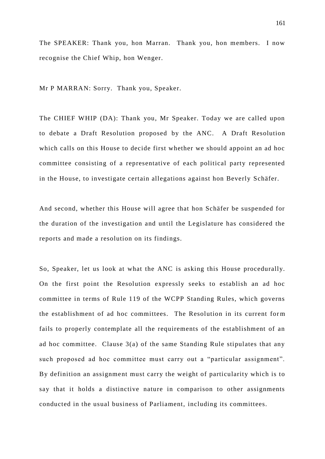The SPEAKER: Thank you, hon Marran. Thank you, hon members. I now recognise the Chief Whip, hon Wenger.

Mr P MARRAN: Sorry. Thank you, Speaker.

The CHIEF WHIP (DA): Thank you, Mr Speaker. Today we are called upon to debate a Draft Resolution proposed by the ANC. A Draft Resolution which calls on this House to decide first whether we should appoint an ad hoc committee consisting of a representative of each political party represented in the House, to investigate certain allegations against hon Beverly Schäfer.

And second, whether this House will agree that hon Schäfer be suspended for the duration of the investigation and until the Legislature has considered the reports and made a resolution on its findings.

So, Speaker, let us look at what the ANC is asking this House procedurally. On the first point the Resolution expressly seeks to establish an ad hoc committee in terms of Rule 119 of the WCPP Standing Rules, which governs the establishment of ad hoc committees. The Resolution in its current for m fails to properly contemplate all the requirements of the establishment of an ad hoc committee. Clause 3(a) of the same Standing Rule stipulates that any such proposed ad hoc committee must carry out a "particular assignment". By definition an assignment must carry the weight of particularity which is to say that it holds a distinctive nature in comparison to other assignments conducted in the usual business of Parliament, including its committees.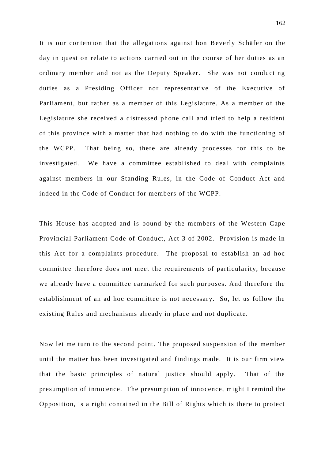It is our contention that the allegations against hon Beverly Schäfer on the day in question relate to actions carried out in the course of her duties as an ordinary member and not as the Deputy Speaker. She was not conducting duties as a Presiding Officer nor representative of the Executive of Parliament, but rather as a member of this Legislature. As a member of the Legislature she received a distressed phone call and tried to help a resident of this province with a matter that had nothing to do with the functioning of the WCPP. That being so, there are already processes for this to be investigated. We have a committee established to deal with complaints against members in our Standing Rules, in the Code of Conduct Act and indeed in the Code of Conduct for members of the WCPP.

This House has adopted and is bound by the members of the Western Cape Provincial Parliament Code of Conduct, Act 3 of 2002. Provision is made in this Act for a complaints procedure. The proposal to establish an ad hoc committee therefore does not meet the requirements of particularity, because we already have a committee earmarked for such purposes. And therefore the establishment of an ad hoc committee is not necessary. So, let us follow the existing Rules and mechanisms already in place and not duplicate.

Now let me turn to the second point. The proposed suspension of the member until the matter has been investigated and findings made. It is our firm view that the basic principles of natural justice should apply. That of the presumption of innocence. The presumption of innocence, might I remind the Opposition, is a right contained in the Bill of Rights which is there to protect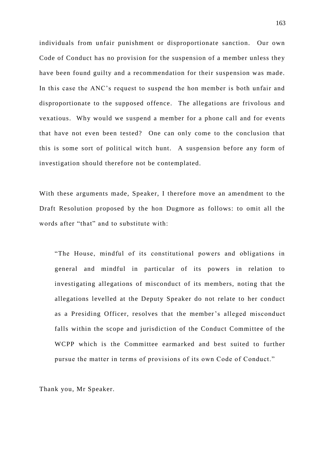individuals from unfair punishment or disproportionate sanction. Our own Code of Conduct has no provision for the suspension of a member unless they have been found guilty and a recommendation for their suspension was made. In this case the ANC's request to suspend the hon member is both unfair and disproportionate to the supposed offence. The allegations are frivolous and vexatious. Why would we suspend a member for a phone call and for events that have not even been tested? One can only come to the conclusion that this is some sort of political witch hunt. A suspension before any form of investigation should therefore not be contemplated.

With these arguments made, Speaker, I therefore move an amendment to the Draft Resolution proposed by the hon Dugmore as follows: to omit all the words after "that" and to substitute with:

"The House, mindful of its constitutional powers and obligations in general and mindful in particular of its powers in relation to investigating allegations of misconduct of its members, noting that the allegations levelled at the Deputy Speaker do not relate to her conduct as a Presiding Officer, resolves that the member's alleged misconduct falls within the scope and jurisdiction of the Conduct Committee of the WCPP which is the Committee earmarked and best suited to further pursue the matter in terms of provisions of its own Code of Conduct."

Thank you, Mr Speaker.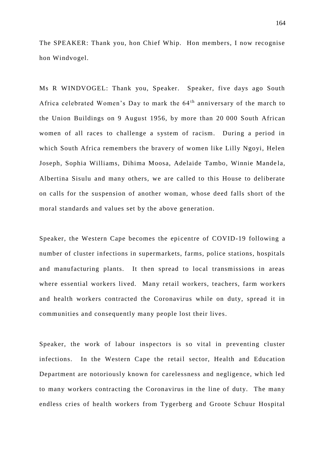The SPEAKER: Thank you, hon Chief Whip. Hon members, I now recognise hon Windvogel.

Ms R WINDVOGEL: Thank you, Speaker. Speaker, five days ago South Africa celebrated Women's Day to mark the 64<sup>th</sup> anniversary of the march to the Union Buildings on 9 August 1956, by more than 20 000 South African women of all races to challenge a system of racism. During a period in which South Africa remembers the bravery of women like Lilly Ngoyi, Helen Joseph, Sophia Williams, Dihima Moosa, Adelaide Tambo, Winnie Mande la, Albertina Sisulu and many others, we are called to this House to deliberate on calls for the suspension of another woman, whose deed falls short of the moral standards and values set by the above generation.

Speaker, the Western Cape becomes the epicentre of COVID-19 following a number of cluster infections in supermarkets, farms, police stations, hospitals and manufacturing plants. It then spread to local transmissions in areas where essential workers lived. Many retail workers, teachers, farm workers and health workers contracted the Coronavirus while on duty, spread it in communities and consequently many people lost their lives.

Speaker, the work of labour inspectors is so vital in preventing cluster infections. In the Western Cape the retail sector, Health and Education Department are notoriously known for carelessness and negligence, which led to many workers contracting the Coronavirus in the line of duty. The many endless cries of health workers from Tygerberg and Groote Schuur Hospital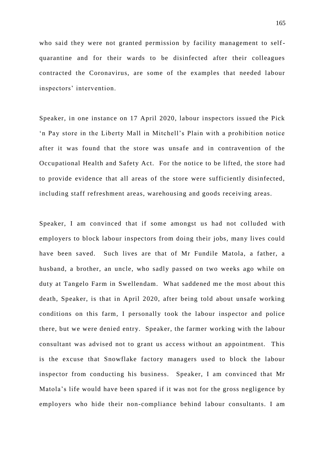who said they were not granted permission by facility management to selfquarantine and for their wards to be disinfected after their colleagues contracted the Coronavirus, are some of the examples that needed labour inspectors' intervention.

Speaker, in one instance on 17 April 2020, labour inspectors issued the Pick 'n Pay store in the Liberty Mall in Mitchell's Plain with a prohibition notice after it was found that the store was unsafe and in contravention of the Occupational Health and Safety Act. For the notice to be lifted, the store had to provide evidence that all areas of the store were sufficiently disinfected, including staff refreshment areas, warehousing and goods receiving areas.

Speaker, I am convinced that if some amongst us had not colluded with employers to block labour inspectors from doing their jobs, many lives could have been saved. Such lives are that of Mr Fundile Matola, a father, a husband, a brother, an uncle, who sadly passed on two weeks ago while on duty at Tangelo Farm in Swellendam. What saddened me the most about this death, Speaker, is that in April 2020, after being told about unsafe working conditions on this farm, I personally took the labour inspector and police there, but we were denied entry. Speaker, the farmer working with the labour consultant was advised not to grant us access without an appointment. This is the excuse that Snowflake factory managers used to block the labour inspector from conducting his business. Speaker, I am convinced that Mr Matola's life would have been spared if it was not for the gross negligence by employers who hide their non-compliance behind labour consultants. I am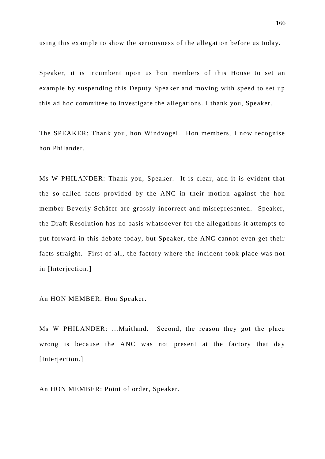using this example to show the seriousness of the allegation before us today.

Speaker, it is incumbent upon us hon members of this House to set an example by suspending this Deputy Speaker and moving with speed to set up this ad hoc committee to investigate the allegations. I thank you, Speaker.

The SPEAKER: Thank you, hon Windvogel. Hon members, I now recognise hon Philander.

Ms W PHILANDER: Thank you, Speaker. It is clear, and it is evident that the so-called facts provided by the ANC in their motion against the hon member Beverly Schäfer are grossly incorrect and misrepresented. Speaker, the Draft Resolution has no basis whatsoever for the allegations it attempts to put forward in this debate today, but Speaker, the ANC cannot even get their facts straight. First of all, the factory where the incident took place was not in [Interjection.]

An HON MEMBER: Hon Speaker.

Ms W PHILANDER: …Maitland. Second, the reason they got the place wrong is because the ANC was not present at the factory that day [Interjection.]

An HON MEMBER: Point of order, Speaker.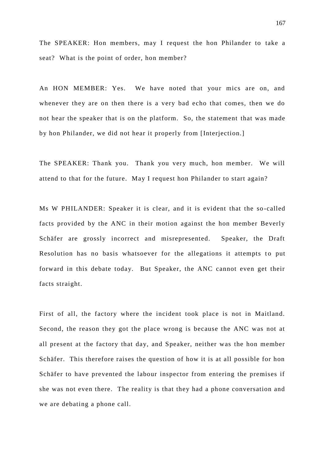The SPEAKER: Hon members, may I request the hon Philander to take a seat? What is the point of order, hon member?

An HON MEMBER: Yes. We have noted that your mics are on, and whenever they are on then there is a very bad echo that comes, then we do not hear the speaker that is on the platform. So, the statement that was made by hon Philander, we did not hear it properly from [Interjection.]

The SPEAKER: Thank you. Thank you very much, hon member. We will attend to that for the future. May I request hon Philander to start again?

Ms W PHILANDER: Speaker it is clear, and it is evident that the so -called facts provided by the ANC in their motion against the hon member Beverly Schäfer are grossly incorrect and misrepresented. Speaker, the Draft Resolution has no basis whatsoever for the allegations it attempts to put forward in this debate today. But Speaker, the ANC cannot even get their facts straight.

First of all, the factory where the incident took place is not in Maitland. Second, the reason they got the place wrong is because the ANC was not at all present at the factory that day, and Speaker, neither was the hon member Schäfer. This therefore raises the question of how it is at all possible for hon Schäfer to have prevented the labour inspector from entering the premises if she was not even there. The reality is that they had a phone conversation and we are debating a phone call.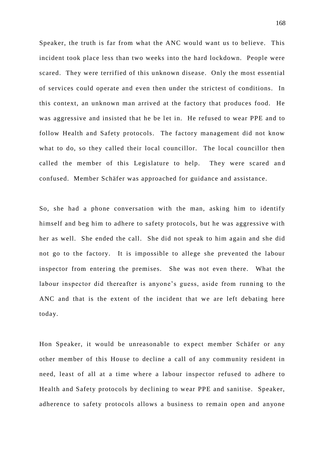Speaker, the truth is far from what the ANC would want us to believe. This incident took place less than two weeks into the hard lockdown. People were scared. They were terrified of this unknown disease. Only the most essential of services could operate and even then under the strictest of conditions. In this context, an unknown man arrived at the factory that produces food. He was aggressive and insisted that he be let in. He refused to wear PPE and to follow Health and Safety protocols. The factory management did not know what to do, so they called their local councillor. The local councillor then called the member of this Legislature to help. They were scared and confused. Member Schäfer was approached for guidance and assistance.

So, she had a phone conversation with the man, asking him to identify himself and beg him to adhere to safety protocols, but he was aggressive with her as well. She ended the call. She did not speak to him again and she did not go to the factory. It is impossible to allege she prevented the labour inspector from entering the premises. She was not even there. What the labour inspector did thereafter is anyone's guess, aside from running to the ANC and that is the extent of the incident that we are left debating here today.

Hon Speaker, it would be unreasonable to expect member Schäfer or any other member of this House to decline a call of any community resident in need, least of all at a time where a labour inspector refused to adhere to Health and Safety protocols by declining to wear PPE and sanitise. Speaker, adherence to safety protocols allows a business to remain open and anyone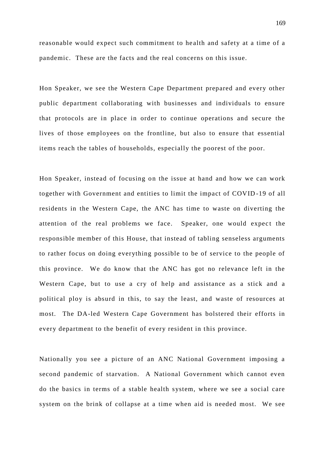reasonable would expect such commitment to he alth and safety at a time of a pandemic. These are the facts and the real concerns on this issue.

Hon Speaker, we see the Western Cape Department prepared and every other public department collaborating with businesses and individuals to ensure that protocols are in place in order to continue operations and secure the lives of those employees on the frontline, but also to ensure that essential items reach the tables of households, especially the poorest of the poor.

Hon Speaker, instead of focusing on the issue at hand and how we can work together with Government and entities to limit the impact of COVID -19 of all residents in the Western Cape, the ANC has time to waste on diverting the attention of the real problems we face. Speaker, one would expect the responsible member of this House, that instead of tabling senseless arguments to rather focus on doing everything possible to be of service to the people of this province. We do know that the ANC has got no relevance left in the Western Cape, but to use a cry of help and assistance as a stick and a political ploy is absurd in this, to say the least, and waste of resources at most. The DA-led Western Cape Government has bolstered their efforts in every department to the benefit of every resident in this province.

Nationally you see a picture of an ANC National Government imposing a second pandemic of starvation. A National Government which cannot even do the basics in terms of a stable health system, where we see a social care system on the brink of collapse at a time when aid is needed most. We see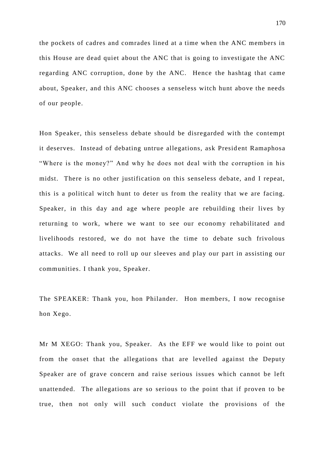the pockets of cadres and comrades lined at a time when the ANC members in this House are dead quiet about the ANC that is going to investigate the ANC regarding ANC corruption, done by the ANC. Hence the hashtag that came about, Speaker, and this ANC chooses a senseless witch hunt above the needs of our people.

Hon Speaker, this senseless debate should be disregarded with the contempt it deserves. Instead of debating untrue allegations, ask President Ramaphosa "Where is the money?" And why he does not deal with the corruption in his midst. There is no other justification on this senseless debate, and I repeat, this is a political witch hunt to deter us from the reality that we are facing. Speaker, in this day and age where people are rebuilding their lives by returning to work, where we want to see our economy rehabilitated and livelihoods restored, we do not have the time to debate such frivolous attacks. We all need to roll up our sleeves and play our part in assisting our communities. I thank you, Speaker.

The SPEAKER: Thank you, hon Philander. Hon members, I now recognise hon Xego.

Mr M XEGO: Thank you, Speaker. As the EFF we would like to point out from the onset that the allegations that are levelled against the Deputy Speaker are of grave concern and raise serious issues which cannot be left unattended. The allegations are so serious to the point that if proven to be true, then not only will such conduct violate the provisions of the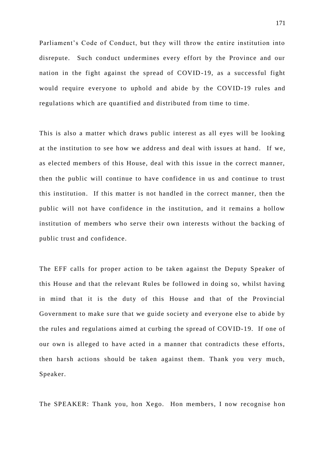Parliament's Code of Conduct, but they will throw the entire institution into disrepute. Such conduct undermines every effort by the Province and our nation in the fight against the spread of COVID-19, as a successful fight would require everyone to uphold and abide by the COVID-19 rules and regulations which are quantified and distributed from time to time.

This is also a matter which draws public interest as all eyes will be looking at the institution to see how we address and deal with issues at hand. If we, as elected members of this House, deal with this issue in the correct manner, then the public will continue to have confidence in us and continue to trust this institution. If this matter is not handled in the correct manner, then the public will not have confidence in the institution, and it remains a hollow institution of members who serve their own interests without the backing of public trust and confidence.

The EFF calls for proper action to be taken against the Deputy Speaker of this House and that the relevant Rules be followed in doing so, whilst having in mind that it is the duty of this House and that of the Provincial Government to make sure that we guide society and everyone else to abide by the rules and regulations aimed at curbing the spread of COVID-19. If one of our own is alleged to have acted in a manner that contradicts these efforts, then harsh actions should be taken against them. Thank you very much, Speaker.

The SPEAKER: Thank you, hon Xego. Hon members, I now recognise hon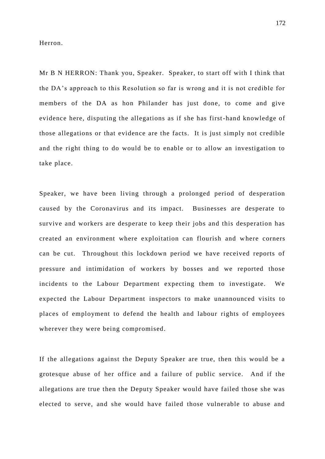Herron.

Mr B N HERRON: Thank you, Speaker. Speaker, to start off with I think that the DA's approach to this Resolution so far is wrong and it is not credible for members of the DA as hon Philander has just done, to come and give evidence here, disputing the allegations as if she has first-hand knowledge of those allegations or that evidence are the facts. It is just simply not credible and the right thing to do would be to enable or to allow an investigation to take place.

Speaker, we have been living through a prolonged period of desperation caused by the Coronavirus and its impact. Businesses are desperate to survive and workers are desperate to keep their jobs and this desperation has created an environment where exploitation can flourish and where corners can be cut. Throughout this lockdown period we have received reports of pressure and intimidation of workers by bosses and we reported those incidents to the Labour Department expecting them to investigate. We expected the Labour Department inspectors to make unannounced visits to places of employment to defend the health and labour rights of employees wherever they were being compromised.

If the allegations against the Deputy Speaker are true, then this would be a grotesque abuse of her office and a failure of public service. And if the allegations are true then the Deputy Speaker would have failed those she was elected to serve, and she would have failed those vulnerable to abuse and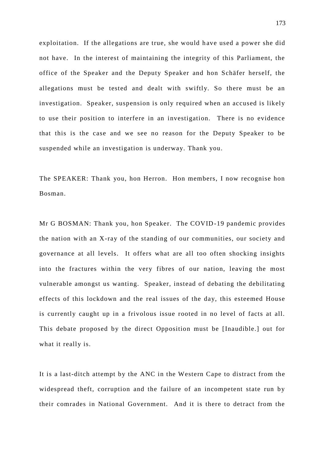exploitation. If the allegations are true, she would have used a power she did not have. In the interest of maintaining the integrity of this Parliament, the office of the Speaker and the Deputy Speaker and hon Schäfer herself, the allegations must be tested and dealt with swiftly. So there must be an investigation. Speaker, suspension is only required when an accused is likely to use their position to interfere in an investigation. There is no evidence that this is the case and we see no reason for the Deputy Speaker to be suspended while an investigation is underway. Thank you.

The SPEAKER: Thank you, hon Herron. Hon members, I now recognise hon Bosman.

Mr G BOSMAN: Thank you, hon Speaker. The COVID-19 pandemic provides the nation with an X-ray of the standing of our communities, our society and governance at all levels. It offers what are all too often shocking insights into the fractures within the very fibres of our nation, leaving the most vulnerable amongst us wanting. Speaker, instead of debating the debilitating effects of this lockdown and the real issues of the day, this esteemed House is currently caught up in a frivolous issue rooted in no level of facts at all. This debate proposed by the direct Opposition must be [Inaudible.] out for what it really is.

It is a last-ditch attempt by the ANC in the Western Cape to distract from the widespread theft, corruption and the failure of an incompetent state run by their comrades in National Government. And it is there to detract from the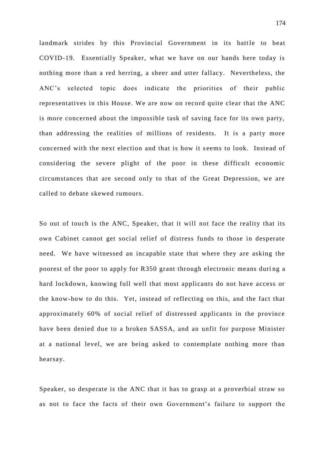landmark strides by this Provincial Government in its battle to beat COVID-19. Essentially Speaker, what we have on our hands here today is nothing more than a red herring, a sheer and utter fallacy. Nevertheless, the ANC's selected topic does indicate the priorities of their public representatives in this House. We are now on record quite clear that the ANC is more concerned about the impossible task of saving face for its own party, than addressing the realities of millions of residents. It is a party more concerned with the next election and that is how it s eems to look. Instead of considering the severe plight of the poor in these difficult economic circumstances that are second only to that of the Great Depression, we are called to debate skewed rumours.

So out of touch is the ANC, Speaker, that it will not face the reality that its own Cabinet cannot get social relief of distress funds to those in desperate need. We have witnessed an incapable state that where they are asking the poorest of the poor to apply for R350 grant through electronic means during a hard lockdown, knowing full well that most applicants do not have access or the know-how to do this. Yet, instead of reflecting on this, and the fact that approximately 60% of social relief of distressed applicants in the province have been denied due to a broken SASSA, and an unfit for purpose Minister at a national level, we are being asked to contemplate nothing more than hearsay.

Speaker, so desperate is the ANC that it has to grasp at a proverbial straw so as not to face the facts of their own Government's failure to support the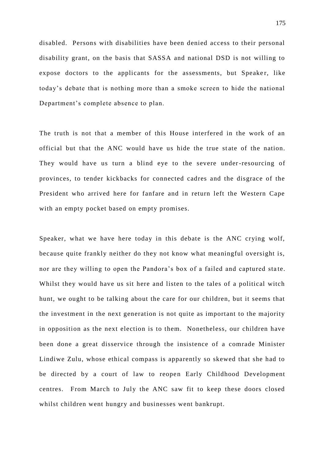disabled. Persons with disabilities have been denied access to their personal disability grant, on the basis that SASSA and national DSD is not willing to expose doctors to the applicants for the assessments, but Speaker, like today's debate that is nothing more than a smoke screen to hide the national Department's complete absence to plan.

The truth is not that a member of this House interfered in the work of an official but that the ANC would have us hide the true st ate of the nation. They would have us turn a blind eye to the severe under-resourcing of provinces, to tender kickbacks for connected cadres and the disgrace of the President who arrived here for fanfare and in return left the Western Cape with an empty pocket based on empty promises.

Speaker, what we have here today in this debate is the ANC crying wolf, because quite frankly neither do they not know what meaningful oversight is, nor are they willing to open the Pandora's box of a failed and captured state. Whilst they would have us sit here and listen to the tales of a political witch hunt, we ought to be talking about the care for our children, but it seems that the investment in the next generation is not quite as important to the majority in opposition as the next election is to them. Nonetheless, our children have been done a great disservice through the insistence of a comrade Minister Lindiwe Zulu, whose ethical compass is apparently so skewed that she had to be directed by a court of law to reopen Early Childhood Development centres. From March to July the ANC saw fit to keep these doors closed whilst children went hungry and businesses went bankrupt.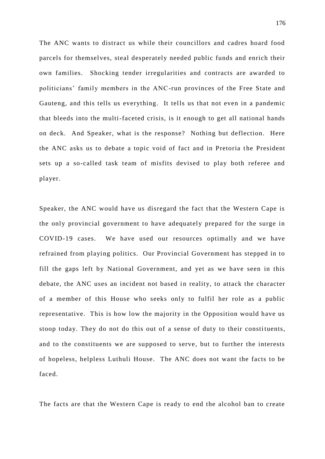The ANC wants to distract us while their councillors and cadres hoard food parcels for themselves, steal desperately needed public funds and enrich their own families. Shocking tender irregularities and contracts are awarded to politicians' family members in the ANC-run provinces of the Free State and Gauteng, and this tells us everything. It tells us that not even in a pandemic that bleeds into the multi-faceted crisis, is it enough to get all national hands on deck. And Speaker, what is the response? Nothing but deflection. Here the ANC asks us to debate a topic void of fact and in Pretoria the President sets up a so-called task team of misfits devised to play both referee and player.

Speaker, the ANC would have us disregard the fact that the Western Cape is the only provincial government to have adequately prepared for the surge in COVID-19 cases. We have used our resources optimally and we have refrained from playing politics. Our Provincial Government has stepped in to fill the gaps left by National Government, and yet as we have seen in this debate, the ANC uses an incident not based in reality, to attack the character of a member of this House who seeks only to fulfil her role as a public representative. This is how low the majority in the Opposition would have us stoop today. They do not do this out of a sense of duty to their constituents, and to the constituents we are supposed to serve, but to further the interests of hopeless, helpless Luthuli House. The ANC does not want the facts to be faced.

The facts are that the Western Cape is ready to end the alcohol ban to create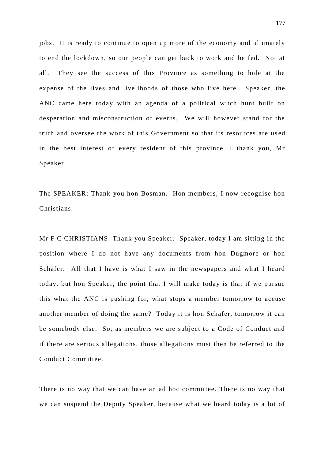jobs. It is ready to continue to open up more of the economy and ultimately to end the lockdown, so our people can get back to work and be fed. Not at all. They see the success of this Province as something to hide at the expense of the lives and livelihoods of those who live here. Speaker, the ANC came here today with an agenda of a political witch hunt built on desperation and misconstruction of events. We will however stand for the truth and oversee the work of this Government so that its resources are us ed in the best interest of every resident of this province. I thank you, Mr Speaker.

The SPEAKER: Thank you hon Bosman. Hon members, I now recognise hon Christians.

Mr F C CHRISTIANS: Thank you Speaker. Speaker, today I am sitting in the position where I do not have any documents from hon Dugmore or hon Schäfer. All that I have is what I saw in the newspapers and what I heard today, but hon Speaker, the point that I will make today is that if we pursue this what the ANC is pushing for, what stops a member tomorrow to accuse another member of doing the same? Today it is hon Schäfer, tomorrow it can be somebody else. So, as members we are subject to a Code of Conduct and if there are serious allegations, those allegations must then be referred to the Conduct Committee.

There is no way that we can have an ad hoc committee. There is no way that we can suspend the Deputy Speaker, because what we heard today is a lot of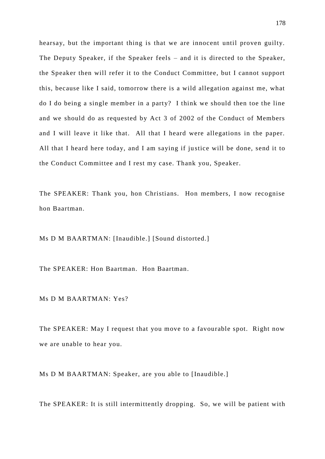hearsay, but the important thing is that we are innocent until proven guilty. The Deputy Speaker, if the Speaker feels – and it is directed to the Speaker, the Speaker then will refer it to the Conduct Committee, but I cannot support this, because like I said, tomorrow there is a wild allegation against me, what do I do being a single member in a party? I think we should then toe the line and we should do as requested by Act 3 of 2002 of the Conduct of Members and I will leave it like that. All that I heard were allegations in the paper. All that I heard here today, and I am saying if ju stice will be done, send it to the Conduct Committee and I rest my case. Thank you, Speaker.

The SPEAKER: Thank you, hon Christians. Hon members, I now recognise hon Baartman.

Ms D M BAARTMAN: [Inaudible.] [Sound distorted.]

The SPEAKER: Hon Baartman. Hon Baartman.

Ms D M BAARTMAN: Yes?

The SPEAKER: May I request that you move to a favourable spot. Right now we are unable to hear you.

Ms D M BAARTMAN: Speaker, are you able to [Inaudible.]

The SPEAKER: It is still intermittently dropping. So, we will be patient with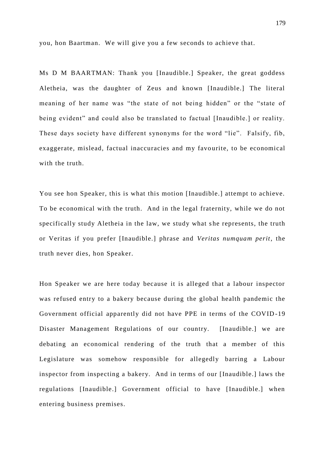you, hon Baartman. We will give you a few seconds to achieve that.

Ms D M BAARTMAN: Thank you [Inaudible.] Speaker, the great goddess Aletheia, was the daughter of Zeus and known [Inaudible.] The literal meaning of her name was "the state of not being hidden" or the "state of being evident" and could also be translated to factual [Inaudible.] or reality. These days society have different synonyms for the word "lie". Falsify, fib, exaggerate, mislead, factual inaccuracies and my favourite, to be economical with the truth.

You see hon Speaker, this is what this motion [Inaudible.] attempt to achieve. To be economical with the truth. And in the legal fraternity, while we do not specifically study Aletheia in the law, we study what she represents, the truth or Veritas if you prefer [Inaudible.] phrase and *Veritas numquam perit*, the truth never dies, hon Speaker.

Hon Speaker we are here today because it is alleged that a labour inspector was refused entry to a bakery because during the global health pandemic the Government official apparently did not have PPE in terms of the COVID -19 Disaster Management Regulations of our country. [Inaudible.] we are debating an economical rendering of the truth that a member of this Legislature was somehow responsible for allegedly barring a Labour inspector from inspecting a bakery. And in terms of our [Inaudible.] laws the regulations [Inaudible.] Government official to have [Inaudible.] when entering business premises.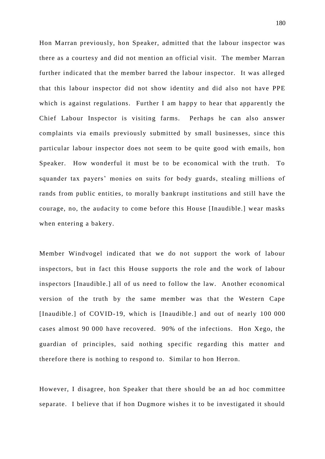Hon Marran previously, hon Speaker, admitted that the labour inspector was there as a courtesy and did not mention an official visit. The member Marran further indicated that the member barred the labour inspector. It was alleged that this labour inspector did not show identity and did also not have PPE which is against regulations. Further I am happy to hear that apparently the Chief Labour Inspector is visiting farms. Perhaps he can also answer complaints via emails previously submitted by small businesses, since this particular labour inspector does not seem to be quite good with emails, hon Speaker. How wonderful it must be to be economical with the truth. To squander tax payers' monies on suits for body guards, stealing millions of rands from public entities, to morally bankrupt institutions and still have the courage, no, the audacity to come before this House [Inaudible.] wear masks when entering a bakery.

Member Windvogel indicated that we do not support the work of labour inspectors, but in fact this House supports the role and the work of labour inspectors [Inaudible.] all of us need to follow the law. Another economical version of the truth by the same member was that the Western Cape [Inaudible.] of COVID-19, which is [Inaudible.] and out of nearly 100 000 cases almost 90 000 have recovered. 90% of the infections. Hon Xego, the guardian of principles, said nothing specific regarding this matter and therefore there is nothing to respond to. Similar to hon Herron.

However, I disagree, hon Speaker that there should be an ad hoc committee separate. I believe that if hon Dugmore wishes it to be investigated it should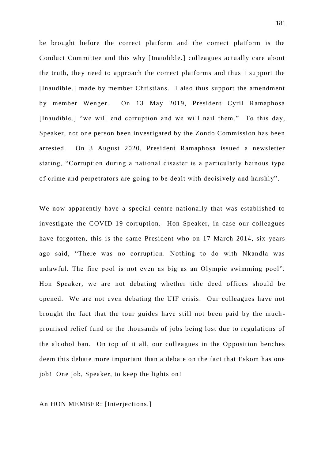be brought before the correct platform and the correct platform is the Conduct Committee and this why [Inaudible.] colleagues actually care about the truth, they need to approach the correct platforms and thus I support the [Inaudible.] made by member Christians. I also thus support the amendment by member Wenger. On 13 May 2019, President Cyril Ramaphosa [Inaudible.] "we will end corruption and we will nail them." To this day, Speaker, not one person been investigated by the Zondo Commission has been arrested. On 3 August 2020, President Ramaphosa issued a newsletter stating, "Corruption during a national disaster is a particularly heinous type of crime and perpetrators are going to be dealt with decisively and harshly".

We now apparently have a special centre nationally that was established to investigate the COVID-19 corruption. Hon Speaker, in case our colleagues have forgotten, this is the same President who on 17 March 2014, six years ago said, "There was no corruption. Nothing to do with Nkandla was unlawful. The fire pool is not even as big as an Olympic swimming pool". Hon Speaker, we are not debating whether title deed offices should be opened. We are not even debating the UIF crisis. Our colleagues have not brought the fact that the tour guides have still not been paid by the much promised relief fund or the thousands of jobs being lost due to regulations of the alcohol ban. On top of it all, our colleagues in the Opposition benches deem this debate more important than a debate on the fact that Eskom has one job! One job, Speaker, to keep the lights on!

#### An HON MEMBER: [Interjections.]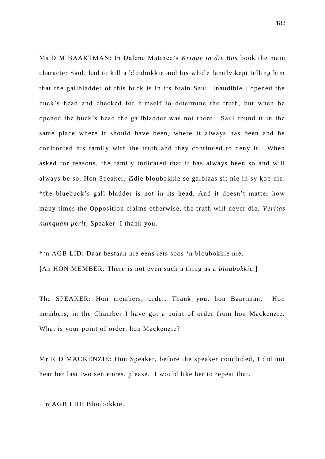Ms D M BAARTMAN: In Dalene Matthee's *Kringe in die Bos* book the main character Saul, had to kill a bloubokkie and his whole family kept telling him that the gallbladder of this buck is in its brain Saul [Inaudible.] opened the buck's head and checked for himself to determine the truth, but when he opened the buck's head the gallbladder was not there. Saul found it in the same place where it should have been, where it always has been and he confronted his family with the truth and they continued to deny it. When asked for reasons, the family indicated that it has always been so and will always be so. Hon Speaker, Ճdie bloubokkie se galblaas sit nie in sy kop nie. †the bluebuck's gall bladder is not in its head. And it doesn't matter how many times the Opposition claims otherwise, the truth will never die. *Veritas numquam perit*, Speaker. I thank you.

†'n AGB LID: Daar bestaan nie eens iets soos 'n bloubokkie nie. **[**An HON MEMBER: There is not even such a thing as a *bloubokkie*.**]**

The SPEAKER: Hon members, order. Thank you, hon Baartman. Hon members, in the Chamber I have got a point of order from hon Mackenzie. What is your point of order, hon Mackenzie?

Mr R D MACKENZIE: Hon Speaker, before the speaker concluded, I did not hear her last two sentences, please. I would like her to repeat that.

†'n AGB LID: Bloubokkie.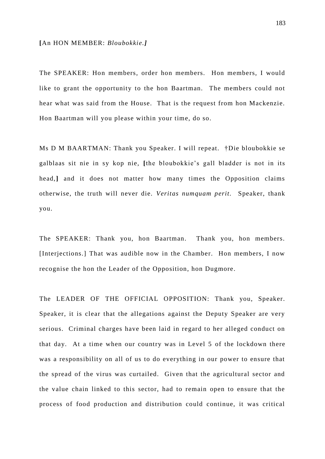#### **[**An HON MEMBER: *Bloubokkie.]*

The SPEAKER: Hon members, order hon members. Hon members, I would like to grant the opportunity to the hon Baartman. The members could not hear what was said from the House. That is the request from hon Mackenzie. Hon Baartman will you please within your time, do so.

Ms D M BAARTMAN: Thank you Speaker. I will repeat. †Die bloubokkie se galblaas sit nie in sy kop nie, **[**the bloubokkie's gall bladder is not in its head,**]** and it does not matter how many times the Opposition claims otherwise, the truth will never die. *Veritas numquam perit.* Speaker, thank you.

The SPEAKER: Thank you, hon Baartman. Thank you, hon members. [Interjections.] That was audible now in the Chamber. Hon members, I now recognise the hon the Leader of the Opposition, hon Dugmore.

The LEADER OF THE OFFICIAL OPPOSITION: Thank you, Speaker. Speaker, it is clear that the allegations against the Deputy Speaker are very serious. Criminal charges have been laid in regard to her alleged conduct on that day. At a time when our country was in Level 5 of the lockdown there was a responsibility on all of us to do everything in our power to ensure that the spread of the virus was curtailed. Given that the agricultural sector and the value chain linked to this sector, had to remain open to ensure that the process of food production and distribution could continue, it was critical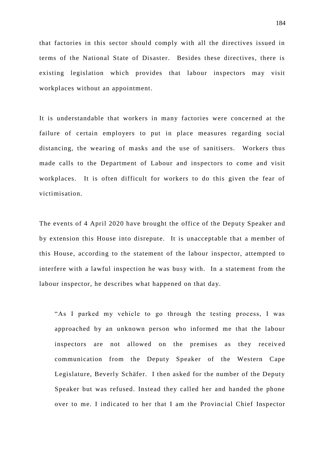that factories in this sector should comply with all the directives issued in terms of the National State of Disaster. Besides these directives, there is existing legislation which provides that labour inspectors may visit workplaces without an appointment.

It is understandable that workers in many factories were concerned at the failure of certain employers to put in place measures regarding social distancing, the wearing of masks and the use of sanitisers. Workers thus made calls to the Department of Labour and inspectors to come and visit workplaces. It is often difficult for workers to do this given the fear of victimisation.

The events of 4 April 2020 have brought the office of the Deputy Speaker and by extension this House into disrepute. It is unacceptable that a member of this House, according to the statement of the labour inspector, attempted to interfere with a lawful inspection he was busy with. In a statement from the labour inspector, he describes what happened on that day.

"As I parked my vehicle to go through the testing process, I was approached by an unknown person who informed me that the labour inspectors are not allowed on the premises as they received communication from the Deputy Speaker of the Western Cape Legislature, Beverly Schäfer. I then asked for the number of the Deputy Speaker but was refused. Instead they called her and handed the phone over to me. I indicated to her that I am the Provincial Chief Inspector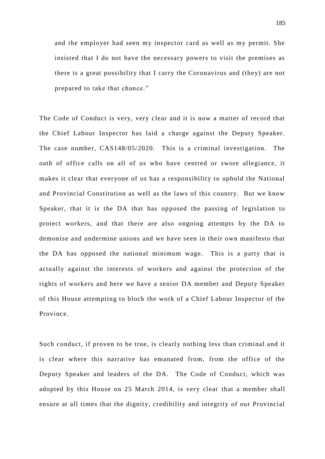and the employer had seen my inspector card as well as my permit. She insisted that I do not have the necessary powers to visit the premises as there is a great possibility that I carry the Coronavirus and (they) are not prepared to take that chance."

The Code of Conduct is very, very clear and it is now a matter of record that the Chief Labour Inspector has laid a charge against the Deputy Speaker. The case number, CAS148/05/2020. This is a criminal investigation. The oath of office calls on all of us who have centred or swore allegiance, it makes it clear that everyone of us has a responsibility to uphold the National and Provincial Constitution as well as the laws of this country. But we know Speaker, that it is the DA that has opposed the passing of legislation to protect workers, and that there are also ongoing attempts by the DA to demonise and undermine unions and we have seen in their own manifesto that the DA has opposed the national minimum wage. This is a party that is actually against the interests of workers and against the protection of the rights of workers and here we have a senior DA member and Deputy Speaker of this House attempting to block the work of a Chief Labour Inspector of the Province.

Such conduct, if proven to be true, is clearly nothing less than criminal and it is clear where this narrative has emanated from, from the office of the Deputy Speaker and leaders of the DA. The Code of Conduct, which was adopted by this House on 25 March 2014, is very clear that a member shall ensure at all times that the dignity, credibility and integrity of our Provincial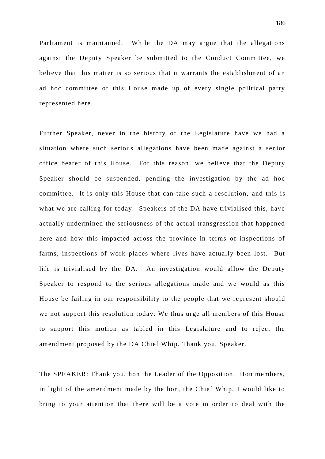Parliament is maintained. While the DA may argue that the allegations against the Deputy Speaker be submitted to the Conduct Committee, we believe that this matter is so serious that it warrants the establishment of an ad hoc committee of this House made up of every single political party represented here.

Further Speaker, never in the history of the Legislature have we had a situation where such serious allegations have been made against a senior office bearer of this House. For this reason, we believe that the Deputy Speaker should be suspended, pending the investigation by the ad hoc committee. It is only this House that can take such a resolution, and this is what we are calling for today. Speakers of the DA have trivialised this, have actually undermined the seriousness of the actual transgression that happened here and how this impacted across the province in terms of inspections of farms, inspections of work places where lives have actually been lost. But life is trivialised by the DA. An investigation would allow the Deputy Speaker to respond to the serious allegations made and we would as this House be failing in our responsibility to the people that we represent should we not support this resolution today. We thus urge all members of this House to support this motion as tabled in this Legislature and to reject the amendment proposed by the DA Chief Whip. Thank you, Speaker.

The SPEAKER: Thank you, hon the Leader of the Opposition. Hon members, in light of the amendment made by the hon, the Chief Whip, I would like to bring to your attention that there will be a vote in order to deal with the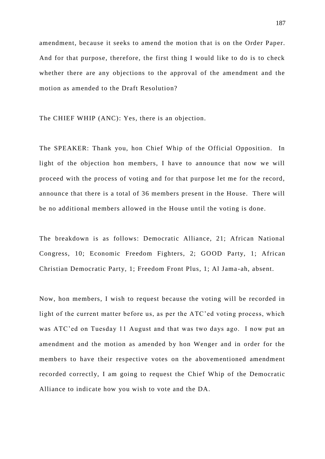amendment, because it seeks to amend the motion that is on the Order Paper. And for that purpose, therefore, the first thing I would like to do is to check whether there are any objections to the approval of the amendment and the motion as amended to the Draft Resolution?

The CHIEF WHIP (ANC): Yes, there is an objection.

The SPEAKER: Thank you, hon Chief Whip of the Official Opposition. In light of the objection hon members, I have to announce that now we will proceed with the process of voting and for that purpose let me for the record, announce that there is a total of 36 members present in the House. There will be no additional members allowed in the House until the voting is done.

The breakdown is as follows: Democratic Alliance, 21; African National Congress, 10; Economic Freedom Fighters, 2; GOOD Party, 1; African Christian Democratic Party, 1; Freedom Front Plus, 1; Al Jama -ah, absent.

Now, hon members, I wish to request because the voting will be recorded in light of the current matter before us, as per the ATC'ed voting process, which was ATC'ed on Tuesday 11 August and that was two days ago. I now put an amendment and the motion as amended by hon Wenger and in order for the members to have their respective votes on the abovementioned amendment recorded correctly, I am going to request the Chief Whip of the Democratic Alliance to indicate how you wish to vote and the DA.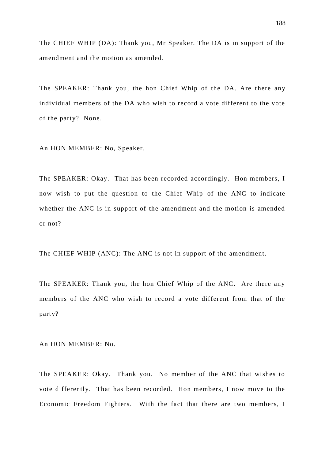The CHIEF WHIP (DA): Thank you, Mr Speaker. The DA is in support of the amendment and the motion as amended.

The SPEAKER: Thank you, the hon Chief Whip of the DA. Are there any individual members of the DA who wish to record a vote different to the vote of the party? None.

An HON MEMBER: No, Speaker.

The SPEAKER: Okay. That has been recorded accordingly. Hon members, I now wish to put the question to the Chief Whip of the ANC to indicate whether the ANC is in support of the amendment and the motion is amended or not?

The CHIEF WHIP (ANC): The ANC is not in support of the amendment.

The SPEAKER: Thank you, the hon Chief Whip of the ANC. Are there any members of the ANC who wish to record a vote different from that of the party?

An HON MEMBER: No.

The SPEAKER: Okay. Thank you. No member of the ANC that wishes to vote differently. That has been recorded. Hon members, I now move to the Economic Freedom Fighters. With the fact that there are two members, I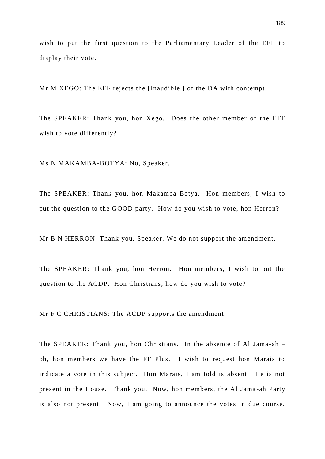wish to put the first question to the Parliamentary Leader of the EFF to display their vote.

Mr M XEGO: The EFF rejects the [Inaudible.] of the DA with contempt.

The SPEAKER: Thank you, hon Xego. Does the other member of the EFF wish to vote differently?

Ms N MAKAMBA-BOTYA: No, Speaker.

The SPEAKER: Thank you, hon Makamba -Botya. Hon members, I wish to put the question to the GOOD party. How do you wish to vote, hon Herron?

Mr B N HERRON: Thank you, Speaker. We do not support the amendment.

The SPEAKER: Thank you, hon Herron. Hon members, I wish to put the question to the ACDP. Hon Christians, how do you wish to vote?

Mr F C CHRISTIANS: The ACDP supports the amendment.

The SPEAKER: Thank you, hon Christians. In the absence of Al Jama-ah – oh, hon members we have the FF Plus. I wish to request hon Marais to indicate a vote in this subject. Hon Marais, I am told is absent. He is not present in the House. Thank you. Now, hon members, the Al Jama -ah Party is also not present. Now, I am going to announce the votes in due course.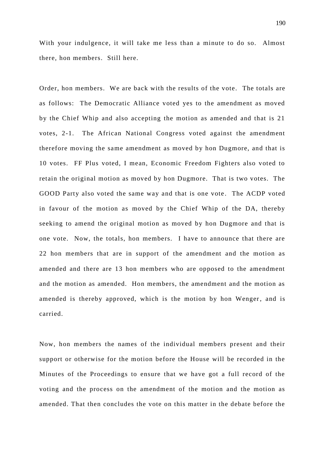With your indulgence, it will take me less than a minute to do so. Almost there, hon members. Still here.

Order, hon members. We are back with the results of the vote. The totals are as follows: The Democratic Alliance voted yes to the amendment as moved by the Chief Whip and also accepting the motion as amended and that is 21 votes, 2-1. The African National Congress voted against the amendment therefore moving the same amendment as moved by hon Dugmore, and that is 10 votes. FF Plus voted, I mean, Economic Freedom Fighters also voted to retain the original motion as moved by hon Dugmore. That is two votes. The GOOD Party also voted the same way and that is one vote. The ACDP voted in favour of the motion as moved by the Chief Whip of the DA, thereby seeking to amend the original motion as moved by hon Dugmore and that is one vote. Now, the totals, hon members. I have to announce that there are 22 hon members that are in support of the amendment and the motion as amended and there are 13 hon members who are opposed to the amendment and the motion as amended. Hon members, the amendment and the motion as amended is thereby approved, which is the motion by hon Wenger, and is carried.

Now, hon members the names of the individual members present and their support or otherwise for the motion before the House will be recorded in the Minutes of the Proceedings to ensure that we have got a full record of the voting and the process on the amendment of the motion and the motion as amended. That then concludes the vote on this matter in the debate before the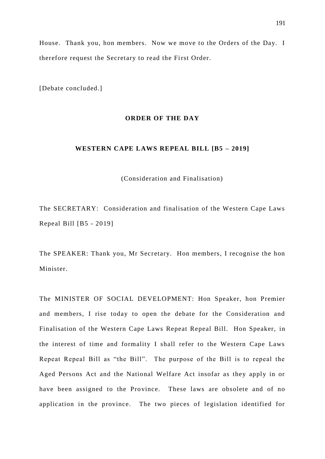House. Thank you, hon members. Now we move to the Orders of the Day. I therefore request the Secretary to read the First Order.

[Debate concluded.]

### **ORDER OF THE DAY**

## **WESTERN CAPE LAWS REPEAL BILL [B5 – 2019]**

(Consideration and Finalisation)

The SECRETARY: Consideration and finalisation of the Western Cape Laws Repeal Bill [B5 - 2019]

The SPEAKER: Thank you, Mr Secretary. Hon members, I recognise the hon Minister.

The MINISTER OF SOCIAL DEVELOPMENT: Hon Speaker, hon Premier and members, I rise today to open the debate for the Consideration and Finalisation of the Western Cape Laws Repeat Repeal Bill. Hon Speaker, in the interest of time and formality I shall refer to the Western Cape Laws Repeat Repeal Bill as "the Bill". The purpose of the Bill is to repeal the Aged Persons Act and the National Welfare Act insofar as they apply in or have been assigned to the Province. These laws are obsolete and of no application in the province. The two pieces of legislation identified for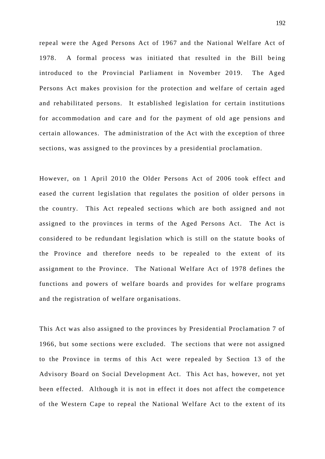repeal were the Aged Persons Act of 1967 and the National Welfare Act of 1978. A formal process was initiated that resulted in the Bill being introduced to the Provincial Parliament in November 2019. The Aged Persons Act makes provision for the protection and welfare of certain aged and rehabilitated persons. It established legislation for certain institutions for accommodation and care and for the payment of old age pensions and certain allowances. The administration of the Act with the exception of three sections, was assigned to the provinces by a presidential proclamation.

However, on 1 April 2010 the Older Persons Act of 2006 took effect and eased the current legislation that regulates the position of older persons in the country. This Act repealed sections which are both assigned and not assigned to the provinces in terms of the Aged Persons Act. The Act is considered to be redundant legislation which is still on the statute books of the Province and therefore needs to be repealed to the extent of its assignment to the Province. The National Welfare Act of 1978 defines the functions and powers of welfare boards and provides for w elfare programs and the registration of welfare organisations.

This Act was also assigned to the provinces by Presidential Proclamation 7 of 1966, but some sections were excluded. The sections that were not assigned to the Province in terms of this Act were repealed by Section 13 of the Advisory Board on Social Development Act. This Act has, however, not yet been effected. Although it is not in effect it does not affect the competence of the Western Cape to repeal the National Welfare Act to the extent of its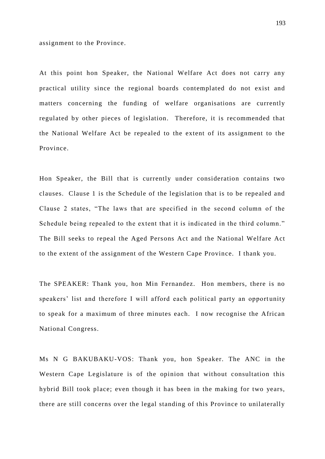assignment to the Province.

At this point hon Speaker, the National Welfare Act does not carry any practical utility since the regional boards contemplated do not exist and matters concerning the funding of welfare organisations are currently regulated by other pieces of legislation. Therefore, it is recommended that the National Welfare Act be repealed to the extent of its assignment to the Province.

Hon Speaker, the Bill that is currently under consideration contains two clauses. Clause 1 is the Schedule of the legislation that is to be repealed and Clause 2 states, "The laws that are specified in the second column of the Schedule being repealed to the extent that it is indicated in the third column." The Bill seeks to repeal the Aged Persons Act and the National Welfare Act to the extent of the assignment of the Western Cape Province. I thank you.

The SPEAKER: Thank you, hon Min Fernandez. Hon members, there is no speakers' list and therefore I will afford each political party an opportunity to speak for a maximum of three minutes each. I now recognise the African National Congress.

Ms N G BAKUBAKU-VOS: Thank you, hon Speaker. The ANC in the Western Cape Legislature is of the opinion that without consultation this hybrid Bill took place; even though it has been in the making for two years, there are still concerns over the legal standing of this Province to unilaterally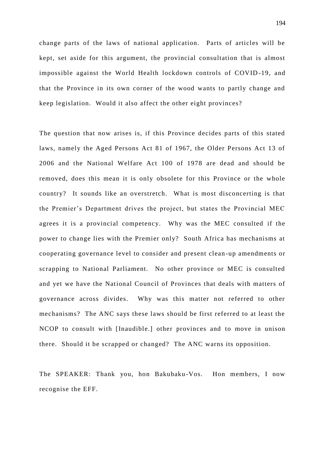change parts of the laws of national application. Parts of articles will be kept, set aside for this argument, the provincial consultation that is almost impossible against the World Health lockdown controls of COVID -19, and that the Province in its own corner of the wood wants to partly change and keep legislation. Would it also affect the other eight provinces?

The question that now arises is, if this Province decides parts of this stated laws, namely the Aged Persons Act 81 of 1967, the Older Persons Act 13 of 2006 and the National Welfare Act 100 of 1978 are dead and should be removed, does this mean it is only obsolete for this Province or the whole country? It sounds like an overstretch. What is most disconcerting is that the Premier's Department drives the project, but states the Provincial MEC agrees it is a provincial competency. Why was the MEC consulted if the power to change lies with the Premier only? South Africa has mechanisms at cooperating governance level to consider and present clean -up amendments or scrapping to National Parliament. No other province or MEC is consulted and yet we have the National Council of Provinces that deals with matters of governance across divides. Why was this matter not referred to other mechanisms? The ANC says these laws should be first referred to at least the NCOP to consult with [Inaudible.] other provinces and to move in unison there. Should it be scrapped or changed? The ANC warns its opposition.

The SPEAKER: Thank you, hon Bakubaku-Vos. Hon members, I now recognise the EFF.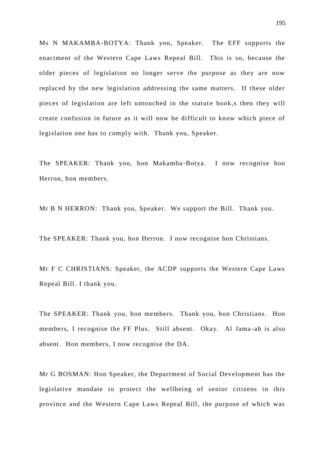Ms N MAKAMBA-BOTYA: Thank you, Speaker. The EFF supports the enactment of the Western Cape Laws Repeal Bill. This is so, because the older pieces of legislation no longer serve the purpose as they are now replaced by the new legislation addressing the same matters. If these older pieces of legislation are left untouched in the statute book, s then they will create confusion in future as it will now be difficult to know which piece of legislation one has to comply with. Thank you, Speaker.

The SPEAKER: Thank you, hon Makamba-Botya. I now recognise hon Herron, hon members.

Mr B N HERRON: Thank you, Speaker. We support the Bill. Thank you.

The SPEAKER: Thank you, hon Herron. I now recognise hon Christians.

Mr F C CHRISTIANS: Speaker, the ACDP supports the Western Cape Laws Repeal Bill. I thank you.

The SPEAKER: Thank you, hon members. Thank you, hon Christians. Hon members, I recognise the FF Plus. Still absent. Okay. Al Jama-ah is also absent. Hon members, I now recognise the DA.

Mr G BOSMAN: Hon Speaker, the Department of Social Development has the legislative mandate to protect the wellbeing of senior citizens in this province and the Western Cape Laws Repeal Bill, the purpose of which was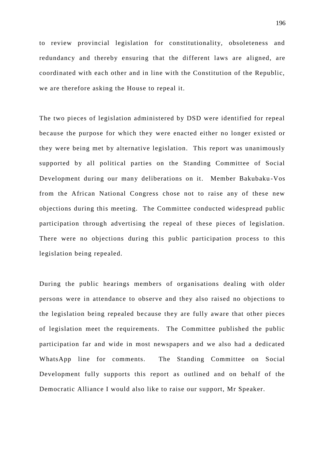to review provincial legislation for constitutionality, obsoleteness and redundancy and thereby ensuring that the different laws are aligned, are coordinated with each other and in line with the Constitution of the Republic, we are therefore asking the House to repeal it.

The two pieces of legislation administered by DSD were identified for repeal because the purpose for which they were enacted either no longer existed or they were being met by alternative legislation. This report was unanimously supported by all political parties on the Standing Committee of Social Development during our many deliberations on it. Member Bakubaku -Vos from the African National Congress chose not to raise any of these new objections during this meeting. The Committee conducted widespread public participation through advertising the repeal of these pieces of legislation. There were no objections during this public participation process to this legislation being repealed.

During the public hearings members of organisations dealing with older persons were in attendance to observe and they also raised no objections to the legislation being repealed because they are fully aware that other pieces of legislation meet the requirements. The Committee published the public participation far and wide in most newspapers and we also had a dedicated WhatsApp line for comments. The Standing Committee on Social Development fully supports this report as outlined and on behalf of the Democratic Alliance I would also like to raise our support, Mr Speaker.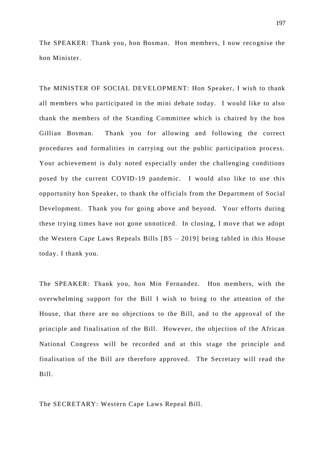The SPEAKER: Thank you, hon Bosman. Hon members, I now recognise the hon Minister.

The MINISTER OF SOCIAL DEVELOPMENT: Hon Speaker, I wish to thank all members who participated in the mini debate today. I would like to also thank the members of the Standing Committee which is chaired by the hon Gillian Bosman. Thank you for allowing and following the correct procedures and formalities in carrying out the public participation process. Your achievement is duly noted especially under the challenging conditions posed by the current COVID-19 pandemic. I would also like to use this opportunity hon Speaker, to thank the officials from the Department of Social Development. Thank you for going above and beyond. Your efforts during these trying times have not gone unnoticed. In closing, I move that we adopt the Western Cape Laws Repeals Bills [B5 – 2019] being tabled in this House today. I thank you.

The SPEAKER: Thank you, hon Min Fernandez. Hon members, with the overwhelming support for the Bill I wish to bring to the attention of the House, that there are no objections to the Bill, and to the approval of the principle and finalisation of the Bill. However, the objection of the African National Congress will be recorded and at this stage the principle and finalisation of the Bill are therefore approved. The Secretary will read the Bill.

The SECRETARY: Western Cape Laws Repeal Bill.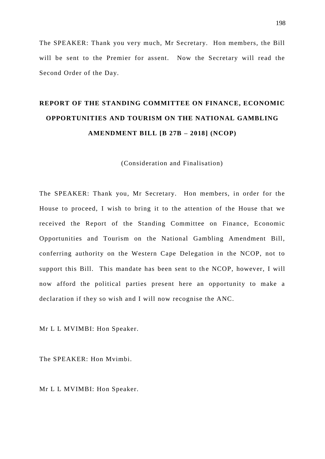The SPEAKER: Thank you very much, Mr Secretary. Hon members, the Bill will be sent to the Premier for assent. Now the Secretary will read the Second Order of the Day.

# **REPORT OF THE STANDING COMMITTEE ON FINANCE, ECONOMIC OPPORTUNITIES AND TOURISM ON THE NATIONAL GAMBLING AMENDMENT BILL [B 27B – 2018] (NCOP)**

(Consideration and Finalisation)

The SPEAKER: Thank you, Mr Secretary. Hon members, in order for the House to proceed, I wish to bring it to the attention of the House that we received the Report of the Standing Committee on Finance, Economic Opportunities and Tourism on the National Gambling Amendment Bill, conferring authority on the Western Cape Delegation in the NCOP, not to support this Bill. This mandate has been sent to the NCOP, however, I will now afford the political parties present here an opportunity to make a declaration if they so wish and I will now recognise the ANC.

Mr L L MVIMBI: Hon Speaker.

The SPEAKER: Hon Mvimbi.

Mr L L MVIMBI: Hon Speaker.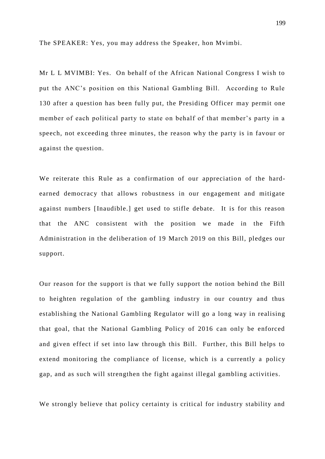The SPEAKER: Yes, you may address the Speaker, hon Mvimbi.

Mr L L MVIMBI: Yes. On behalf of the African National Congress I wish to put the ANC's position on this National Gambling Bill. According to Rule 130 after a question has been fully put, the Presiding Officer may permit one member of each political party to state on behalf of that member's party in a speech, not exceeding three minutes, the reason why the party is in favour or against the question.

We reiterate this Rule as a confirmation of our appreciation of the hardearned democracy that allows robustness in our engagement and mitigate against numbers [Inaudible.] get used to stifle debate. It is for this reason that the ANC consistent with the position we made in the Fifth Administration in the deliberation of 19 March 2019 on this Bill, pledges our support.

Our reason for the support is that we fully support the notion behind the Bill to heighten regulation of the gambling industry in our country and thus establishing the National Gambling Regulator will go a long way in realising that goal, that the National Gambling Policy of 2016 can only be enforced and given effect if set into law through this Bill. Further, this Bill helps to extend monitoring the compliance of license, which is a currently a policy gap, and as such will strengthen the fight against illegal gambling activities.

We strongly believe that policy certainty is critical for industry stability and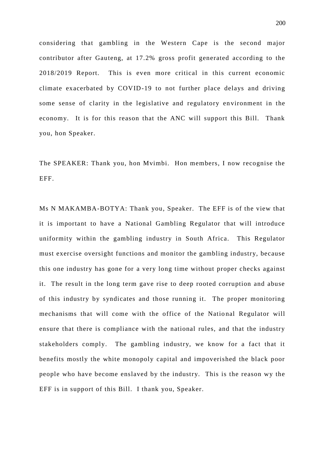considering that gambling in the Western Cape is the second major contributor after Gauteng, at 17.2% gross profit generated according to the 2018/2019 Report. This is even more critical in this current economic climate exacerbated by COVID-19 to not further place delays and driving some sense of clarity in the legislative and regulatory en vironment in the economy. It is for this reason that the ANC will support this Bill. Thank you, hon Speaker.

The SPEAKER: Thank you, hon Mvimbi. Hon members, I now recognise the EFF.

Ms N MAKAMBA-BOTYA: Thank you, Speaker. The EFF is of the view that it is important to have a National Gambling Regulator that will introduce uniformity within the gambling industry in South Africa. This Regulator must exercise oversight functions and monitor the gambling industry, because this one industry has gone for a very long time without proper checks against it. The result in the long term gave rise to deep rooted corruption and abuse of this industry by syndicates and those running it. The proper monitoring mechanisms that will come with the office of the National Regulator will ensure that there is compliance with the national rules, and that the industry stakeholders comply. The gambling industry, we know for a fact that it benefits mostly the white monopoly capital and impoverished the black poor people who have become enslaved by the industry. This is the reason wy the EFF is in support of this Bill. I thank you, Speaker.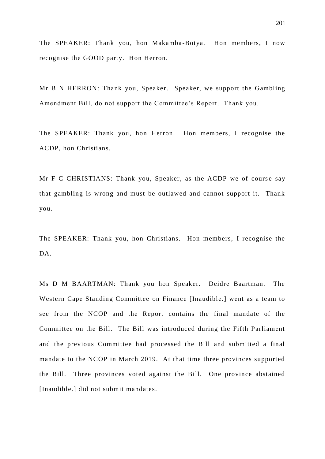The SPEAKER: Thank you, hon Makamba-Botya. Hon members, I now recognise the GOOD party. Hon Herron.

Mr B N HERRON: Thank you, Speaker. Speaker, we support the Gambling Amendment Bill, do not support the Committee's Report. Thank you.

The SPEAKER: Thank you, hon Herron. Hon members, I recognise the ACDP, hon Christians.

Mr F C CHRISTIANS: Thank you, Speaker, as the ACDP we of course say that gambling is wrong and must be outlawed and cannot support it. Thank you.

The SPEAKER: Thank you, hon Christians. Hon members, I recognise the DA.

Ms D M BAARTMAN: Thank you hon Speaker. Deidre Baartman. The Western Cape Standing Committee on Finance [Inaudible.] went as a team to see from the NCOP and the Report contains the final mandate of the Committee on the Bill. The Bill was introduced during the Fifth Parliament and the previous Committee had processed the Bill and submitted a final mandate to the NCOP in March 2019. At that time three provinces supported the Bill. Three provinces voted against the Bill. One province abstained [Inaudible.] did not submit mandates.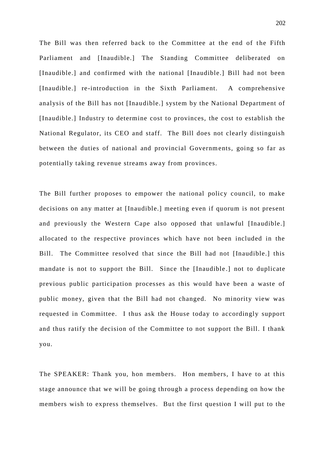The Bill was then referred back to the Committee at the end of the Fifth Parliament and [Inaudible.] The Standing Committee deliberated on [Inaudible.] and confirmed with the national [Inaudible.] Bill had not been [Inaudible.] re-introduction in the Sixth Parliament. A comprehensive analysis of the Bill has not [Inaudible.] system by the National Department of [Inaudible.] Industry to determine cost to provinces, the cost to establish the National Regulator, its CEO and staff. The Bill does not clearly distinguish between the duties of national and provincial Governments, going so far as potentially taking revenue streams away from provinces.

The Bill further proposes to empower the national policy council, to make decisions on any matter at [Inaudible.] meeting even if quorum is not present and previously the Western Cape also opposed that unlawful [Inaudible.] allocated to the respective provinces which have not been included in the Bill. The Committee resolved that since the Bill had not [Inaudible.] this mandate is not to support the Bill. Since the [Inaudible .] not to duplicate previous public participation processes as this would have been a waste of public money, given that the Bill had not changed. No minority view was requested in Committee. I thus ask the House today to accordingly support and thus ratify the decision of the Committee to not support the Bill. I thank you.

The SPEAKER: Thank you, hon members. Hon members, I have to at this stage announce that we will be going through a process depending on how the members wish to express themselves. But the first question I will put to the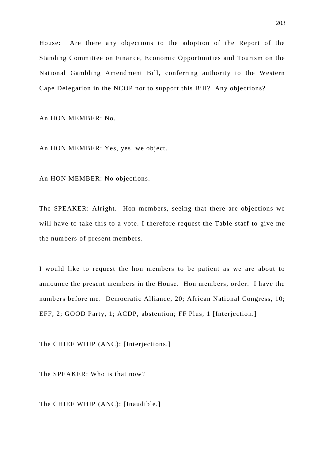House: Are there any objections to the adoption of the Report of the Standing Committee on Finance, Economic Opportunities and Tourism on the National Gambling Amendment Bill, conferring authority to the Western Cape Delegation in the NCOP not to support this Bill? Any objections?

An HON MEMBER: No.

An HON MEMBER: Yes, yes, we object.

An HON MEMBER: No objections.

The SPEAKER: Alright. Hon members, seeing that there are objections we will have to take this to a vote. I therefore request the Table staff to give me the numbers of present members.

I would like to request the hon members to be patient as we are about to announce the present members in the House. Hon members, order. I have the numbers before me. Democratic Alliance, 20; African National Congress, 10; EFF, 2; GOOD Party, 1; ACDP, abstention; FF Plus, 1 [Interjection.]

The CHIEF WHIP (ANC): [Interjections.]

The SPEAKER: Who is that now?

The CHIEF WHIP (ANC): [Inaudible.]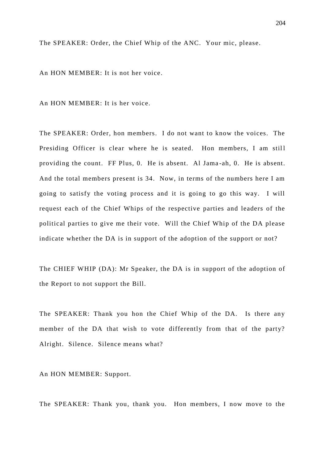The SPEAKER: Order, the Chief Whip of the ANC. Your mic, please.

An HON MEMBER: It is not her voice.

An HON MEMBER: It is her voice.

The SPEAKER: Order, hon members. I do not want to know the voices. The Presiding Officer is clear where he is seated. Hon members, I am still providing the count. FF Plus, 0. He is absent. Al Jama -ah, 0. He is absent. And the total members present is 34. Now, in terms of the numbers here I am going to satisfy the voting process and it is going to go this way. I will request each of the Chief Whips of the respective parties and leaders of the political parties to give me their vote. Will the Chief Whip of the DA please indicate whether the DA is in support of the adoption of the support or not?

The CHIEF WHIP (DA): Mr Speaker, the DA is in support of the adoption of the Report to not support the Bill.

The SPEAKER: Thank you hon the Chief Whip of the DA. Is there any member of the DA that wish to vote differently from that of the party? Alright. Silence. Silence means what?

An HON MEMBER: Support.

The SPEAKER: Thank you, thank you. Hon members, I now move to the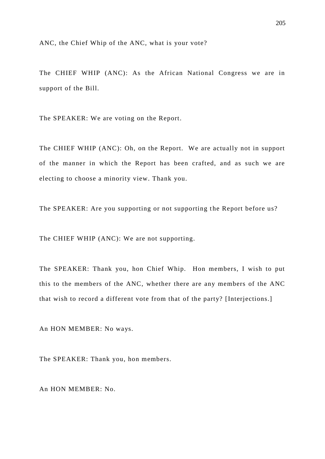ANC, the Chief Whip of the ANC, what is your vote?

The CHIEF WHIP (ANC): As the African National Congress we are in support of the Bill.

The SPEAKER: We are voting on the Report.

The CHIEF WHIP (ANC): Oh, on the Report. We are actually not in support of the manner in which the Report has been crafted, and as such we are electing to choose a minority view. Thank you.

The SPEAKER: Are you supporting or not supporting the Report before us?

The CHIEF WHIP (ANC): We are not supporting.

The SPEAKER: Thank you, hon Chief Whip. Hon members, I wish to put this to the members of the ANC, whether there are any members of the ANC that wish to record a different vote from that of the party? [Interjections.]

An HON MEMBER: No ways.

The SPEAKER: Thank you, hon members.

An HON MEMBER: No.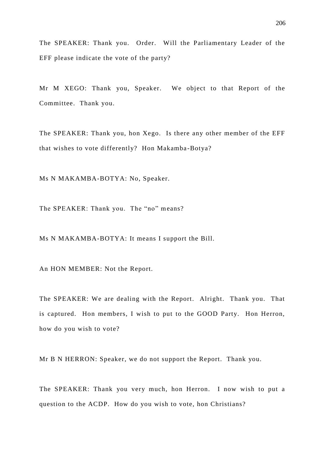The SPEAKER: Thank you. Order. Will the Parliamentary Leader of the EFF please indicate the vote of the party?

Mr M XEGO: Thank you, Speaker. We object to that Report of the Committee. Thank you.

The SPEAKER: Thank you, hon Xego. Is there any other member of the EFF that wishes to vote differently? Hon Makamba-Botya?

Ms N MAKAMBA-BOTYA: No, Speaker.

The SPEAKER: Thank you. The "no" means?

Ms N MAKAMBA-BOTYA: It means I support the Bill.

An HON MEMBER: Not the Report.

The SPEAKER: We are dealing with the Report. Alright. Thank you. That is captured. Hon members, I wish to put to the GOOD Party. Hon Herron, how do you wish to vote?

Mr B N HERRON: Speaker, we do not support the Report. Thank you.

The SPEAKER: Thank you very much, hon Herron. I now wish to put a question to the ACDP. How do you wish to vote, hon Christians?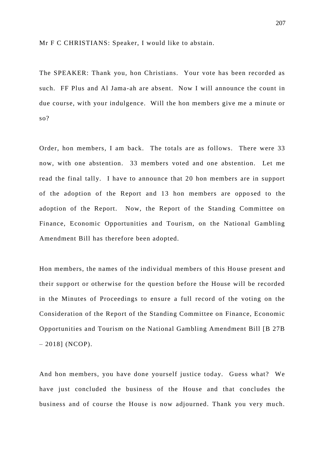Mr F C CHRISTIANS: Speaker, I would like to abstain.

The SPEAKER: Thank you, hon Christians. Your vote has been recorded as such. FF Plus and Al Jama-ah are absent. Now I will announce the count in due course, with your indulgence. Will the hon members give me a minute or so?

Order, hon members, I am back. The totals are as follows. There were 33 now, with one abstention. 33 members voted and one abstention. Let me read the final tally. I have to announce that 20 hon members are in support of the adoption of the Report and 13 hon members are oppo sed to the adoption of the Report. Now, the Report of the Standing Committee on Finance, Economic Opportunities and Tourism, on the National Gambling Amendment Bill has therefore been adopted.

Hon members, the names of the individual members of this House present and their support or otherwise for the question before the House will be recorded in the Minutes of Proceedings to ensure a full record of the voting on the Consideration of the Report of the Standing Committee on Finance, Economic Opportunities and Tourism on the National Gambling Amendment Bill [B 27B  $-2018$ ] (NCOP).

And hon members, you have done yourself justice today. Guess what? We have just concluded the business of the House and that concludes the business and of course the House is now adjourned. Thank you very much.